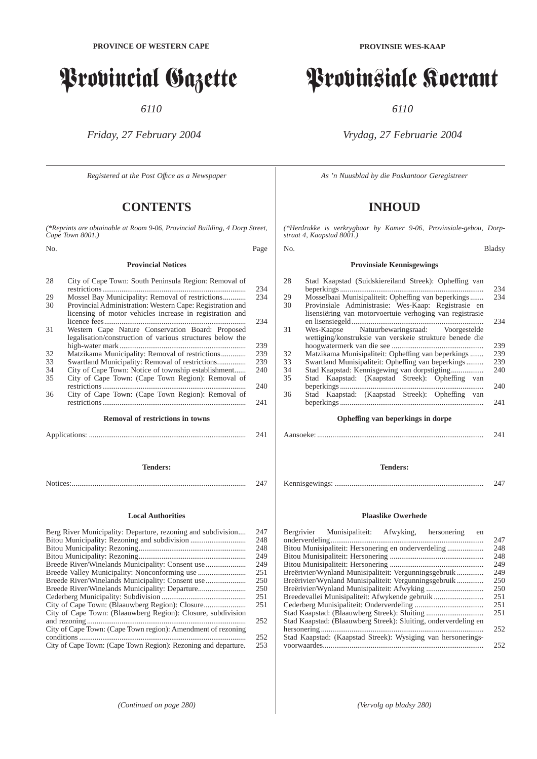# Provincial Gazette

*6110*

*Friday, 27 February 2004*

*Registered at the Post Offıce as a Newspaper*

# **CONTENTS**

*(\*Reprints are obtainable at Room 9-06, Provincial Building, 4 Dorp Street, Cape Town 8001.)*

**Provincial Notices**

# No. Page

| 28 | City of Cape Town: South Peninsula Region: Removal of     |     |
|----|-----------------------------------------------------------|-----|
|    |                                                           | 234 |
| 29 | Mossel Bay Municipality: Removal of restrictions          | 234 |
| 30 | Provincial Administration: Western Cape: Registration and |     |
|    | licensing of motor vehicles increase in registration and  |     |
|    |                                                           | 234 |
| 31 | Western Cape Nature Conservation Board: Proposed          |     |
|    | legalisation/construction of various structures below the |     |
|    |                                                           | 239 |
| 32 |                                                           | 239 |
| 33 |                                                           | 239 |
| 34 | City of Cape Town: Notice of township establishment       | 240 |
| 35 | City of Cape Town: (Cape Town Region): Removal of         |     |
|    |                                                           | 240 |
| 36 | City of Cape Town: (Cape Town Region): Removal of         |     |
|    |                                                           | 241 |
|    |                                                           |     |
|    | <b>Removal of restrictions in towns</b>                   |     |

**Removal of restrictions in towns** Applications: .................................................................................. 241

# **Tenders:** Notices:........................................................................................... 247

#### **Local Authorities**

| Berg River Municipality: Departure, rezoning and subdivision   | 247 |
|----------------------------------------------------------------|-----|
|                                                                | 248 |
|                                                                | 248 |
|                                                                | 249 |
|                                                                | 249 |
|                                                                | 251 |
|                                                                | 250 |
|                                                                | 250 |
|                                                                | 251 |
|                                                                | 251 |
| City of Cape Town: (Blaauwberg Region): Closure, subdivision   |     |
|                                                                | 252 |
| City of Cape Town: (Cape Town region): Amendment of rezoning   |     |
| conditions                                                     | 252 |
| City of Cape Town: (Cape Town Region): Rezoning and departure. | 253 |
|                                                                |     |

# Provinsiale Koerant

*6110*

# *Vrydag, 27 Februarie 2004*

*As 'n Nuusblad by die Poskantoor Geregistreer*

# **INHOUD**

*(\*Herdrukke is verkrygbaar by Kamer 9-06, Provinsiale-gebou, Dorpstraat 4, Kaapstad 8001.)*

#### No. Bladsy

# **Provinsiale Kennisgewings**

| 28 | Stad Kaapstad (Suidskiereiland Streek): Opheffing van    |     |
|----|----------------------------------------------------------|-----|
|    |                                                          | 234 |
| 29 | Mosselbaai Munisipaliteit: Opheffing van beperkings      | 234 |
| 30 | Provinsiale Administrasie: Wes-Kaap: Registrasie en      |     |
|    | lisensiëring van motorvoertuie verhoging van registrasie |     |
|    |                                                          | 234 |
| 31 | Wes-Kaapse Natuurbewaringsraad: Voorgestelde             |     |
|    | wettiging/konstruksie van verskeie strukture benede die  |     |
|    |                                                          | 239 |
| 32 | Matzikama Munisipaliteit: Opheffing van beperkings       | 239 |
| 33 | Swartland Munisipaliteit: Opheffing van beperkings       | 239 |
| 34 |                                                          | 240 |
| 35 | Stad Kaapstad: (Kaapstad Streek): Opheffing van          |     |
|    |                                                          | 240 |
| 36 | Stad Kaapstad: (Kaapstad Streek): Opheffing van          |     |
|    |                                                          | 241 |
|    |                                                          |     |
|    |                                                          |     |

# **Opheffing van beperkings in dorpe**

#### Aansoeke: ....................................................................................... 241

#### **Tenders:**

Kennisgewings: .............................................................................. 247

#### **Plaaslike Owerhede**

| Bergrivier Munisipaliteit:<br>Afwyking,<br>hersonering<br>en    |     |
|-----------------------------------------------------------------|-----|
|                                                                 | 247 |
|                                                                 | 248 |
|                                                                 | 248 |
|                                                                 | 249 |
| Breërivier/Wynland Munisipaliteit: Vergunningsgebruik           | 249 |
| Breërivier/Wynland Munisipaliteit: Vergunningsgebruik           | 250 |
|                                                                 | 250 |
| Breedevallei Munisipaliteit: Afwykende gebruik                  | 251 |
|                                                                 | 251 |
|                                                                 | 251 |
| Stad Kaapstad: (Blaauwberg Streek): Sluiting, onderverdeling en |     |
|                                                                 | 252 |
| Stad Kaapstad: (Kaapstad Streek): Wysiging van hersonerings-    |     |
|                                                                 | 252 |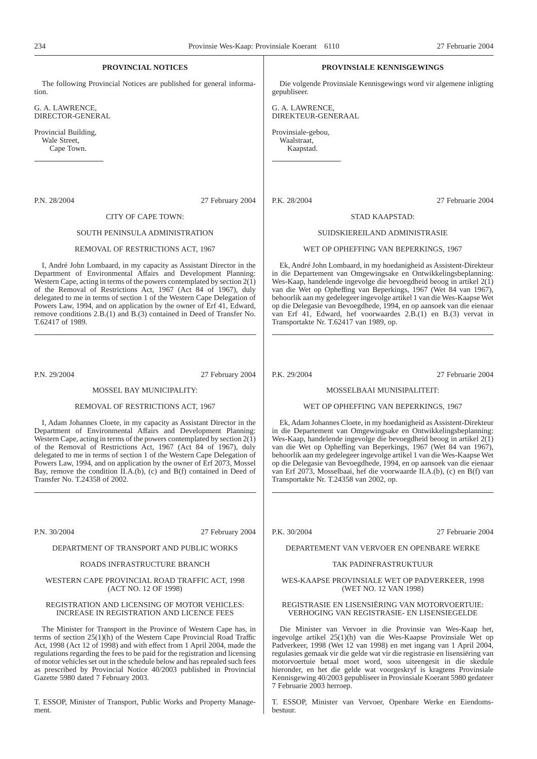| PROVINCIAL NOTICES                                                                    | PROVINSIALE KENNISGEWINGS                                              |
|---------------------------------------------------------------------------------------|------------------------------------------------------------------------|
| The following Provincial Notices are published for general informa-                   | Die volgende Provinsiale Kennisgewings word vir algemene inligting     |
| tion.                                                                                 | gepubliseer.                                                           |
| G. A. LAWRENCE,                                                                       | G. A. LAWRENCE,                                                        |
| DIRECTOR-GENERAL                                                                      | DIREKTEUR-GENERAAL                                                     |
| Provincial Building,                                                                  | Provinsiale-gebou,                                                     |
| Wale Street,                                                                          | Waalstraat,                                                            |
| Cape Town.                                                                            | Kaapstad.                                                              |
|                                                                                       |                                                                        |
| P.N. 28/2004                                                                          | P.K. 28/2004                                                           |
| 27 February 2004                                                                      | 27 Februarie 2004                                                      |
| CITY OF CAPE TOWN:                                                                    | STAD KAAPSTAD:                                                         |
| SOUTH PENINSULA ADMINISTRATION                                                        | SUIDSKIEREILAND ADMINISTRASIE                                          |
| REMOVAL OF RESTRICTIONS ACT, 1967                                                     | WET OP OPHEFFING VAN BEPERKINGS, 1967                                  |
| I, André John Lombaard, in my capacity as Assistant Director in the                   | Ek, André John Lombaard, in my hoedanigheid as Assistent-Direkteur     |
| Department of Environmental Affairs and Development Planning:                         | in die Departement van Omgewingsake en Ontwikkelingsbeplanning:        |
| Western Cape, acting in terms of the powers contemplated by section $2(1)$            | Wes-Kaap, handelende ingevolge die bevoegdheid beoog in artikel 2(1)   |
| of the Removal of Restrictions Act, 1967 (Act 84 of 1967), duly                       | van die Wet op Opheffing van Beperkings, 1967 (Wet 84 van 1967),       |
| delegated to me in terms of section 1 of the Western Cape Delegation of               | behoorlik aan my gedelegeer ingevolge artikel 1 van die Wes-Kaapse Wet |
| Powers Law, 1994, and on application by the owner of Erf 41, Edward,                  | op die Delegasie van Bevoegdhede, 1994, en op aansoek van die eienaar  |
| remove conditions 2.B.(1) and B.(3) contained in Deed of Transfer No.                 | van Erf 41, Edward, hef voorwaardes 2.B.(1) en B.(3) vervat in         |
| T.62417 of 1989.                                                                      | Transportakte Nr. T.62417 van 1989, op.                                |
| P.N. 29/2004                                                                          | P.K. 29/2004                                                           |
| 27 February 2004                                                                      | 27 Februarie 2004                                                      |
| <b>MOSSEL BAY MUNICIPALITY:</b>                                                       | <b>MOSSELBAAI MUNISIPALITEIT:</b>                                      |
| REMOVAL OF RESTRICTIONS ACT, 1967                                                     | WET OP OPHEFFING VAN BEPERKINGS, 1967                                  |
| I, Adam Johannes Cloete, in my capacity as Assistant Director in the                  | Ek, Adam Johannes Cloete, in my hoedanigheid as Assistent-Direkteur    |
| Department of Environmental Affairs and Development Planning:                         | in die Departement van Omgewingsake en Ontwikkelingsbeplanning:        |
| Western Cape, acting in terms of the powers contemplated by section $2(\overline{1})$ | Wes-Kaap, handelende ingevolge die bevoegdheid beoog in artikel $2(1)$ |
| of the Removal of Restrictions Act, 1967 (Act 84 of 1967), duly                       | van die Wet op Opheffing van Beperkings, 1967 (Wet 84 van 1967),       |
| delegated to me in terms of section 1 of the Western Cape Delegation of               | behoorlik aan my gedelegeer ingevolge artikel 1 van die Wes-Kaapse Wet |
| Powers Law, 1994, and on application by the owner of Erf 2073, Mossel                 | op die Delegasie van Bevoegdhede, 1994, en op aansoek van die eienaar  |
| Bay, remove the condition $\overline{II}$ .A.(b), (c) and B(f) contained in Deed of   | van Erf 2073, Mosselbaai, hef die voorwaarde II.A.(b), (c) en B(f) van |
| Transfer No. T.24358 of 2002.                                                         | Transportakte Nr. T.24358 van 2002, op.                                |

P.N. 30/2004 27 February 2004

#### DEPARTMENT OF TRANSPORT AND PUBLIC WORKS

#### ROADS INFRASTRUCTURE BRANCH

#### WESTERN CAPE PROVINCIAL ROAD TRAFFIC ACT, 1998 (ACT NO. 12 OF 1998)

#### REGISTRATION AND LICENSING OF MOTOR VEHICLES: INCREASE IN REGISTRATION AND LICENCE FEES

The Minister for Transport in the Province of Western Cape has, in terms of section  $25(1)(h)$  of the Western Cape Provincial Road Traffic Act, 1998 (Act 12 of 1998) and with effect from 1 April 2004, made the regulations regarding the fees to be paid for the registration and licensing of motor vehicles set out in the schedule below and has repealed such fees as prescribed by Provincial Notice 40/2003 published in Provincial Gazette 5980 dated 7 February 2003.

T. ESSOP, Minister of Transport, Public Works and Property Management.

P.K. 30/2004 27 Februarie 2004

#### DEPARTEMENT VAN VERVOER EN OPENBARE WERKE

#### TAK PADINFRASTRUKTUUR

#### WES-KAAPSE PROVINSIALE WET OP PADVERKEER, 1998 (WET NO. 12 VAN 1998)

#### REGISTRASIE EN LISENSIËRING VAN MOTORVOERTUIE: VERHOGING VAN REGISTRASIE- EN LISENSIEGELDE

Die Minister van Vervoer in die Provinsie van Wes-Kaap het, ingevolge artikel 25(1)(h) van die Wes-Kaapse Provinsiale Wet op Padverkeer, 1998 (Wet 12 van 1998) en met ingang van 1 April 2004, regulasies gemaak vir die gelde wat vir die registrasie en lisensiëring van motorvoertuie betaal moet word, soos uiteengesit in die skedule hieronder, en het die gelde wat voorgeskryf is kragtens Provinsiale Kennisgewing 40/2003 gepubliseer in Provinsiale Koerant 5980 gedateer 7 Februarie 2003 herroep.

T. ESSOP, Minister van Vervoer, Openbare Werke en Eiendomsbestuur.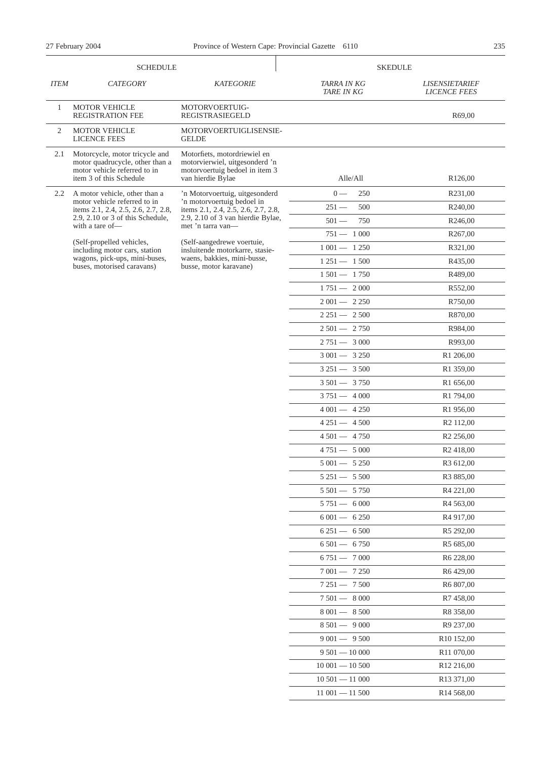|             | <b>SCHEDULE</b>                                                                                                              |                                                                                                                       |                                  | <b>SKEDULE</b>                               |  |  |  |
|-------------|------------------------------------------------------------------------------------------------------------------------------|-----------------------------------------------------------------------------------------------------------------------|----------------------------------|----------------------------------------------|--|--|--|
| <b>ITEM</b> | <b>CATEGORY</b>                                                                                                              | <b>KATEGORIE</b>                                                                                                      | TARRA IN KG<br><b>TARE IN KG</b> | <b>LISENSIETARIEF</b><br><b>LICENCE FEES</b> |  |  |  |
| 1           | <b>MOTOR VEHICLE</b><br><b>REGISTRATION FEE</b>                                                                              | MOTORVOERTUIG-<br>REGISTRASIEGELD                                                                                     |                                  | R69,00                                       |  |  |  |
| 2           | <b>MOTOR VEHICLE</b><br><b>LICENCE FEES</b>                                                                                  | MOTORVOERTUIGLISENSIE-<br><b>GELDE</b>                                                                                |                                  |                                              |  |  |  |
| 2.1         | Motorcycle, motor tricycle and<br>motor quadrucycle, other than a<br>motor vehicle referred to in<br>item 3 of this Schedule | Motorfiets, motordriewiel en<br>motorvierwiel, uitgesonderd 'n<br>motorvoertuig bedoel in item 3<br>van hierdie Bylae | Alle/All                         | R126,00                                      |  |  |  |
| 2.2         | A motor vehicle, other than a                                                                                                | 'n Motorvoertuig, uitgesonderd                                                                                        | 250<br>$0 -$                     | R231,00                                      |  |  |  |
|             | motor vehicle referred to in<br>items 2.1, 2.4, 2.5, 2.6, 2.7, 2.8,                                                          | 'n motorvoertuig bedoel in<br>items 2.1, 2.4, 2.5, 2.6, 2.7, 2.8,                                                     | $251 -$<br>500                   | R240,00                                      |  |  |  |
|             | $2.9$ , $2.10$ or $3$ of this Schedule,<br>with a tare of-                                                                   | 2.9, 2.10 of 3 van hierdie Bylae,<br>met 'n tarra van-                                                                | $501 -$<br>750                   | R246,00                                      |  |  |  |
|             |                                                                                                                              |                                                                                                                       | $751 - 1000$                     | R <sub>267</sub> ,00                         |  |  |  |
|             | (Self-propelled vehicles,<br>including motor cars, station                                                                   | (Self-aangedrewe voertuie,<br>insluitende motorkarre, stasie-                                                         | $1001 - 1250$                    | R321,00                                      |  |  |  |
|             | wagons, pick-ups, mini-buses,<br>buses, motorised caravans)                                                                  | waens, bakkies, mini-busse,<br>busse, motor karavane)                                                                 | $1251 - 1500$                    | R435,00                                      |  |  |  |
|             |                                                                                                                              |                                                                                                                       | $1501 - 1750$                    | R489,00                                      |  |  |  |
|             |                                                                                                                              |                                                                                                                       | $1751 - 2000$                    | R552,00                                      |  |  |  |
|             |                                                                                                                              |                                                                                                                       | $2001 - 2250$                    | R750,00                                      |  |  |  |
|             |                                                                                                                              |                                                                                                                       | $2251 - 2500$                    | R870,00                                      |  |  |  |
|             |                                                                                                                              |                                                                                                                       | $2501 - 2750$                    | R984,00                                      |  |  |  |
|             |                                                                                                                              |                                                                                                                       | $2751 - 3000$                    | R993,00                                      |  |  |  |
|             |                                                                                                                              |                                                                                                                       | $3001 - 3250$                    | R1 206,00                                    |  |  |  |
|             |                                                                                                                              |                                                                                                                       | $3251 - 3500$                    | R1 359,00                                    |  |  |  |
|             |                                                                                                                              |                                                                                                                       | $3501 - 3750$                    | R1 656,00                                    |  |  |  |
|             |                                                                                                                              |                                                                                                                       | $3751 - 4000$                    | R1 794,00                                    |  |  |  |
|             |                                                                                                                              |                                                                                                                       | $4001 - 4250$                    | R1 956,00                                    |  |  |  |
|             |                                                                                                                              |                                                                                                                       | $4251 - 4500$                    | R <sub>2</sub> 112,00                        |  |  |  |
|             |                                                                                                                              |                                                                                                                       | $4501 - 4750$                    | R <sub>2</sub> 256,00                        |  |  |  |
|             |                                                                                                                              |                                                                                                                       | $4751 - 5000$                    | R <sub>2</sub> 418,00                        |  |  |  |
|             |                                                                                                                              |                                                                                                                       | $5001 - 5250$                    | R <sub>3</sub> 612,00                        |  |  |  |
|             |                                                                                                                              |                                                                                                                       | $5251 - 5500$                    | R3 885,00                                    |  |  |  |
|             |                                                                                                                              |                                                                                                                       | $5\,501 - 5\,750$                | R <sub>4</sub> 221,00                        |  |  |  |
|             |                                                                                                                              |                                                                                                                       | $5751 - 6000$                    | R <sub>4</sub> 563,00                        |  |  |  |
|             |                                                                                                                              |                                                                                                                       | $6001 - 6250$                    | R <sub>4</sub> 917,00                        |  |  |  |
|             |                                                                                                                              |                                                                                                                       | $6251 - 6500$                    | R5 292,00                                    |  |  |  |
|             |                                                                                                                              |                                                                                                                       | $6501 - 6750$                    | R5 685,00                                    |  |  |  |
|             |                                                                                                                              |                                                                                                                       | $6751 - 7000$                    | R <sub>6</sub> 228,00                        |  |  |  |
|             |                                                                                                                              |                                                                                                                       | $7001 - 7250$                    | R <sub>6</sub> 429,00                        |  |  |  |
|             |                                                                                                                              |                                                                                                                       | $7251 - 7500$                    | R <sub>6</sub> 807,00                        |  |  |  |
|             |                                                                                                                              |                                                                                                                       | $7501 - 8000$                    | R <sub>7</sub> 458,00                        |  |  |  |
|             |                                                                                                                              |                                                                                                                       | $8001 - 8500$                    | R8 358,00                                    |  |  |  |
|             |                                                                                                                              |                                                                                                                       | $8501 - 9000$                    | R <sub>9</sub> 237,00                        |  |  |  |
|             |                                                                                                                              |                                                                                                                       | $9001 - 9500$                    | R <sub>10</sub> 152,00                       |  |  |  |
|             |                                                                                                                              |                                                                                                                       | $9501 - 10000$                   | R <sub>11</sub> 070,00                       |  |  |  |
|             |                                                                                                                              |                                                                                                                       | $10001 - 10500$                  | R <sub>12</sub> 216,00                       |  |  |  |
|             |                                                                                                                              |                                                                                                                       | $10\,501 - 11\,000$              | R <sub>13</sub> 371,00                       |  |  |  |
|             |                                                                                                                              |                                                                                                                       | $11001 - 11500$                  | R <sub>14</sub> 568,00                       |  |  |  |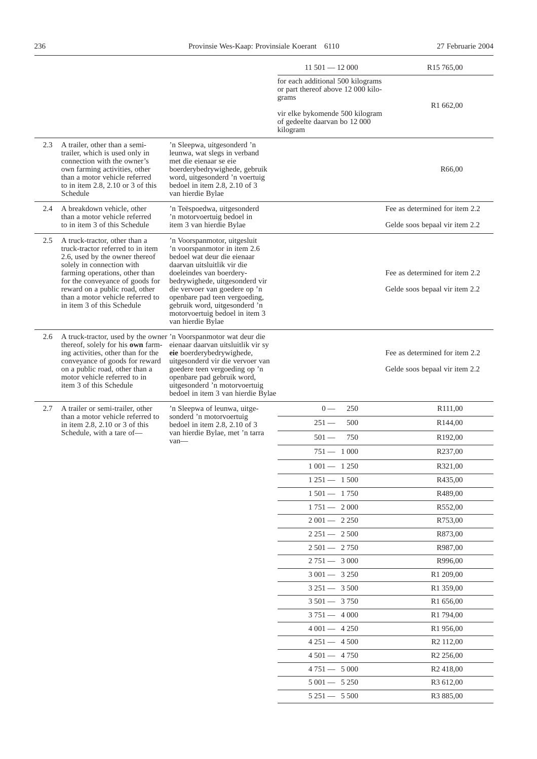|     |                                                                                                                                                                                                                                                                                                            |                                                                                                                                                                                                                                                                                                                                                    | $11501 - 12000$                                                                  | R <sub>15</sub> 765,00                                           |
|-----|------------------------------------------------------------------------------------------------------------------------------------------------------------------------------------------------------------------------------------------------------------------------------------------------------------|----------------------------------------------------------------------------------------------------------------------------------------------------------------------------------------------------------------------------------------------------------------------------------------------------------------------------------------------------|----------------------------------------------------------------------------------|------------------------------------------------------------------|
|     |                                                                                                                                                                                                                                                                                                            |                                                                                                                                                                                                                                                                                                                                                    | for each additional 500 kilograms<br>or part thereof above 12 000 kilo-<br>grams |                                                                  |
|     |                                                                                                                                                                                                                                                                                                            |                                                                                                                                                                                                                                                                                                                                                    | vir elke bykomende 500 kilogram<br>of gedeelte daarvan bo 12 000<br>kilogram     | R1 662,00                                                        |
| 2.3 | A trailer, other than a semi-<br>trailer, which is used only in<br>connection with the owner's<br>own farming activities, other<br>than a motor vehicle referred<br>to in item $2.8$ , $2.10$ or $3$ of this<br>Schedule                                                                                   | 'n Sleepwa, uitgesonderd 'n<br>leunwa, wat slegs in verband<br>met die eienaar se eie<br>boerderybedrywighede, gebruik<br>word, uitgesonderd 'n voertuig<br>bedoel in item $2.8$ , $2.10$ of 3<br>van hierdie Bylae                                                                                                                                |                                                                                  | R <sub>66</sub> ,00                                              |
| 2.4 | A breakdown vehicle, other<br>than a motor vehicle referred<br>to in item 3 of this Schedule                                                                                                                                                                                                               | 'n Teëspoedwa, uitgesonderd<br>'n motorvoertuig bedoel in<br>item 3 van hierdie Bylae                                                                                                                                                                                                                                                              |                                                                                  | Fee as determined for item 2.2<br>Gelde soos bepaal vir item 2.2 |
| 2.5 | A truck-tractor, other than a<br>truck-tractor referred to in item<br>2.6, used by the owner thereof<br>solely in connection with<br>farming operations, other than<br>for the conveyance of goods for<br>reward on a public road, other<br>than a motor vehicle referred to<br>in item 3 of this Schedule | 'n Voorspanmotor, uitgesluit<br>'n voorspanmotor in item 2.6<br>bedoel wat deur die eienaar<br>daarvan uitsluitlik vir die<br>doeleindes van boerdery-<br>bedrywighede, uitgesonderd vir<br>die vervoer van goedere op 'n<br>openbare pad teen vergoeding,<br>gebruik word, uitgesonderd 'n<br>motorvoertuig bedoel in item 3<br>van hierdie Bylae |                                                                                  | Fee as determined for item 2.2<br>Gelde soos bepaal vir item 2.2 |
| 2.6 | A truck-tractor, used by the owner 'n Voorspanmotor wat deur die<br>thereof, solely for his own farm-<br>ing activities, other than for the<br>conveyance of goods for reward<br>on a public road, other than a<br>motor vehicle referred to in<br>item 3 of this Schedule                                 | eienaar daarvan uitsluitlik vir sy<br>eie boerderybedrywighede,<br>uitgesonderd vir die vervoer van<br>goedere teen vergoeding op 'n<br>openbare pad gebruik word,<br>uitgesonderd 'n motorvoertuig<br>bedoel in item 3 van hierdie Bylae                                                                                                          |                                                                                  | Fee as determined for item 2.2<br>Gelde soos bepaal vir item 2.2 |
| 2.7 | A trailer or semi-trailer, other<br>than a motor vehicle referred to<br>in item $2.8$ , $2.10$ or $3$ of this                                                                                                                                                                                              | 'n Sleepwa of leunwa, uitge-<br>sonderd 'n motorvoertuig<br>bedoel in item $2.8$ , $2.10$ of 3                                                                                                                                                                                                                                                     | $0 -$<br>250                                                                     | R111,00                                                          |
|     |                                                                                                                                                                                                                                                                                                            |                                                                                                                                                                                                                                                                                                                                                    | $251 -$<br>500                                                                   | R <sub>144</sub> ,00                                             |
|     | Schedule, with a tare of-                                                                                                                                                                                                                                                                                  | van hierdie Bylae, met 'n tarra<br>van-                                                                                                                                                                                                                                                                                                            | $501 -$<br>750                                                                   | R <sub>192</sub> ,00                                             |
|     |                                                                                                                                                                                                                                                                                                            |                                                                                                                                                                                                                                                                                                                                                    | $751 - 1000$                                                                     | R237,00                                                          |
|     |                                                                                                                                                                                                                                                                                                            |                                                                                                                                                                                                                                                                                                                                                    | $1001 - 1250$                                                                    | R321,00                                                          |
|     |                                                                                                                                                                                                                                                                                                            |                                                                                                                                                                                                                                                                                                                                                    | $1251 - 1500$                                                                    | R435,00                                                          |
|     |                                                                                                                                                                                                                                                                                                            |                                                                                                                                                                                                                                                                                                                                                    | $1501 - 1750$                                                                    | R489,00                                                          |
|     |                                                                                                                                                                                                                                                                                                            |                                                                                                                                                                                                                                                                                                                                                    | $1751 - 2000$                                                                    | R552,00                                                          |
|     |                                                                                                                                                                                                                                                                                                            |                                                                                                                                                                                                                                                                                                                                                    | $2001 - 2250$                                                                    | R753,00                                                          |
|     |                                                                                                                                                                                                                                                                                                            |                                                                                                                                                                                                                                                                                                                                                    | $2251 - 2500$                                                                    | R873,00                                                          |
|     |                                                                                                                                                                                                                                                                                                            |                                                                                                                                                                                                                                                                                                                                                    | $2501 - 2750$                                                                    | R987,00                                                          |
|     |                                                                                                                                                                                                                                                                                                            |                                                                                                                                                                                                                                                                                                                                                    | $2751 - 3000$                                                                    | R996,00                                                          |
|     |                                                                                                                                                                                                                                                                                                            |                                                                                                                                                                                                                                                                                                                                                    | $3001 - 3250$                                                                    | R <sub>1</sub> 209,00                                            |
|     |                                                                                                                                                                                                                                                                                                            |                                                                                                                                                                                                                                                                                                                                                    | $3251 - 3500$                                                                    | R1 359,00                                                        |
|     |                                                                                                                                                                                                                                                                                                            |                                                                                                                                                                                                                                                                                                                                                    | $3501 - 3750$                                                                    | R <sub>1</sub> 656,00                                            |
|     |                                                                                                                                                                                                                                                                                                            |                                                                                                                                                                                                                                                                                                                                                    | $3751 - 4000$                                                                    | R <sub>1</sub> 794,00                                            |
|     |                                                                                                                                                                                                                                                                                                            |                                                                                                                                                                                                                                                                                                                                                    | $4001 - 4250$                                                                    | R <sub>1</sub> 956,00                                            |
|     |                                                                                                                                                                                                                                                                                                            |                                                                                                                                                                                                                                                                                                                                                    | $4251 - 4500$                                                                    | R <sub>2</sub> 112,00                                            |
|     |                                                                                                                                                                                                                                                                                                            |                                                                                                                                                                                                                                                                                                                                                    | $4\,501 - 4\,750$                                                                | R <sub>2</sub> 256,00                                            |
|     |                                                                                                                                                                                                                                                                                                            |                                                                                                                                                                                                                                                                                                                                                    | $4751 - 5000$                                                                    | R <sub>2</sub> 418,00                                            |
|     |                                                                                                                                                                                                                                                                                                            |                                                                                                                                                                                                                                                                                                                                                    | $5001 - 5250$                                                                    | R <sub>3</sub> 612,00                                            |
|     |                                                                                                                                                                                                                                                                                                            |                                                                                                                                                                                                                                                                                                                                                    | $5251 - 5500$                                                                    | R <sub>3</sub> 885,00                                            |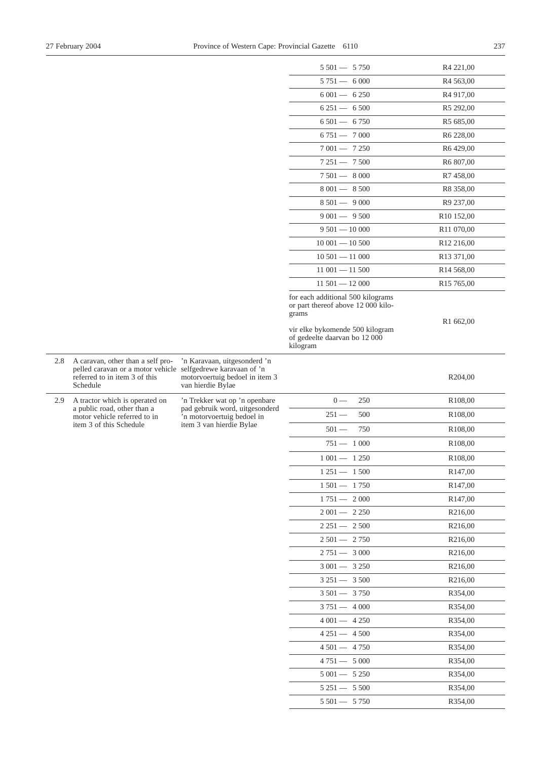2.8 A caravan, other than a self pro-

2.9 A tractor which is operated on a public road, other than a motor vehicle referred to in item 3 of this Schedule

|                                                                                                                                                |                                                                                          | $5\,501 - 5\,750$                                                            | R4 221,00              |
|------------------------------------------------------------------------------------------------------------------------------------------------|------------------------------------------------------------------------------------------|------------------------------------------------------------------------------|------------------------|
|                                                                                                                                                |                                                                                          | $5751 - 6000$                                                                | R <sub>4</sub> 563,00  |
|                                                                                                                                                |                                                                                          | $6001 - 6250$                                                                | R <sub>4</sub> 917,00  |
|                                                                                                                                                |                                                                                          | $6251 - 6500$                                                                | R <sub>5</sub> 292,00  |
|                                                                                                                                                |                                                                                          | $6501 - 6750$                                                                | R5 685,00              |
|                                                                                                                                                |                                                                                          | $6751 - 7000$                                                                | R <sub>6</sub> 228,00  |
|                                                                                                                                                |                                                                                          | $7001 - 7250$                                                                | R6429,00               |
|                                                                                                                                                |                                                                                          | $7251 - 7500$                                                                | R6 807,00              |
|                                                                                                                                                |                                                                                          | $7501 - 8000$                                                                | R7 458,00              |
|                                                                                                                                                |                                                                                          | 8 001 - 8 500                                                                | R8 358,00              |
|                                                                                                                                                |                                                                                          | $8501 - 9000$                                                                | R9 237,00              |
|                                                                                                                                                |                                                                                          | $9001 - 9500$                                                                | R <sub>10</sub> 152,00 |
|                                                                                                                                                |                                                                                          | $9501 - 10000$                                                               | R11 070,00             |
|                                                                                                                                                |                                                                                          | $10001 - 10500$                                                              | R <sub>12</sub> 216,00 |
|                                                                                                                                                |                                                                                          | $10501 - 11000$                                                              | R13 371,00             |
|                                                                                                                                                |                                                                                          | $11001 - 11500$                                                              | R <sub>14</sub> 568,00 |
|                                                                                                                                                |                                                                                          | $11501 - 12000$                                                              | R <sub>15</sub> 765,00 |
|                                                                                                                                                |                                                                                          | for each additional 500 kilograms                                            |                        |
|                                                                                                                                                |                                                                                          | or part thereof above 12 000 kilo-<br>grams                                  |                        |
|                                                                                                                                                |                                                                                          |                                                                              | R1 662,00              |
|                                                                                                                                                |                                                                                          | vir elke bykomende 500 kilogram<br>of gedeelte daarvan bo 12 000<br>kilogram |                        |
| A caravan, other than a self pro-<br>pelled caravan or a motor vehicle selfgedrewe karavaan of 'n<br>referred to in item 3 of this<br>Schedule | 'n Karavaan, uitgesonderd 'n<br>motorvoertuig bedoel in item 3<br>van hierdie Bylae      |                                                                              | R204,00                |
| A tractor which is operated on                                                                                                                 | 'n Trekker wat op 'n openbare                                                            | $0 -$<br>250                                                                 | R <sub>108,00</sub>    |
| a public road, other than a<br>motor vehicle referred to in                                                                                    | pad gebruik word, uitgesonderd<br>'n motorvoertuig bedoel in<br>item 3 van hierdie Bylae | $251 -$<br>500                                                               | R <sub>108</sub> ,00   |
| item 3 of this Schedule                                                                                                                        |                                                                                          | $501 -$<br>750                                                               | R108,00                |
|                                                                                                                                                |                                                                                          | $751 - 1000$                                                                 | R <sub>108</sub> ,00   |
|                                                                                                                                                |                                                                                          | $1001 - 1250$                                                                | R <sub>108</sub> ,00   |
|                                                                                                                                                |                                                                                          | $1251 - 1500$                                                                | R <sub>147</sub> ,00   |
|                                                                                                                                                |                                                                                          | $1501 - 1750$                                                                | R <sub>147,00</sub>    |
|                                                                                                                                                |                                                                                          | $1751 - 2000$                                                                | R <sub>147</sub> ,00   |
|                                                                                                                                                |                                                                                          | $2001 - 2250$                                                                | R <sub>2</sub> 16,00   |
|                                                                                                                                                |                                                                                          | $2251 - 2500$                                                                | R <sub>2</sub> 16,00   |
|                                                                                                                                                |                                                                                          | $2501 - 2750$                                                                | R <sub>2</sub> 16,00   |
|                                                                                                                                                |                                                                                          | $2751 - 3000$                                                                | R <sub>2</sub> 16,00   |
|                                                                                                                                                |                                                                                          | $3001 - 3250$                                                                | R <sub>2</sub> 16,00   |
|                                                                                                                                                |                                                                                          | $3251 - 3500$                                                                | R <sub>2</sub> 16,00   |
|                                                                                                                                                |                                                                                          | $3501 - 3750$                                                                | R354,00                |
|                                                                                                                                                |                                                                                          | $3751 - 4000$                                                                |                        |
|                                                                                                                                                |                                                                                          | $4001 - 4250$                                                                | R354,00                |
|                                                                                                                                                |                                                                                          |                                                                              | R354,00                |
|                                                                                                                                                |                                                                                          | $4251 - 4500$                                                                | R354,00                |
|                                                                                                                                                |                                                                                          | $4501 - 4750$                                                                | R354,00                |
|                                                                                                                                                |                                                                                          | $4751 - 5000$                                                                | R354,00                |
|                                                                                                                                                |                                                                                          | $5001 - 5250$                                                                | R354,00                |
|                                                                                                                                                |                                                                                          | $5251 - 5500$                                                                | R354,00                |
|                                                                                                                                                |                                                                                          | $5\,501 - 5\,750$                                                            | R354,00                |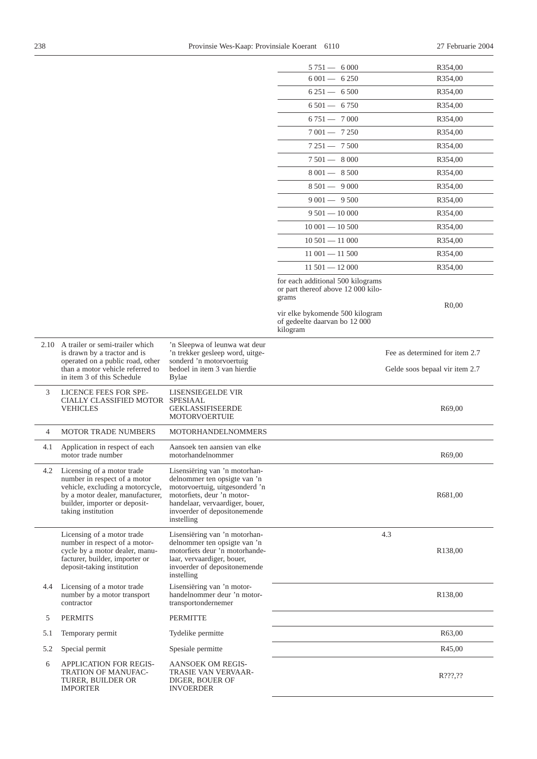|                |                                                                                                                                                                                           |                                                                                                                                                                                                                | $5751 - 6000$                                                                    | R354,00                                                          |
|----------------|-------------------------------------------------------------------------------------------------------------------------------------------------------------------------------------------|----------------------------------------------------------------------------------------------------------------------------------------------------------------------------------------------------------------|----------------------------------------------------------------------------------|------------------------------------------------------------------|
|                |                                                                                                                                                                                           |                                                                                                                                                                                                                | $6001 - 6250$                                                                    | R354,00                                                          |
|                |                                                                                                                                                                                           |                                                                                                                                                                                                                | $6251 - 6500$                                                                    | R354,00                                                          |
|                |                                                                                                                                                                                           |                                                                                                                                                                                                                | $6501 - 6750$                                                                    | R354,00                                                          |
|                |                                                                                                                                                                                           |                                                                                                                                                                                                                | $6751 - 7000$                                                                    | R354,00                                                          |
|                |                                                                                                                                                                                           |                                                                                                                                                                                                                | $7001 - 7250$                                                                    | R354,00                                                          |
|                |                                                                                                                                                                                           |                                                                                                                                                                                                                | $7251 - 7500$                                                                    | R354,00                                                          |
|                |                                                                                                                                                                                           |                                                                                                                                                                                                                | $7501 - 8000$                                                                    | R354,00                                                          |
|                |                                                                                                                                                                                           |                                                                                                                                                                                                                | 8 001 - 8 500                                                                    | R354,00                                                          |
|                |                                                                                                                                                                                           |                                                                                                                                                                                                                | $8501 - 9000$                                                                    | R354,00                                                          |
|                |                                                                                                                                                                                           |                                                                                                                                                                                                                | $9001 - 9500$                                                                    | R354,00                                                          |
|                |                                                                                                                                                                                           |                                                                                                                                                                                                                | $9501 - 10000$                                                                   | R354,00                                                          |
|                |                                                                                                                                                                                           |                                                                                                                                                                                                                | $10001 - 10500$                                                                  | R354,00                                                          |
|                |                                                                                                                                                                                           |                                                                                                                                                                                                                | $10\,501 - 11\,000$                                                              | R354,00                                                          |
|                |                                                                                                                                                                                           |                                                                                                                                                                                                                | $11001 - 11500$                                                                  | R354,00                                                          |
|                |                                                                                                                                                                                           |                                                                                                                                                                                                                | $11501 - 12000$                                                                  | R354,00                                                          |
|                |                                                                                                                                                                                           |                                                                                                                                                                                                                | for each additional 500 kilograms<br>or part thereof above 12 000 kilo-<br>grams |                                                                  |
|                |                                                                                                                                                                                           |                                                                                                                                                                                                                | vir elke bykomende 500 kilogram<br>of gedeelte daarvan bo 12 000<br>kilogram     | R <sub>0</sub> ,00                                               |
|                | 2.10 A trailer or semi-trailer which<br>is drawn by a tractor and is<br>operated on a public road, other<br>than a motor vehicle referred to                                              | 'n Sleepwa of leunwa wat deur<br>'n trekker gesleep word, uitge-<br>sonderd 'n motorvoertuig<br>bedoel in item 3 van hierdie                                                                                   |                                                                                  | Fee as determined for item 2.7<br>Gelde soos bepaal vir item 2.7 |
|                | in item 3 of this Schedule                                                                                                                                                                | <b>Bylae</b>                                                                                                                                                                                                   |                                                                                  |                                                                  |
| 3              | LICENCE FEES FOR SPE-<br>CIALLY CLASSIFIED MOTOR SPESIAAL<br><b>VEHICLES</b>                                                                                                              | LISENSIEGELDE VIR<br><b>GEKLASSIFISEERDE</b><br><b>MOTORVOERTUIE</b>                                                                                                                                           |                                                                                  | R <sub>69</sub> ,00                                              |
| $\overline{4}$ | <b>MOTOR TRADE NUMBERS</b>                                                                                                                                                                | <b>MOTORHANDELNOMMERS</b>                                                                                                                                                                                      |                                                                                  |                                                                  |
| 4.1            | Application in respect of each<br>motor trade number                                                                                                                                      | Aansoek ten aansien van elke<br>motorhandelnommer                                                                                                                                                              |                                                                                  | R69,00                                                           |
| 4.2            | Licensing of a motor trade<br>number in respect of a motor<br>vehicle, excluding a motorcycle,<br>by a motor dealer, manufacturer,<br>builder, importer or deposit-<br>taking institution | Lisensiëring van 'n motorhan-<br>delnommer ten opsigte van 'n<br>motorvoertuig, uitgesonderd 'n<br>motorfiets, deur 'n motor-<br>handelaar, vervaardiger, bouer,<br>invoerder of depositonemende<br>instelling |                                                                                  | R681,00                                                          |
|                | Licensing of a motor trade<br>number in respect of a motor-<br>cycle by a motor dealer, manu-<br>facturer, builder, importer or<br>deposit-taking institution                             | Lisensiëring van 'n motorhan-<br>delnommer ten opsigte van 'n<br>motorfiets deur 'n motorhande-<br>laar, vervaardiger, bouer,<br>invoerder of depositonemende<br>instelling                                    |                                                                                  | 4.3<br>R138,00                                                   |
| 4.4            | Licensing of a motor trade<br>number by a motor transport<br>contractor                                                                                                                   | Lisensiëring van 'n motor-<br>handelnommer deur 'n motor-<br>transportondernemer                                                                                                                               |                                                                                  | R138,00                                                          |
| 5              | <b>PERMITS</b>                                                                                                                                                                            | <b>PERMITTE</b>                                                                                                                                                                                                |                                                                                  |                                                                  |
| 5.1            | Temporary permit                                                                                                                                                                          | Tydelike permitte                                                                                                                                                                                              |                                                                                  | R63,00                                                           |
| 5.2            | Special permit                                                                                                                                                                            | Spesiale permitte                                                                                                                                                                                              |                                                                                  | R <sub>45</sub> ,00                                              |
| 6              | APPLICATION FOR REGIS-<br>TRATION OF MANUFAC-<br>TURER, BUILDER OR<br><b>IMPORTER</b>                                                                                                     | AANSOEK OM REGIS-<br>TRASIE VAN VERVAAR-<br>DIGER, BOUER OF<br><b>INVOERDER</b>                                                                                                                                |                                                                                  | R???,??                                                          |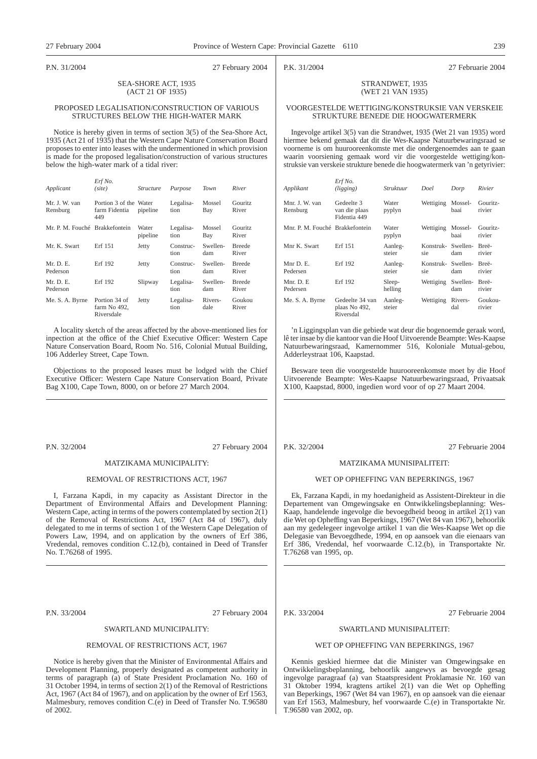#### P.N. 31/2004 27 February 2004

# P.K. 31/2004 27 Februarie 2004

#### SEA-SHORE ACT, 1935 (ACT 21 OF 1935)

#### PROPOSED LEGALISATION/CONSTRUCTION OF VARIOUS STRUCTURES BELOW THE HIGH-WATER MARK

Notice is hereby given in terms of section 3(5) of the Sea-Shore Act, 1935 (Act 21 of 1935) that the Western Cape Nature Conservation Board proposes to enter into leases with the undermentioned in which provision is made for the proposed legalisation/construction of various structures below the high-water mark of a tidal river:

| Applicant                      | Erf No.<br>(site)                              | <i>Structure</i>  | Purpose           | <b>Town</b>     | River                   |
|--------------------------------|------------------------------------------------|-------------------|-------------------|-----------------|-------------------------|
| Mr. J. W. van<br>Rensburg      | Portion 3 of the Water<br>farm Fidentia<br>449 | pipeline          | Legalisa-<br>tion | Mossel<br>Bay   | <b>Gouritz</b><br>River |
| Mr. P. M. Fouché Brakkefontein |                                                | Water<br>pipeline | Legalisa-<br>tion | Mossel<br>Bay   | <b>Gouritz</b><br>River |
| Mr. K. Swart                   | Erf 151                                        | Jetty             | Construc-<br>tion | Swellen-<br>dam | <b>Breede</b><br>River  |
| Mr. D. E.<br>Pederson          | Erf 192                                        | Jetty             | Construc-<br>tion | Swellen-<br>dam | <b>Breede</b><br>River  |
| Mr. D. E.<br>Pederson          | Erf 192                                        | Slipway           | Legalisa-<br>tion | Swellen-<br>dam | <b>Breede</b><br>River  |
| Me. S. A. Byrne                | Portion 34 of<br>farm No 492,<br>Riversdale    | Jetty             | Legalisa-<br>tion | Rivers-<br>dale | Goukou<br>River         |

A locality sketch of the areas affected by the above-mentioned lies for inpection at the office of the Chief Executive Officer: Western Cape Nature Conservation Board, Room No. 516, Colonial Mutual Building, 106 Adderley Street, Cape Town.

Objections to the proposed leases must be lodged with the Chief Executive Officer: Western Cape Nature Conservation Board, Private Bag X100, Cape Town, 8000, on or before 27 March 2004.

P.N. 32/2004 27 February 2004

# MATZIKAMA MUNICIPALITY:

#### REMOVAL OF RESTRICTIONS ACT, 1967

I, Farzana Kapdi, in my capacity as Assistant Director in the Department of Environmental Affairs and Development Planning: Western Cape, acting in terms of the powers contemplated by section  $2(1)$ of the Removal of Restrictions Act, 1967 (Act 84 of 1967), duly delegated to me in terms of section 1 of the Western Cape Delegation of Powers Law, 1994, and on application by the owners of Erf 386, Vredendal, removes condition C.12.(b), contained in Deed of Transfer No. T.76268 of 1995.

P.N. 33/2004 27 February 2004

# SWARTLAND MUNICIPALITY:

#### REMOVAL OF RESTRICTIONS ACT, 1967

Notice is hereby given that the Minister of Environmental Affairs and Development Planning, properly designated as competent authority in terms of paragraph (a) of State President Proclamation No. 160 of 31 October 1994, in terms of section 2(1) of the Removal of Restrictions Act, 1967 (Act 84 of 1967), and on application by the owner of Erf 1563, Malmesbury, removes condition C.(e) in Deed of Transfer No. T.96580 of 2002.

#### STRANDWET, 1935 (WET 21 VAN 1935)

#### VOORGESTELDE WETTIGING/KONSTRUKSIE VAN VERSKEIE STRUKTURE BENEDE DIE HOOGWATERMERK

Ingevolge artikel 3(5) van die Strandwet, 1935 (Wet 21 van 1935) word hiermee bekend gemaak dat dit die Wes-Kaapse Natuurbewaringsraad se voorneme is om huurooreenkomste met die ondergenoemdes aan te gaan waarin voorsiening gemaak word vir die voorgestelde wettiging/konstruksie van verskeie strukture benede die hoogwatermerk van 'n getyrivier:

| Applikant                       | Erf No.<br>(ligging)                          | <b>Struktuur</b>  | Doel                      | Dorp            | Rivier             |
|---------------------------------|-----------------------------------------------|-------------------|---------------------------|-----------------|--------------------|
| Mnr. J. W. van<br>Rensburg      | Gedeelte 3<br>van die plaas<br>Fidentia 449   | Water<br>pyplyn   | Wettiging                 | Mossel-<br>haai | Gouritz-<br>rivier |
| Mnr. P. M. Fouché Brakkefontein |                                               | Water<br>pyplyn   | Wettiging                 | Mossel-<br>haai | Gouritz-<br>rivier |
| Mnr K. Swart                    | Erf 151                                       | Aanleg-<br>steier | Konstruk- Swellen-<br>sie | dam             | Breë-<br>rivier    |
| Mnr D. E.<br>Pedersen           | Erf 192                                       | Aanleg-<br>steier | Konstruk- Swellen-<br>sie | dam             | Breë-<br>rivier    |
| Mnr. D. E<br>Pedersen           | Erf 192                                       | Sleep-<br>helling | Wettiging                 | Swellen-<br>dam | Breë-<br>rivier    |
| Me. S. A. Byrne                 | Gedeelte 34 van<br>plaas No 492,<br>Riversdal | Aanleg-<br>steier | Wettiging                 | Rivers-<br>dal  | Goukou-<br>rivier  |

'n Liggingsplan van die gebiede wat deur die bogenoemde geraak word, lê ter insae by die kantoor van die Hoof Uitvoerende Beampte: Wes-Kaapse Natuurbewaringsraad, Kamernommer 516, Koloniale Mutual-gebou, Adderleystraat 106, Kaapstad.

Besware teen die voorgestelde huurooreenkomste moet by die Hoof Uitvoerende Beampte: Wes-Kaapse Natuurbewaringsraad, Privaatsak X100, Kaapstad, 8000, ingedien word voor of op 27 Maart 2004.

P.K. 32/2004 27 Februarie 2004

# MATZIKAMA MUNISIPALITEIT:

#### WET OP OPHEFFING VAN BEPERKINGS, 1967

Ek, Farzana Kapdi, in my hoedanigheid as Assistent-Direkteur in die Departement van Omgewingsake en Ontwikkelingsbeplanning: Wes-Kaap, handelende ingevolge die bevoegdheid beoog in artikel 2(1) van die Wet op Opheffing van Beperkings, 1967 (Wet 84 van 1967), behoorlik aan my gedelegeer ingevolge artikel 1 van die Wes-Kaapse Wet op die Delegasie van Bevoegdhede, 1994, en op aansoek van die eienaars van Erf 386, Vredendal, hef voorwaarde C.12.(b), in Transportakte Nr. T.76268 van 1995, op.

P.K. 33/2004 27 Februarie 2004

# SWARTLAND MUNISIPALITEIT:

#### WET OP OPHEFFING VAN BEPERKINGS, 1967

Kennis geskied hiermee dat die Minister van Omgewingsake en Ontwikkelingsbeplanning, behoorlik aangewys as bevoegde gesag ingevolge paragraaf (a) van Staatspresident Proklamasie Nr. 160 van 31 Oktober 1994, kragtens artikel 2(1) van die Wet op Opheffing van Beperkings, 1967 (Wet 84 van 1967), en op aansoek van die eienaar van Erf 1563, Malmesbury, hef voorwaarde C.(e) in Transportakte Nr. T.96580 van 2002, op.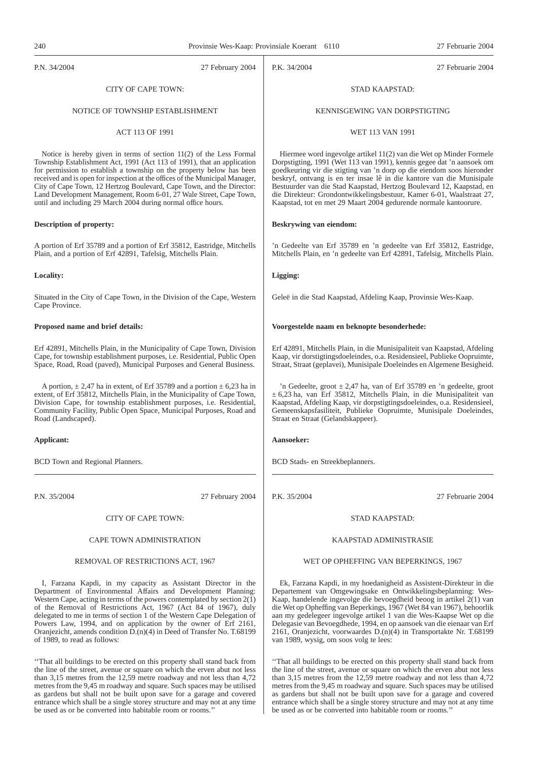P.N. 34/2004 27 February 2004

P.K. 34/2004 27 Februarie 2004

# CITY OF CAPE TOWN:

#### NOTICE OF TOWNSHIP ESTABLISHMENT

# ACT 113 OF 1991

Notice is hereby given in terms of section 11(2) of the Less Formal Township Establishment Act, 1991 (Act 113 of 1991), that an application for permission to establish a township on the property below has been received and is open for inspection at the offices of the Municipal Manager, City of Cape Town, 12 Hertzog Boulevard, Cape Town, and the Director: Land Development Management, Room 6-01, 27 Wale Street, Cape Town, until and including 29 March 2004 during normal office hours.

#### **Description of property:**

A portion of Erf 35789 and a portion of Erf 35812, Eastridge, Mitchells Plain, and a portion of Erf 42891, Tafelsig, Mitchells Plain.

#### **Locality:**

Situated in the City of Cape Town, in the Division of the Cape, Western Cape Province.

#### **Proposed name and brief details:**

Erf 42891, Mitchells Plain, in the Municipality of Cape Town, Division Cape, for township establishment purposes, i.e. Residential, Public Open Space, Road, Road (paved), Municipal Purposes and General Business.

A portion,  $\pm$  2,47 ha in extent, of Erf 35789 and a portion  $\pm$  6,23 ha in extent, of Erf 35812, Mitchells Plain, in the Municipality of Cape Town, Division Cape, for township establishment purposes, i.e. Residential, Community Facility, Public Open Space, Municipal Purposes, Road and Road (Landscaped).

#### **Applicant:**

BCD Town and Regional Planners.

P.N. 35/2004 27 February 2004

#### CITY OF CAPE TOWN:

#### CAPE TOWN ADMINISTRATION

#### REMOVAL OF RESTRICTIONS ACT, 1967

I, Farzana Kapdi, in my capacity as Assistant Director in the Department of Environmental Affairs and Development Planning: Western Cape, acting in terms of the powers contemplated by section  $2(\tilde{1})$ of the Removal of Restrictions Act, 1967 (Act 84 of 1967), duly delegated to me in terms of section 1 of the Western Cape Delegation of Powers Law, 1994, and on application by the owner of Erf 2161, Oranjezicht, amends condition D.(n)(4) in Deed of Transfer No. T.68199 of 1989, to read as follows:

''That all buildings to be erected on this property shall stand back from the line of the street, avenue or square on which the erven abut not less than 3,15 metres from the 12,59 metre roadway and not less than 4,72 metres from the 9,45 m roadway and square. Such spaces may be utilised as gardens but shall not be built upon save for a garage and covered entrance which shall be a single storey structure and may not at any time be used as or be converted into habitable room or rooms.''

# STAD KAAPSTAD:

#### KENNISGEWING VAN DORPSTIGTING

## WET 113 VAN 1991

Hiermee word ingevolge artikel 11(2) van die Wet op Minder Formele Dorpstigting, 1991 (Wet 113 van 1991), kennis gegee dat 'n aansoek om goedkeuring vir die stigting van 'n dorp op die eiendom soos hieronder beskryf, ontvang is en ter insae lê in die kantore van die Munisipale Bestuurder van die Stad Kaapstad, Hertzog Boulevard 12, Kaapstad, en die Direkteur: Grondontwikkelingsbestuur, Kamer 6-01, Waalstraat 27, Kaapstad, tot en met 29 Maart 2004 gedurende normale kantoorure.

#### **Beskrywing van eiendom:**

'n Gedeelte van Erf 35789 en 'n gedeelte van Erf 35812, Eastridge, Mitchells Plain, en 'n gedeelte van Erf 42891, Tafelsig, Mitchells Plain.

#### **Ligging:**

Geleë in die Stad Kaapstad, Afdeling Kaap, Provinsie Wes-Kaap.

#### **Voorgestelde naam en beknopte besonderhede:**

Erf 42891, Mitchells Plain, in die Munisipaliteit van Kaapstad, Afdeling Kaap, vir dorstigtingsdoeleindes, o.a. Residensieel, Publieke Oopruimte, Straat, Straat (geplavei), Munisipale Doeleindes en Algemene Besigheid.

'n Gedeelte, groot ± 2,47 ha, van of Erf 35789 en 'n gedeelte, groot ± 6,23 ha, van Erf 35812, Mitchells Plain, in die Munisipaliteit van Kaapstad, Afdeling Kaap, vir dorpstigtingsdoeleindes, o.a. Residensieel, Gemeenskapsfasiliteit, Publieke Oopruimte, Munisipale Doeleindes, Straat en Straat (Gelandskappeer).

## **Aansoeker:**

BCD Stads- en Streekbeplanners.

P.K. 35/2004 27 Februarie 2004

## STAD KAAPSTAD:

#### KAAPSTAD ADMINISTRASIE

#### WET OP OPHEFFING VAN BEPERKINGS, 1967

Ek, Farzana Kapdi, in my hoedanigheid as Assistent-Direkteur in die Departement van Omgewingsake en Ontwikkelingsbeplanning: Wes-Kaap, handelende ingevolge die bevoegdheid beoog in artikel 2(1) van die Wet op Opheffing van Beperkings, 1967 (Wet 84 van 1967), behoorlik aan my gedelegeer ingevolge artikel 1 van die Wes-Kaapse Wet op die Delegasie van Bevoegdhede, 1994, en op aansoek van die eienaar van Erf 2161, Oranjezicht, voorwaardes D.(n)(4) in Transportakte Nr. T.68199 van 1989, wysig, om soos volg te lees:

''That all buildings to be erected on this property shall stand back from the line of the street, avenue or square on which the erven abut not less than 3,15 metres from the 12,59 metre roadway and not less than 4,72 metres from the 9,45 m roadway and square. Such spaces may be utilised as gardens but shall not be built upon save for a garage and covered entrance which shall be a single storey structure and may not at any time be used as or be converted into habitable room or rooms.''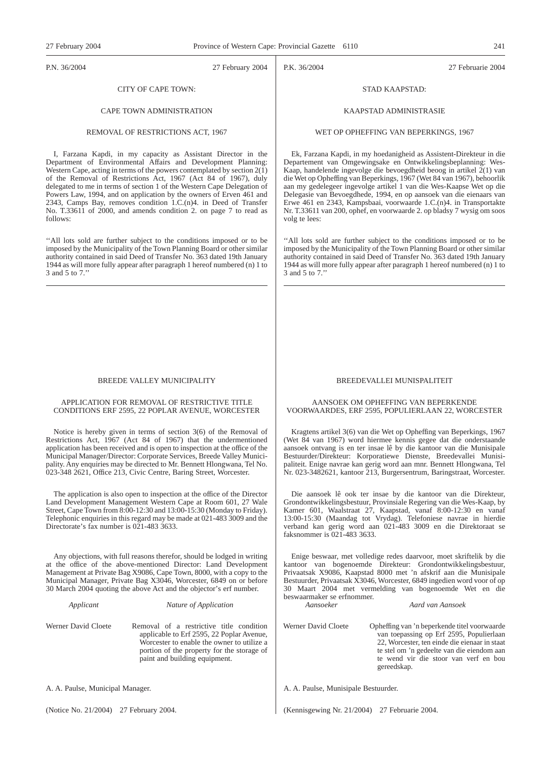P.N. 36/2004 27 February 2004

P.K. 36/2004 27 Februarie 2004

# CITY OF CAPE TOWN:

#### CAPE TOWN ADMINISTRATION

# REMOVAL OF RESTRICTIONS ACT, 1967

I, Farzana Kapdi, in my capacity as Assistant Director in the Department of Environmental Affairs and Development Planning: Western Cape, acting in terms of the powers contemplated by section  $2(\overline{1})$ of the Removal of Restrictions Act, 1967 (Act 84 of 1967), duly delegated to me in terms of section 1 of the Western Cape Delegation of Powers Law, 1994, and on application by the owners of Erven 461 and 2343, Camps Bay, removes condition 1.C.(n)4. in Deed of Transfer No. T.33611 of 2000, and amends condition 2. on page 7 to read as follows:

''All lots sold are further subject to the conditions imposed or to be imposed by the Municipality of the Town Planning Board or other similar authority contained in said Deed of Transfer No. 363 dated 19th January 1944 as will more fully appear after paragraph 1 hereof numbered (n) 1 to 3 and 5 to 7.''

# BREEDE VALLEY MUNICIPALITY

#### APPLICATION FOR REMOVAL OF RESTRICTIVE TITLE CONDITIONS ERF 2595, 22 POPLAR AVENUE, WORCESTER

Notice is hereby given in terms of section 3(6) of the Removal of Restrictions Act, 1967 (Act 84 of 1967) that the undermentioned application has been received and is open to inspection at the office of the Municipal Manager/Director: Corporate Services, Breede Valley Municipality. Any enquiries may be directed to Mr. Bennett Hlongwana, Tel No. 023-348 2621, Office 213, Civic Centre, Baring Street, Worcester.

The application is also open to inspection at the office of the Director Land Development Management Western Cape at Room 601, 27 Wale Street, Cape Town from 8:00-12:30 and 13:00-15:30 (Monday to Friday). Telephonic enquiries in this regard may be made at 021-483 3009 and the Directorate's fax number is 021-483 3633.

Any objections, with full reasons therefor, should be lodged in writing at the office of the above-mentioned Director: Land Development Management at Private Bag X9086, Cape Town, 8000, with a copy to the Municipal Manager, Private Bag X3046, Worcester, 6849 on or before 30 March 2004 quoting the above Act and the objector's erf number.

*Applicant Nature of Application*

Werner David Cloete Removal of a restrictive title condition applicable to Erf 2595, 22 Poplar Avenue, Worcester to enable the owner to utilize a portion of the property for the storage of paint and building equipment.

A. A. Paulse, Municipal Manager.

(Notice No. 21/2004) 27 February 2004.

# STAD KAAPSTAD:

#### KAAPSTAD ADMINISTRASIE

# WET OP OPHEFFING VAN BEPERKINGS, 1967

Ek, Farzana Kapdi, in my hoedanigheid as Assistent-Direkteur in die Departement van Omgewingsake en Ontwikkelingsbeplanning: Wes-Kaap, handelende ingevolge die bevoegdheid beoog in artikel 2(1) van die Wet op Opheffing van Beperkings, 1967 (Wet 84 van 1967), behoorlik aan my gedelegeer ingevolge artikel 1 van die Wes-Kaapse Wet op die Delegasie van Bevoegdhede, 1994, en op aansoek van die eienaars van Erwe 461 en 2343, Kampsbaai, voorwaarde 1.C.(n)4. in Transportakte Nr. T.33611 van 200, ophef, en voorwaarde 2. op bladsy 7 wysig om soos volg te lees:

''All lots sold are further subject to the conditions imposed or to be imposed by the Municipality of the Town Planning Board or other similar authority contained in said Deed of Transfer No. 363 dated 19th January 1944 as will more fully appear after paragraph 1 hereof numbered (n) 1 to 3 and 5 to 7.''

# BREEDEVALLEI MUNISPALITEIT

#### AANSOEK OM OPHEFFING VAN BEPERKENDE VOORWAARDES, ERF 2595, POPULIERLAAN 22, WORCESTER

Kragtens artikel 3(6) van die Wet op Opheffing van Beperkings, 1967 (Wet 84 van 1967) word hiermee kennis gegee dat die onderstaande aansoek ontvang is en ter insae lê by die kantoor van die Munisipale Bestuurder/Direkteur: Korporatiewe Dienste, Breedevallei Munisipaliteit. Enige navrae kan gerig word aan mnr. Bennett Hlongwana, Tel Nr. 023-3482621, kantoor 213, Burgersentrum, Baringstraat, Worcester.

Die aansoek lê ook ter insae by die kantoor van die Direkteur, Grondontwikkelingsbestuur, Provinsiale Regering van die Wes-Kaap, by Kamer 601, Waalstraat 27, Kaapstad, vanaf 8:00-12:30 en vanaf 13:00-15:30 (Maandag tot Vrydag). Telefoniese navrae in hierdie verband kan gerig word aan 021-483 3009 en die Direktoraat se faksnommer is 021-483 3633.

Enige beswaar, met volledige redes daarvoor, moet skriftelik by die kantoor van bogenoemde Direkteur: Grondontwikkelingsbestuur, Privaatsak X9086, Kaapstad 8000 met 'n afskrif aan die Munisipale Bestuurder, Privaatsak X3046, Worcester, 6849 ingedien word voor of op 30 Maart 2004 met vermelding van bogenoemde Wet en die beswaarmaker se erfnommer. *Aansoeker Aard van Aansoek*

Werner David Cloete Opheffing van 'n beperkende titel voorwaarde van toepassing op Erf 2595, Populierlaan 22, Worcester, ten einde die eienaar in staat te stel om 'n gedeelte van die eiendom aan te wend vir die stoor van verf en bou gereedskap.

A. A. Paulse, Munisipale Bestuurder.

(Kennisgewing Nr. 21/2004) 27 Februarie 2004.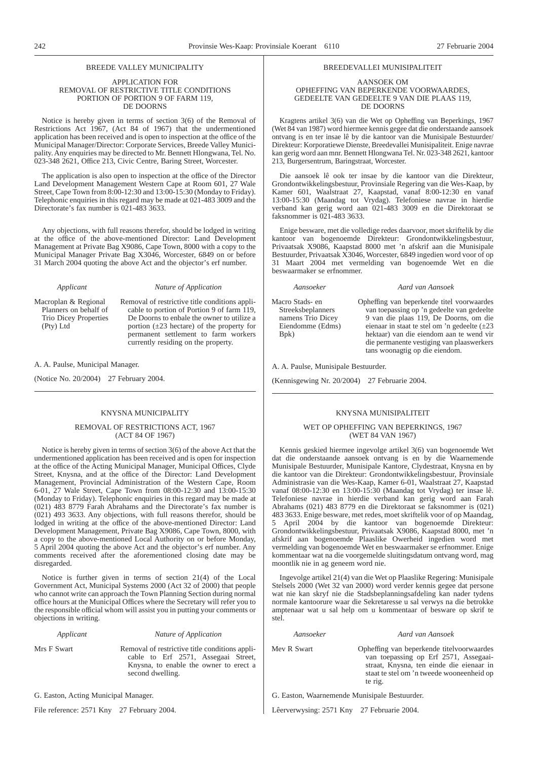#### BREEDE VALLEY MUNICIPALITY

#### APPLICATION FOR REMOVAL OF RESTRICTIVE TITLE CONDITIONS PORTION OF PORTION 9 OF FARM 119, DE DOORNS

Notice is hereby given in terms of section 3(6) of the Removal of Restrictions Act 1967, (Act 84 of 1967) that the undermentioned application has been received and is open to inspection at the office of the Municipal Manager/Director: Corporate Services, Breede Valley Municipality. Any enquiries may be directed to Mr. Bennett Hlongwana, Tel. No. 023-348 2621, Office 213, Civic Centre, Baring Street, Worcester.

The application is also open to inspection at the office of the Director Land Development Management Western Cape at Room 601, 27 Wale Street, Cape Town from 8:00-12:30 and 13:00-15:30 (Monday to Friday). Telephonic enquiries in this regard may be made at 021-483 3009 and the Directorate's fax number is 021-483 3633.

Any objections, with full reasons therefor, should be lodged in writing at the office of the above-mentioned Director: Land Development Management at Private Bag X9086, Cape Town, 8000 with a copy to the Municipal Manager Private Bag X3046, Worcester, 6849 on or before 31 March 2004 quoting the above Act and the objector's erf number.

#### *Applicant Nature of Application*

Macroplan & Regional Planners on behalf of Trio Dicey Properties (Pty) Ltd

Removal of restrictive title conditions applicable to portion of Portion 9 of farm 119, De Doorns to enbale the owner to utilize a portion (±23 hectare) of the property for permanent settlement to farm workers currently residing on the property.

A. A. Paulse, Municipal Manager.

(Notice No. 20/2004) 27 February 2004.

### KNYSNA MUNICIPALITY

#### REMOVAL OF RESTRICTIONS ACT, 1967 (ACT 84 OF 1967)

Notice is hereby given in terms of section 3(6) of the above Act that the undermentioned application has been received and is open for inspection at the office of the Acting Municipal Manager, Municipal Offices, Clyde Street, Knysna, and at the office of the Director: Land Development Management, Provincial Administration of the Western Cape, Room 6-01, 27 Wale Street, Cape Town from 08:00-12:30 and 13:00-15:30 (Monday to Friday). Telephonic enquiries in this regard may be made at (021) 483 8779 Farah Abrahams and the Directorate's fax number is (021) 493 3633. Any objections, with full reasons therefor, should be lodged in writing at the office of the above-mentioned Director: Land Development Management, Private Bag X9086, Cape Town, 8000, with a copy to the above-mentioned Local Authority on or before Monday, 5 April 2004 quoting the above Act and the objector's erf number. Any comments received after the aforementioned closing date may be disregarded.

Notice is further given in terms of section 21(4) of the Local Government Act, Municipal Systems 2000 (Act 32 of 2000) that people who cannot write can approach the Town Planning Section during normal office hours at the Municipal Offices where the Secretary will refer you to the responsible official whom will assist you in putting your comments or objections in writing.

*Applicant Nature of Application*

Mrs F Swart Removal of restrictive title conditions applicable to Erf 2571, Assegaai Street, Knysna, to enable the owner to erect a second dwelling.

G. Easton, Acting Municipal Manager.

File reference: 2571 Kny 27 February 2004.

#### BREEDEVALLEI MUNISIPALITEIT

#### AANSOEK OM OPHEFFING VAN BEPERKENDE VOORWAARDES, GEDEELTE VAN GEDEELTE 9 VAN DIE PLAAS 119, DE DOORNS

Kragtens artikel 3(6) van die Wet op Opheffing van Beperkings, 1967 (Wet 84 van 1987) word hiermee kennis gegee dat die onderstaande aansoek ontvang is en ter insae lê by die kantoor van die Munisipale Bestuurder/ Direkteur: Korporatiewe Dienste, Breedevallei Munisipaliteit. Enige navrae kan gerig word aan mnr. Bennett Hlongwana Tel. Nr. 023-348 2621, kantoor 213, Burgersentrum, Baringstraat, Worcester.

Die aansoek lê ook ter insae by die kantoor van die Direkteur, Grondontwikkelingsbestuur, Provinsiale Regering van die Wes-Kaap, by Kamer 601, Waalstraat 27, Kaapstad, vanaf 8:00-12:30 en vanaf 13:00-15:30 (Maandag tot Vrydag). Telefoniese navrae in hierdie verband kan gerig word aan 021-483 3009 en die Direktoraat se faksnommer is 021-483 3633.

Enige besware, met die volledige redes daarvoor, moet skriftelik by die kantoor van bogenoemde Direkteur: Grondontwikkelingsbestuur, Privaatsak X9086, Kaapstad 8000 met 'n afskrif aan die Munisipale Bestuurder, Privaatsak X3046, Worcester, 6849 ingedien word voor of op 31 Maart 2004 met vermelding van bogenoemde Wet en die beswaarmaker se erfnommer.

Macro Stads- en Streeksbeplanners namens Trio Dicey Eiendomme (Edms)

Bpk)

#### *Aansoeker Aard van Aansoek*

Opheffing van beperkende titel voorwaardes van toepassing op 'n gedeelte van gedeelte 9 van die plaas 119, De Doorns, om die eienaar in staat te stel om 'n gedeelte (±23 hektaar) van die eiendom aan te wend vir die permanente vestiging van plaaswerkers tans woonagtig op die eiendom.

A. A. Paulse, Munisipale Bestuurder.

(Kennisgewing Nr. 20/2004) 27 Februarie 2004.

### KNYSNA MUNISIPALITEIT

#### WET OP OPHEFFING VAN BEPERKINGS, 1967 (WET 84 VAN 1967)

Kennis geskied hiermee ingevolge artikel 3(6) van bogenoemde Wet dat die onderstaande aansoek ontvang is en by die Waarnemende Munisipale Bestuurder, Munisipale Kantore, Clydestraat, Knysna en by die kantoor van die Direkteur: Grondontwikkelingsbestuur, Provinsiale Administrasie van die Wes-Kaap, Kamer 6-01, Waalstraat 27, Kaapstad vanaf 08:00-12:30 en 13:00-15:30 (Maandag tot Vrydag) ter insae lê. Telefoniese navrae in hierdie verband kan gerig word aan Farah Abrahams (021) 483 8779 en die Direktoraat se faksnommer is (021) 483 3633. Enige besware, met redes, moet skriftelik voor of op Maandag, 5 April 2004 by die kantoor van bogenoemde Direkteur: Grondontwikkelingsbestuur, Privaatsak X9086, Kaapstad 8000, met 'n afskrif aan bogenoemde Plaaslike Owerheid ingedien word met vermelding van bogenoemde Wet en beswaarmaker se erfnommer. Enige kommentaar wat na die voorgemelde sluitingsdatum ontvang word, mag moontlik nie in ag geneem word nie.

Ingevolge artikel 21(4) van die Wet op Plaaslike Regering: Munisipale Stelsels 2000 (Wet 32 van 2000) word verder kennis gegee dat persone wat nie kan skryf nie die Stadsbeplanningsafdeling kan nader tydens normale kantoorure waar die Sekretaresse u sal verwys na die betrokke amptenaar wat u sal help om u kommentaar of besware op skrif te stel.

#### *Aansoeker Aard van Aansoek*

Mev R Swart Opheffing van beperkende titelvoorwaardes van toepassing op Erf 2571, Assegaaistraat, Knysna, ten einde die eienaar in staat te stel om 'n tweede wooneenheid op te rig.

G. Easton, Waarnemende Munisipale Bestuurder.

Lêerverwysing: 2571 Kny 27 Februarie 2004.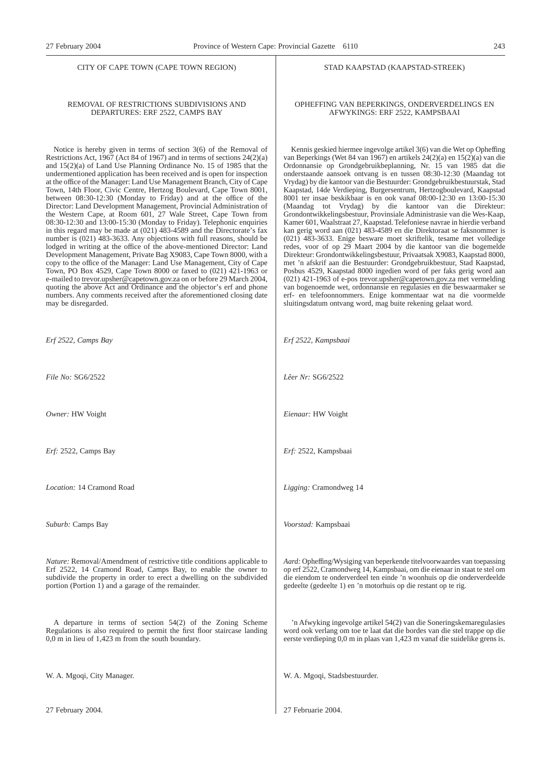#### CITY OF CAPE TOWN (CAPE TOWN REGION)

## REMOVAL OF RESTRICTIONS SUBDIVISIONS AND DEPARTURES: ERF 2522, CAMPS BAY

Notice is hereby given in terms of section 3(6) of the Removal of Restrictions Act,  $1967$  (Act 84 of 1967) and in terms of sections  $24(2)(a)$ and 15(2)(a) of Land Use Planning Ordinance No. 15 of 1985 that the undermentioned application has been received and is open for inspection at the office of the Manager: Land Use Management Branch, City of Cape Town, 14th Floor, Civic Centre, Hertzog Boulevard, Cape Town 8001, between 08:30-12:30 (Monday to Friday) and at the office of the Director: Land Development Management, Provincial Administration of the Western Cape, at Room 601, 27 Wale Street, Cape Town from 08:30-12:30 and 13:00-15:30 (Monday to Friday). Telephonic enquiries in this regard may be made at (021) 483-4589 and the Directorate's fax number is (021) 483-3633. Any objections with full reasons, should be lodged in writing at the office of the above-mentioned Director: Land Development Management, Private Bag X9083, Cape Town 8000, with a copy to the office of the Manager: Land Use Management, City of Cape Town, PO Box 4529, Cape Town 8000 or faxed to (021) 421-1963 or e-mailed to trevor.upsher@capetown.gov.za on or before 29 March 2004, quoting the above Act and Ordinance and the objector's erf and phone numbers. Any comments received after the aforementioned closing date may be disregarded.

*Erf 2522, Camps Bay*

*File No:* SG6/2522

*Owner:* HW Voight

*Erf:* 2522, Camps Bay

*Location:* 14 Cramond Road

*Suburb:* Camps Bay

*Nature:* Removal/Amendment of restrictive title conditions applicable to Erf 2522, 14 Cramond Road, Camps Bay, to enable the owner to subdivide the property in order to erect a dwelling on the subdivided portion (Portion 1) and a garage of the remainder.

A departure in terms of section 54(2) of the Zoning Scheme Regulations is also required to permit the first floor staircase landing 0,0 m in lieu of 1,423 m from the south boundary.

W. A. Mgoqi, City Manager.

27 February 2004.

#### STAD KAAPSTAD (KAAPSTAD-STREEK)

#### OPHEFFING VAN BEPERKINGS, ONDERVERDELINGS EN AFWYKINGS: ERF 2522, KAMPSBAAI

Kennis geskied hiermee ingevolge artikel 3(6) van die Wet op Opheffing van Beperkings (Wet 84 van 1967) en artikels 24(2)(a) en 15(2)(a) van die Ordonnansie op Grondgebruikbeplanning, Nr. 15 van 1985 dat die onderstaande aansoek ontvang is en tussen 08:30-12:30 (Maandag tot Vrydag) by die kantoor van die Bestuurder: Grondgebruikbestuurstak, Stad Kaapstad, 14de Verdieping, Burgersentrum, Hertzogboulevard, Kaapstad 8001 ter insae beskikbaar is en ook vanaf 08:00-12:30 en 13:00-15:30 (Maandag tot Vrydag) by die kantoor van die Direkteur: Grondontwikkelingsbestuur, Provinsiale Administrasie van die Wes-Kaap, Kamer 601, Waalstraat 27, Kaapstad. Telefoniese navrae in hierdie verband kan gerig word aan (021) 483-4589 en die Direktoraat se faksnommer is (021) 483-3633. Enige besware moet skriftelik, tesame met volledige redes, voor of op 29 Maart 2004 by die kantoor van die bogemelde Direkteur: Grondontwikkelingsbestuur, Privaatsak X9083, Kaapstad 8000, met 'n afskrif aan die Bestuurder: Grondgebruikbestuur, Stad Kaapstad, Posbus 4529, Kaapstad 8000 ingedien word of per faks gerig word aan (021) 421-1963 of e-pos trevor.upsher@capetown.gov.za met vermelding van bogenoemde wet, ordonnansie en regulasies en die beswaarmaker se erf- en telefoonnommers. Enige kommentaar wat na die voormelde sluitingsdatum ontvang word, mag buite rekening gelaat word.

*Erf 2522, Kampsbaai*

*Lêer Nr:* SG6/2522

*Eienaar:* HW Voight

*Erf:* 2522, Kampsbaai

*Ligging:* Cramondweg 14

*Voorstad:* Kampsbaai

*Aard:* Opheffing/Wysiging van beperkende titelvoorwaardes van toepassing op erf 2522, Cramondweg 14, Kampsbaai, om die eienaar in staat te stel om die eiendom te onderverdeel ten einde 'n woonhuis op die onderverdeelde gedeelte (gedeelte 1) en 'n motorhuis op die restant op te rig.

'n Afwyking ingevolge artikel 54(2) van die Soneringskemaregulasies word ook verlang om toe te laat dat die bordes van die stel trappe op die eerste verdieping 0,0 m in plaas van 1,423 m vanaf die suidelike grens is.

W. A. Mgoqi, Stadsbestuurder.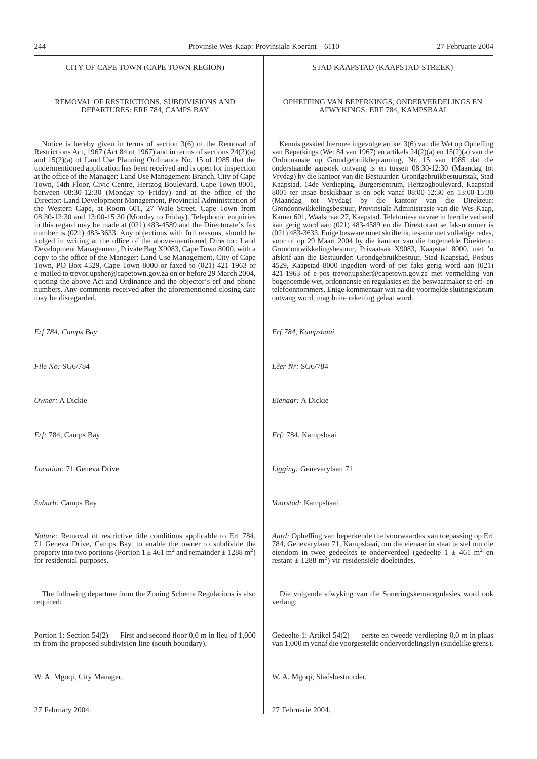STAD KAAPSTAD (KAAPSTAD-STREEK)

OPHEFFING VAN BEPERKINGS, ONDERVERDELINGS EN AFWYKINGS: ERF 784, KAMPSBAAI

Kennis geskied hiermee ingevolge artikel 3(6) van die Wet op Opheffing van Beperkings (Wet 84 van 1967) en artikels 24(2)(a) en 15(2)(a) van die Ordonnansie op Grondgebruikbeplanning, Nr. 15 van 1985 dat die onderstaande aansoek ontvang is en tussen 08:30-12:30 (Maandag tot Vrydag) by die kantoor van die Bestuurder: Grondgebruikbestuurstak, Stad Kaapstad, 14de Verdieping, Burgersentrum, Hertzogboulevard, Kaapstad 8001 ter insae beskikbaar is en ook vanaf 08:00-12:30 en 13:00-15:30 (Maandag tot Vrydag) by die kantoor van die Direkteur: Grondontwikkelingsbestuur, Provinsiale Administrasie van die Wes-Kaap, Kamer 601, Waalstraat 27, Kaapstad. Telefoniese navrae in hierdie verband kan gerig word aan (021) 483-4589 en die Direktoraat se faksnommer is (021) 483-3633. Enige besware moet skriftelik, tesame met volledige redes, voor of op 29 Maart 2004 by die kantoor van die bogemelde Direkteur: Grondontwikkelingsbestuur, Privaatsak X9083, Kaapstad 8000, met 'n afskrif aan die Bestuurder: Grondgebruikbestuur, Stad Kaapstad, Posbus 4529, Kaapstad 8000 ingedien word of per faks gerig word aan (021) 421-1963 of e-pos trevor.upsher@capetown.gov.za met vermelding van bogenoemde wet, ordonnansie en regulasies en die beswaarmaker se erf- en telefoonnommers. Enige kommentaar wat na die voormelde sluitingsdatum

ontvang word, mag buite rekening gelaat word.

#### CITY OF CAPE TOWN (CAPE TOWN REGION)

#### REMOVAL OF RESTRICTIONS, SUBDIVISIONS AND DEPARTURES: ERF 784, CAMPS BAY

Notice is hereby given in terms of section 3(6) of the Removal of Restrictions Act, 1967 (Act 84 of 1967) and in terms of sections 24(2)(a) and 15(2)(a) of Land Use Planning Ordinance No. 15 of 1985 that the undermentioned application has been received and is open for inspection at the office of the Manager: Land Use Management Branch, City of Cape Town, 14th Floor, Civic Centre, Hertzog Boulevard, Cape Town 8001, between 08:30-12:30 (Monday to Friday) and at the office of the Director: Land Development Management, Provincial Administration of the Western Cape, at Room 601, 27 Wale Street, Cape Town from 08:30-12:30 and 13:00-15:30 (Monday to Friday). Telephonic enquiries in this regard may be made at (021) 483-4589 and the Directorate's fax number is (021) 483-3633. Any objections with full reasons, should be lodged in writing at the office of the above-mentioned Director: Land Development Management, Private Bag X9083, Cape Town 8000, with a copy to the office of the Manager: Land Use Management, City of Cape Town, PO Box 4529, Cape Town 8000 or faxed to (021) 421-1963 or e-mailed to trevor.upsher@capetown.gov.za on or before 29 March 2004, quoting the above Act and Ordinance and the objector's erf and phone numbers. Any comments received after the aforementioned closing date may be disregarded.

| Erf 784, Camps Bay                                                                                                                                                                                                                                                                  | Erf 784, Kampsbaai                                                                                                                                                                                                                                                                                        |
|-------------------------------------------------------------------------------------------------------------------------------------------------------------------------------------------------------------------------------------------------------------------------------------|-----------------------------------------------------------------------------------------------------------------------------------------------------------------------------------------------------------------------------------------------------------------------------------------------------------|
| File No: SG6/784                                                                                                                                                                                                                                                                    | Lêer Nr: SG6/784                                                                                                                                                                                                                                                                                          |
| Owner: A Dickie                                                                                                                                                                                                                                                                     | Eienaar: A Dickie                                                                                                                                                                                                                                                                                         |
| Erf: 784, Camps Bay                                                                                                                                                                                                                                                                 | Erf: 784, Kampsbaai                                                                                                                                                                                                                                                                                       |
| <i>Location:</i> 71 Geneva Drive                                                                                                                                                                                                                                                    | Ligging: Genevarylaan 71                                                                                                                                                                                                                                                                                  |
| Suburb: Camps Bay                                                                                                                                                                                                                                                                   | Voorstad: Kampsbaai                                                                                                                                                                                                                                                                                       |
| Nature: Removal of restrictive title conditions applicable to Erf 784,<br>71 Geneva Drive, Camps Bay, to enable the owner to subdivide the<br>property into two portions (Portion 1 $\pm$ 461 m <sup>2</sup> and remainder $\pm$ 1288 m <sup>2</sup> )<br>for residential purposes. | Aard: Opheffing van beperkende titelvoorwaardes van toepassing op Erf<br>784, Genevarylaan 71, Kampsbaai, om die eienaar in staat te stel om die<br>eiendom in twee gedeeltes te onderverdeel (gedeelte $1 \pm 461$ m <sup>2</sup> en<br>restant $\pm$ 1288 m <sup>2</sup> ) vir residensiële doeleindes. |
| The following departure from the Zoning Scheme Regulations is also<br>required:                                                                                                                                                                                                     | Die volgende afwyking van die Soneringskemaregulasies word ook<br>verlang:                                                                                                                                                                                                                                |
| Portion 1: Section $54(2)$ — First and second floor 0,0 m in lieu of 1,000<br>m from the proposed subdivision line (south boundary).                                                                                                                                                | Gedeelte 1: Artikel $54(2)$ — eerste en tweede verdieping 0,0 m in plaas<br>van 1,000 m vanaf die voorgestelde onderverdelingslyn (suidelike grens).                                                                                                                                                      |
| W. A. Mgoqi, City Manager.                                                                                                                                                                                                                                                          | W. A. Mgoqi, Stadsbestuurder.                                                                                                                                                                                                                                                                             |
| 27 February 2004.                                                                                                                                                                                                                                                                   | 27 Februarie 2004.                                                                                                                                                                                                                                                                                        |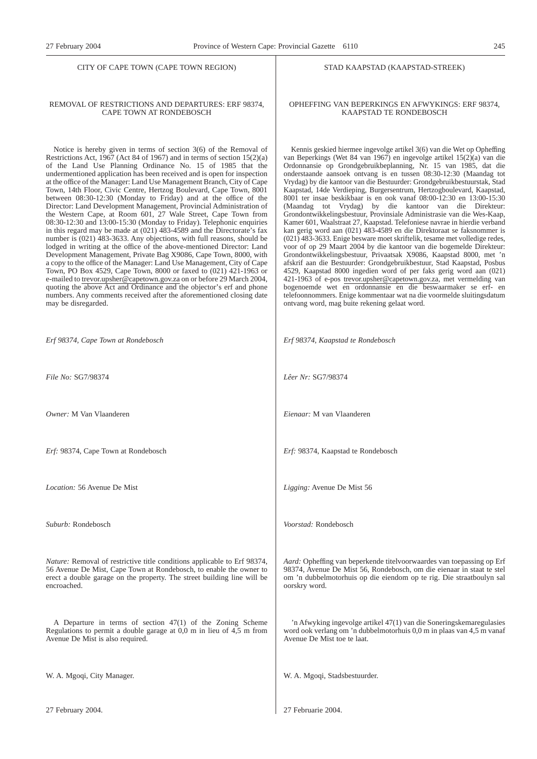#### CITY OF CAPE TOWN (CAPE TOWN REGION)

#### REMOVAL OF RESTRICTIONS AND DEPARTURES: ERF 98374, CAPE TOWN AT RONDEBOSCH

Notice is hereby given in terms of section 3(6) of the Removal of Restrictions Act, 1967 (Act 84 of 1967) and in terms of section 15(2)(a) of the Land Use Planning Ordinance No. 15 of 1985 that the undermentioned application has been received and is open for inspection at the office of the Manager: Land Use Management Branch, City of Cape Town, 14th Floor, Civic Centre, Hertzog Boulevard, Cape Town, 8001 between 08:30-12:30 (Monday to Friday) and at the office of the Director: Land Development Management, Provincial Administration of the Western Cape, at Room 601, 27 Wale Street, Cape Town from 08:30-12:30 and 13:00-15:30 (Monday to Friday). Telephonic enquiries in this regard may be made at (021) 483-4589 and the Directorate's fax number is (021) 483-3633. Any objections, with full reasons, should be lodged in writing at the office of the above-mentioned Director: Land Development Management, Private Bag X9086, Cape Town, 8000, with a copy to the office of the Manager: Land Use Management, City of Cape Town, PO Box 4529, Cape Town, 8000 or faxed to (021) 421-1963 or e-mailed to trevor.upsher@capetown.gov.za on or before 29 March 2004, quoting the above Act and Ordinance and the objector's erf and phone numbers. Any comments received after the aforementioned closing date may be disregarded.

*Erf 98374, Cape Town at Rondebosch*

*File No:* SG7/98374

*Owner:* M Van Vlaanderen

*Erf:* 98374, Cape Town at Rondebosch

*Location:* 56 Avenue De Mist

*Suburb:* Rondebosch

*Nature:* Removal of restrictive title conditions applicable to Erf 98374, 56 Avenue De Mist, Cape Town at Rondebosch, to enable the owner to erect a double garage on the property. The street building line will be encroached.

A Departure in terms of section 47(1) of the Zoning Scheme Regulations to permit a double garage at 0,0 m in lieu of 4,5 m from Avenue De Mist is also required.

W. A. Mgoqi, City Manager.

27 February 2004.

#### STAD KAAPSTAD (KAAPSTAD-STREEK)

#### OPHEFFING VAN BEPERKINGS EN AFWYKINGS: ERF 98374, KAAPSTAD TE RONDEBOSCH

Kennis geskied hiermee ingevolge artikel 3(6) van die Wet op Opheffing van Beperkings (Wet 84 van 1967) en ingevolge artikel 15(2)(a) van die Ordonnansie op Grondgebruikbeplanning, Nr. 15 van 1985, dat die onderstaande aansoek ontvang is en tussen 08:30-12:30 (Maandag tot Vrydag) by die kantoor van die Bestuurder: Grondgebruikbestuurstak, Stad Kaapstad, 14de Verdieping, Burgersentrum, Hertzogboulevard, Kaapstad, 8001 ter insae beskikbaar is en ook vanaf 08:00-12:30 en 13:00-15:30 (Maandag tot Vrydag) by die kantoor van die Direkteur: Grondontwikkelingsbestuur, Provinsiale Administrasie van die Wes-Kaap, Kamer 601, Waalstraat 27, Kaapstad. Telefoniese navrae in hierdie verband kan gerig word aan (021) 483-4589 en die Direktoraat se faksnommer is (021) 483-3633. Enige besware moet skriftelik, tesame met volledige redes, voor of op 29 Maart 2004 by die kantoor van die bogemelde Direkteur: Grondontwikkelingsbestuur, Privaatsak X9086, Kaapstad 8000, met 'n afskrif aan die Bestuurder: Grondgebruikbestuur, Stad Kaapstad, Posbus 4529, Kaapstad 8000 ingedien word of per faks gerig word aan (021) 421-1963 of e-pos trevor.upsher@capetown.gov.za, met vermelding van bogenoemde wet en ordonnansie en die beswaarmaker se erf- en telefoonnommers. Enige kommentaar wat na die voormelde sluitingsdatum ontvang word, mag buite rekening gelaat word.

*Erf 98374, Kaapstad te Rondebosch*

*Lêer Nr:* SG7/98374

*Eienaar:* M van Vlaanderen

*Erf:* 98374, Kaapstad te Rondebosch

*Ligging:* Avenue De Mist 56

*Voorstad:* Rondebosch

*Aard:* Opheffing van beperkende titelvoorwaardes van toepassing op Erf 98374, Avenue De Mist 56, Rondebosch, om die eienaar in staat te stel om 'n dubbelmotorhuis op die eiendom op te rig. Die straatboulyn sal oorskry word.

'n Afwyking ingevolge artikel 47(1) van die Soneringskemaregulasies word ook verlang om 'n dubbelmotorhuis 0,0 m in plaas van 4,5 m vanaf Avenue De Mist toe te laat.

W. A. Mgoqi, Stadsbestuurder.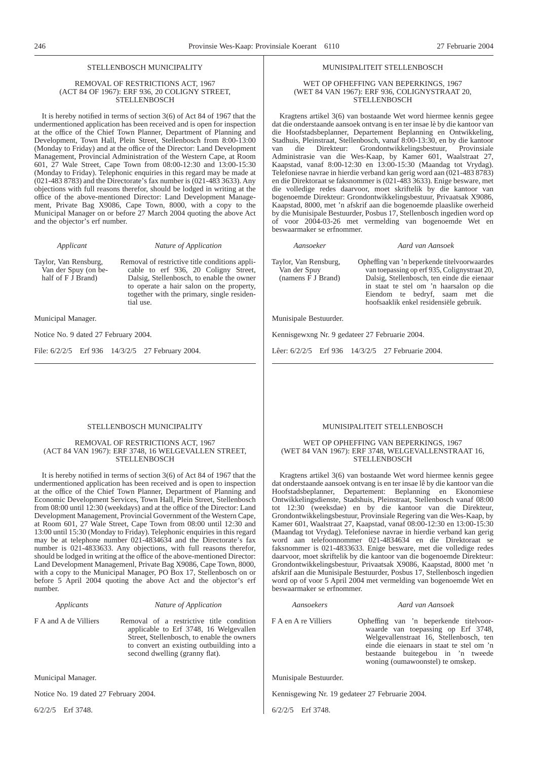#### STELLENBOSCH MUNICIPALITY

#### REMOVAL OF RESTRICTIONS ACT, 1967 (ACT 84 OF 1967): ERF 936, 20 COLIGNY STREET, **STELLENBOSCH**

It is hereby notified in terms of section 3(6) of Act 84 of 1967 that the undermentioned application has been received and is open for inspection at the office of the Chief Town Planner, Department of Planning and Development, Town Hall, Plein Street, Stellenbosch from 8:00-13:00 (Monday to Friday) and at the office of the Director: Land Development Management, Provincial Administration of the Western Cape, at Room 601, 27 Wale Street, Cape Town from 08:00-12:30 and 13:00-15:30 (Monday to Friday). Telephonic enquiries in this regard may be made at (021-483 8783) and the Directorate's fax number is (021-483 3633). Any objections with full reasons therefor, should be lodged in writing at the office of the above-mentioned Director: Land Development Management, Private Bag X9086, Cape Town, 8000, with a copy to the Municipal Manager on or before 27 March 2004 quoting the above Act and the objector's erf number.

#### *Applicant Nature of Application*

Taylor, Van Rensburg, Van der Spuy (on behalf of  $F \dot{J}$  Brand)

Removal of restrictive title conditions applicable to erf 936, 20 Coligny Street, Dalsig, Stellenbosch, to enable the owner to operate a hair salon on the property, together with the primary, single residential use.

Municipal Manager.

Notice No. 9 dated 27 February 2004.

File: 6/2/2/5 Erf 936 14/3/2/5 27 February 2004.

#### MUNISIPALITEIT STELLENBOSCH

#### WET OP OFHEFFING VAN BEPERKINGS, 1967 (WET 84 VAN 1967): ERF 936, COLIGNYSTRAAT 20, **STELLENBOSCH**

Kragtens artikel 3(6) van bostaande Wet word hiermee kennis gegee dat die onderstaande aansoek ontvang is en ter insae lè by die kantoor van die Hoofstadsbeplanner, Departement Beplanning en Ontwikkeling, Stadhuis, Pleinstraat, Stellenbosch, vanaf 8:00-13:30, en by die kantoor van die Direkteur: Grondontwikkelingsbestuur, Provinsiale Administrasie van die Wes-Kaap, by Kamer 601, Waalstraat 27, Kaapstad, vanaf 8:00-12:30 en 13:00-15:30 (Maandag tot Vrydag). Telefoniese navrae in hierdie verband kan gerig word aan (021-483 8783) en die Direktoraat se faksnommer is (021-483 3633). Enige besware, met die volledige redes daarvoor, moet skriftelik by die kantoor van bogenoemde Direkteur: Grondontwikkelingsbestuur, Privaatsak X9086, Kaapstad, 8000, met 'n afskrif aan die bogenoemde plaaslike owerheid by die Munisipale Bestuurder, Posbus 17, Stellenbosch ingedien word op of voor 2004-03-26 met vermelding van bogenoemde Wet en beswaarmaker se erfnommer.

#### *Aansoeker Aard van Aansoek*

Taylor, Van Rensburg, Van der Spuy  $(\text{names } \vec{F} \text{ J } \text{Brand})$ Opheffing van 'n beperkende titelvoorwaardes van toepassing op erf 935, Colignystraat 20, Dalsig, Stellenbosch, ten einde die eienaar in staat te stel om 'n haarsalon op die Eiendom te bedryf, saam met die hoofsaaklik enkel residensiële gebruik.

Munisipale Bestuurder.

Kennisgewxng Nr. 9 gedateer 27 Februarie 2004.

Lêer: 6/2/2/5 Erf 936 14/3/2/5 27 Februarie 2004.

#### STELLENBOSCH MUNICIPALITY

#### REMOVAL OF RESTRICTIONS ACT, 1967 (ACT 84 VAN 1967): ERF 3748, 16 WELGEVALLEN STREET, **STELLENBOSCH**

It is hereby notified in terms of section 3(6) of Act 84 of 1967 that the undermentioned application has been received and is open to inspection at the office of the Chief Town Planner, Department of Planning and Economic Development Services, Town Hall, Plein Street, Stellenbosch from 08:00 until 12:30 (weekdays) and at the office of the Director: Land Development Management, Provincial Government of the Western Cape, at Room 601, 27 Wale Street, Cape Town from 08:00 until 12:30 and 13:00 until 15:30 (Monday to Friday). Telephonic enquiries in this regard may be at telephone number 021-4834634 and the Directorate's fax number is 021-4833633. Any objections, with full reasons therefor, should be lodged in writing at the office of the above-mentioned Director: Land Development Managemenl, Private Bag X9086, Cape Town, 8000, with a copy to the Municipal Manager, PO Box 17, Stellenbosch on or before 5 April 2004 quoting the above Act and the objector's erf number.

#### *Applicants Nature of Application*

F A and A de Villiers Removal of a restrictive title condition applicable to Erf 3748, 16 Welgevallen Street, Stellenbosch, to enable the owners to convert an existing outbuilding into a second dwelling (granny flat).

Municipal Manager.

Notice No. 19 dated 27 February 2004.

6/2/2/5 Erf 3748.

#### MUNISIPALITEIT STELLENBOSCH

#### WET OP OPHEFFING VAN BEPERKINGS, 1967 (WET 84 VAN 1967): ERF 3748, WELGEVALLENSTRAAT 16, STELLENBOSCH

Kragtens artikel 3(6) van bostaande Wet word hiermee kennis gegee dat onderstaande aansoek ontvang is en ter insae lê by die kantoor van die Hoofstadsbeplanner, Departement: Beplanning en Ekonomiese Ontwikkelingsdienste, Stadshuis, Pleinstraat, Stellenbosch vanaf 08:00 tot 12:30 (weeksdae) en by die kantoor van die Direkteur, Grondontwikkelingsbestuur, Provinsiale Regering van die Wes-Kaap, by Kamer 601, Waalstraat 27, Kaapstad, vanaf 08:00-12:30 en 13:00-15:30 (Maandag tot Vrydag). Telefoniese navrae in hierdie verband kan gerig word aan telefoonnommer 021-4834634 en die Direktoraat se faksnommer is 021-4833633. Enige besware, met die volledige redes daarvoor, moet skriftelik by die kantoor van die bogenoemde Direkteur: Grondontwikkelingsbestuur, Privaatsak X9086, Kaapstad, 8000 met 'n afskrif aan die Munisipale Bestuurder, Posbus 17, Stellenbosch ingedien word op of voor 5 April 2004 met vermelding van bogenoemde Wet en beswaarmaker se erfnommer.

#### *Aansoekers Aard van Aansoek*

F A en A re Villiers Opheffing van 'n beperkende titelvoorwaarde van toepassing op Erf 3748, Welgevallenstraat 16, Stellenbosch, ten einde die eienaars in staat te stel om 'n bestaande buitegebou in 'n tweede woning (oumawoonstel) te omskep.

Munisipale Bestuurder.

Kennisgewing Nr. 19 gedateer 27 Februarie 2004.

6/2/2/5 Erf 3748.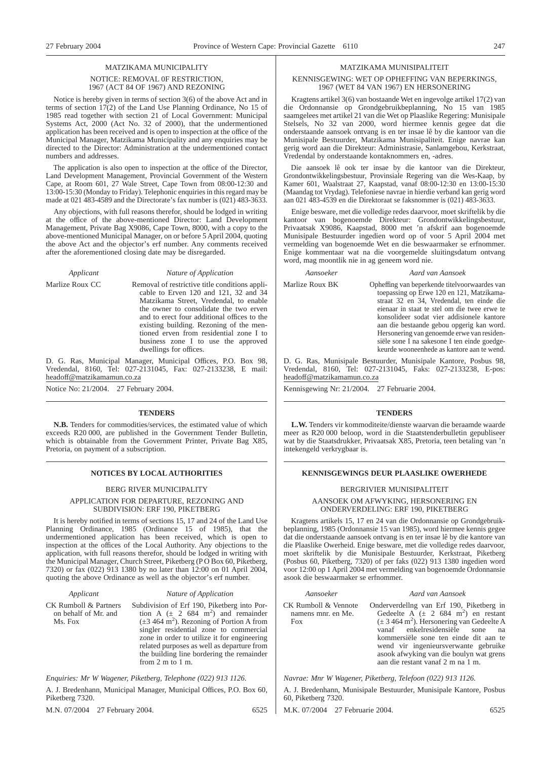# MATZIKAMA MUNICIPALITY NOTICE: REMOVAL 0F RESTRICTION, 1967 (ACT 84 OF 1967) AND REZONING

Notice is hereby given in terms of section 3(6) of the above Act and in terms of section 17(2) of the Land Use Planning Ordinance, No 15 of 1985 read together with section 21 of Local Government: Municipal Systems Act, 2000 (Act No. 32 of 2000), that the undermentioned application has been received and is open to inspection at the office of the Municipal Manager, Matzikama Municipality and any enquiries may be directed to the Director: Administration at the undermentioned contact numbers and addresses.

The application is also open to inspection at the office of the Director, Land Development Management, Provincial Government of the Western Cape, at Room 601, 27 Wale Street, Cape Town from 08:00-12:30 and 13:00-15:30 (Monday to Friday). Telephonic enquiries in this regard may be made at 021 483-4589 and the Directorate's fax number is (021) 483-3633.

Any objections, with full reasons therefor, should be lodged in writing at the office of the above-mentioned Director: Land Development Management, Private Bag X9086, Cape Town, 8000, with a copy to the above-mentioned Municipal Manager, on or before 5 April 2004, quoting the above Act and the objector's erf number. Any comments received after the aforementioned closing date may be disregarded.

*Applicant Nature of Application*

Marlize Roux CC Removal of restrictive title conditions applicable to Erven 120 and 121, 32 and 34 Matzikama Street, Vredendal, to enable the owner to consolidate the two erven and to erect four additional offices to the existing building. Rezoning of the mentioned erven from residential zone I to business zone I to use the approved dwellings for offices.

D. G. Ras, Municipal Manager, Municipal Offices, P.O. Box 98, Vredendal, 8160, Tel: 027-2131045, Fax: 027-2133238, E mail: headoff@matzikamamun.co.za

Notice No: 21/2004. 27 February 2004.

### **TENDERS**

**N.B.** Tenders for commodities/services, the estimated value of which exceeds R20 000, are published in the Government Tender Bulletin, which is obtainable from the Government Printer, Private Bag X85, Pretoria, on payment of a subscription.

#### BERG RIVER MUNICIPALITY

APPLICATION FOR DEPARTURE, REZONING AND SUBDIVISION: ERF 190, PIKETBERG

It is hereby notified in terms of sections 15, 17 and 24 of the Land Use Planning Ordinance, 1985 (Ordinance 15 of 1985), that the undermentioned application has been received, which is open to inspection at the offices of the Local Authority. Any objections to the application, with full reasons therefor, should be lodged in writing with the Municipal Manager, Church Street, Piketberg (P O Box 60, Piketberg, 7320) or fax (022) 913 1380 by no later than 12:00 on 01 April 2004, quoting the above Ordinance as well as the objector's erf number.

| Applicant                                                | Nature of Application                                                                                                                                                                                                                                                                                                                                                                |
|----------------------------------------------------------|--------------------------------------------------------------------------------------------------------------------------------------------------------------------------------------------------------------------------------------------------------------------------------------------------------------------------------------------------------------------------------------|
| CK Rumboll & Partners<br>on behalf of Mr. and<br>Ms. Fox | Subdivision of Erf 190, Piketberg into Por-<br>tion A $(\pm 2.684 \text{ m}^2)$ and remainder<br>$(\pm 3.464 \text{ m}^2)$ . Rezoning of Portion A from<br>singler residential zone to commercial<br>zone in order to utilize it for engineering<br>related purposes as well as departure from<br>the building line bordering the remainder<br>from $2 \text{ m}$ to $1 \text{ m}$ . |

*Enquiries: Mr W Wagener, Piketberg, Telephone (022) 913 1126.*

A. J. Bredenhann, Municipal Manager, Municipal Offices, P.O. Box 60, Piketberg 7320.

M.N. 07/2004 27 February 2004. 6525

MATZIKAMA MUNISIPALITEIT

#### KENNISGEWING: WET OP OPHEFFING VAN BEPERKINGS, 1967 (WET 84 VAN 1967) EN HERSONERING

Kragtens artikel 3(6) van bostaande Wet en ingevolge artikel 17(2) van die Ordonnansie op Grondgebruikbeplanning, No 15 van 1985 saamgelees met artikel 21 van die Wet op Plaaslike Regering: Munisipale Stelsels, No 32 van 2000, word hiermee kennis gegee dat die onderstaande aansoek ontvang is en ter insae lê by die kantoor van die Munisipale Bestuurder, Matzikama Munisipaliteit. Enige navrae kan gerig word aan die Direkteur: Administrasie, Sanlamgebou, Kerkstraat, Vredendal by onderstaande kontaknommers en, -adres.

Die aansoek lê ook ter insae by die kantoor van die Direkteur, Grondontwikkelingsbestuur, Provinsiale Regering van die Wes-Kaap, by Kamer 601, Waalstraat 27, Kaapstad, vanaf 08:00-12:30 en 13:00-15:30 (Maandag tot Vrydag). Telefoniese navrae in hierdie verband kan gerig word aan 021 483-4539 en die Direktoraat se faksnommer is (021) 483-3633.

Enige besware, met die volledige redes daarvoor, moet skriftelik by die kantoor van bogenoemde Direkteur: Grondontwikkelingsbestuur, Privaatsak X9086, Kaapstad, 8000 met 'n afskrif aan bogenoemde Munisipale Bestuurder ingedien word op of voor 5 April 2004 met vermelding van bogenoemde Wet en die beswaarmaker se erfnommer. Enige kommentaar wat na die voorgemelde sluitingsdatum ontvang word, mag moontlik nie in ag geneem word nie.

#### *Aansoeker Aard van Aansoek*

Marlize Roux BK Opheffing van beperkende titelvoorwaardes van toepassing op Erwe 120 en 121, Matzikamastraat 32 en 34, Vredendal, ten einde die eienaar in staat te stel om die twee erwe te konsolideer sodat vier addisionele kantore aan die bestaande gebou opgerig kan word. Hersonering van genoemde erwe van residensiële sone I na sakesone I ten einde goedgekeurde wooneenhede as kantore aan te wend.

D. G. Ras, Munisipale Bestuurder, Munisipale Kantore, Posbus 98, Vredendal, 8160, Tel: 027-2131045, Faks: 027-2133238, E-pos: headoff@matzikamamun.co.za

Kennisgewing Nr: 21/2004. 27 Februarie 2004.

### **TENDERS**

**L.W.** Tenders vir kommoditeite/dienste waarvan die beraamde waarde meer as R20 000 beloop, word in die Staatstenderbulletin gepubliseer wat by die Staatsdrukker, Privaatsak X85, Pretoria, teen betaling van 'n intekengeld verkrygbaar is.

#### **NOTICES BY LOCAL AUTHORITIES EXAMPLE ASSESSED ASSESSED AT A RENNISGEWINGS DEUR PLAASLIKE OWERHEDE**

## BERGRIVIER MUNISIPALITEIT AANSOEK OM AFWYKING, HERSONERING EN ONDERVERDELING: ERF 190, PIKETBERG

Kragtens artikels 15, 17 en 24 van die Ordonnansie op Grondgebruikbeplanning, 1985 (Ordonnansie 15 van 1985), word hiermee kennis gegee dat die onderstaande aansoek ontvang is en ter insae lê by die kantore van die Plaaslike Owerheid. Enige besware, met die volledige redes daarvoor, moet skriftelik by die Munisipale Bestuurder, Kerkstraat, Piketberg (Posbus 60, Piketberg, 7320) of per faks (022) 913 1380 ingedien word voor 12:00 op 1 April 2004 met vermelding van bogenoemde Ordonnansie asook die beswaarmaker se erfnommer.

#### *Aansoeker Aard van Aansoek*

# Onderverdellng van Erf 190, Piketberg in Gedeelte  $A^{(+)}$  ( $\pm$  2 684 m<sup>2</sup>) en restant

 $(\pm 3.464 \text{ m}^2)$ . Hersonering van Gedeelte A vanaf enkelresidensiële sone na kommersiële sone ten einde dit aan te wend vir ingenieursverwante gebruike asook afwyking van die boulyn wat grens aan die restant vanaf 2 m na 1 m.

*Navrae: Mnr W Wagener, Piketberg, Telefoon (022) 913 1126.*

A. J. Bredenhann, Munisipale Bestuurder, Munisipale Kantore, Posbus 60, Piketberg 7320.

M.K. 07/2004 27 Februarie 2004. 6525

CK Rumboll & Vennote namens mnr. en Me.

Fox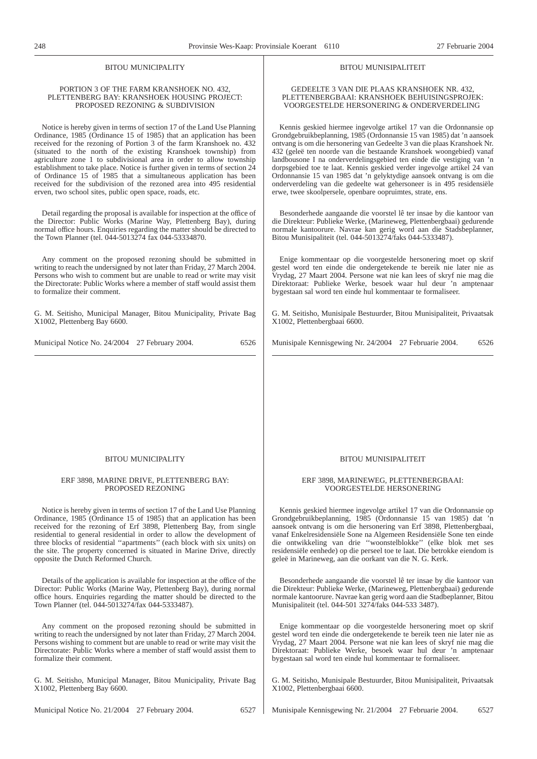#### BITOU MUNICIPALITY

#### PORTION 3 OF THE FARM KRANSHOEK NO. 432, PLETTENBERG BAY: KRANSHOEK HOUSING PROJECT: PROPOSED REZONING & SUBDIVISION

Notice is hereby given in terms of section 17 of the Land Use Planning Ordinance, 1985 (Ordinance 15 of 1985) that an application has been received for the rezoning of Portion 3 of the farm Kranshoek no. 432 (situated to the north of the existing Kranshoek township) from agriculture zone 1 to subdivisional area in order to allow township establishment to take place. Notice is further given in terms of section 24 of Ordinance 15 of 1985 that a simultaneous application has been received for the subdivision of the rezoned area into 495 residential erven, two school sites, public open space, roads, etc.

Detail regarding the proposal is available for inspection at the office of the Director: Public Works (Marine Way, Plettenberg Bay), during normal office hours. Enquiries regarding the matter should be directed to the Town Planner (tel. 044-5013274 fax 044-53334870.

Any comment on the proposed rezoning should be submitted in writing to reach the undersigned by not later than Friday, 27 March 2004. Persons who wish to comment but are unable to read or write may visit the Directorate: Public Works where a member of staff would assist them to formalize their comment.

G. M. Seitisho, Municipal Manager, Bitou Municipality, Private Bag X1002, Plettenberg Bay 6600.

Municipal Notice No. 24/2004 27 February 2004. 6526

# BITOU MUNISIPALITEIT

#### GEDEELTE 3 VAN DIE PLAAS KRANSHOEK NR. 432, PLETTENBERGBAAI: KRANSHOEK BEHUISINGSPROJEK: VOORGESTELDE HERSONERING & ONDERVERDELING

Kennis geskied hiermee ingevolge artikel 17 van die Ordonnansie op Grondgebruikbeplanning, 1985 (Ordonnansie 15 van 1985) dat 'n aansoek ontvang is om die hersonering van Gedeelte 3 van die plaas Kranshoek Nr. 432 (geleë ten noorde van die bestaande Kranshoek woongebied) vanaf landbousone I na onderverdelingsgebied ten einde die vestiging van 'n dorpsgebied toe te laat. Kennis geskied verder ingevolge artikel 24 van Ordonnansie 15 van 1985 dat 'n gelyktydige aansoek ontvang is om die onderverdeling van die gedeelte wat gehersoneer is in 495 residensiële erwe, twee skoolpersele, openbare oopruimtes, strate, ens.

Besonderhede aangaande die voorstel lê ter insae by die kantoor van die Direkteur: Publieke Werke, (Marineweg, Plettenbergbaai) gedurende normale kantoorure. Navrae kan gerig word aan die Stadsbeplanner, Bitou Munisipaliteit (tel. 044-5013274/faks 044-5333487).

Enige kommentaar op die voorgestelde hersonering moet op skrif gestel word ten einde die ondergetekende te bereik nie later nie as Vrydag, 27 Maart 2004. Persone wat nie kan lees of skryf nie mag die Direktoraat: Publieke Werke, besoek waar hul deur 'n amptenaar bygestaan sal word ten einde hul kommentaar te formaliseer.

G. M. Seitisho, Munisipale Bestuurder, Bitou Munisipaliteit, Privaatsak X1002, Plettenbergbaai 6600.

Munisipale Kennisgewing Nr. 24/2004 27 Februarie 2004. 6526

#### BITOU MUNICIPALITY

#### ERF 3898, MARINE DRIVE, PLETTENBERG BAY: PROPOSED REZONING

Notice is hereby given in terms of section 17 of the Land Use Planning Ordinance, 1985 (Ordinance 15 of 1985) that an application has been received for the rezoning of Erf 3898, Plettenberg Bay, from single residential to general residential in order to allow the development of three blocks of residential ''apartments'' (each block with six units) on the site. The property concerned is situated in Marine Drive, directly opposite the Dutch Reformed Church.

Details of the application is available for inspection at the office of the Director: Public Works (Marine Way, Plettenberg Bay), during normal office hours. Enquiries regarding the matter should be directed to the Town Planner (tel. 044-5013274/fax 044-5333487).

Any comment on the proposed rezoning should be submitted in writing to reach the undersigned by not later than Friday, 27 March 2004. Persons wishing to comment but are unable to read or write may visit the Directorate: Public Works where a member of staff would assist them to formalize their comment.

G. M. Seitisho, Municipal Manager, Bitou Municipality, Private Bag X1002, Plettenberg Bay 6600.

BITOU MUNISIPALITEIT

#### ERF 3898, MARINEWEG, PLETTENBERGBAAI: VOORGESTELDE HERSONERING

Kennis geskied hiermee ingevolge artikel 17 van die Ordonnansie op Grondgebruikbeplanning, 1985 (Ordonnansie 15 van 1985) dat 'n aansoek ontvang is om die hersonering van Erf 3898, Plettenbergbaai, vanaf Enkelresidensiële Sone na Algemeen Residensiële Sone ten einde die ontwikkeling van drie ''woonstelblokke'' (elke blok met ses residensiële eenhede) op die perseel toe te laat. Die betrokke eiendom is geleë in Marineweg, aan die oorkant van die N. G. Kerk.

Besonderhede aangaande die voorstel lê ter insae by die kantoor van die Direkteur: Publieke Werke, (Marineweg, Plettenbergbaai) gedurende normale kantoorure. Navrae kan gerig word aan die Stadbeplanner, Bitou Munisipaliteit (tel. 044-501 3274/faks 044-533 3487).

Enige kommentaar op die voorgestelde hersonering moet op skrif gestel word ten einde die ondergetekende te bereik teen nie later nie as Vrydag, 27 Maart 2004. Persone wat nie kan lees of skryf nie mag die Direktoraat: Publieke Werke, besoek waar hul deur 'n amptenaar bygestaan sal word ten einde hul kommentaar te formaliseer.

G. M. Seitisho, Munisipale Bestuurder, Bitou Munisipaliteit, Privaatsak X1002, Plettenbergbaai 6600.

Municipal Notice No. 21/2004 27 February 2004. 6527

Munisipale Kennisgewing Nr. 21/2004 27 Februarie 2004. 6527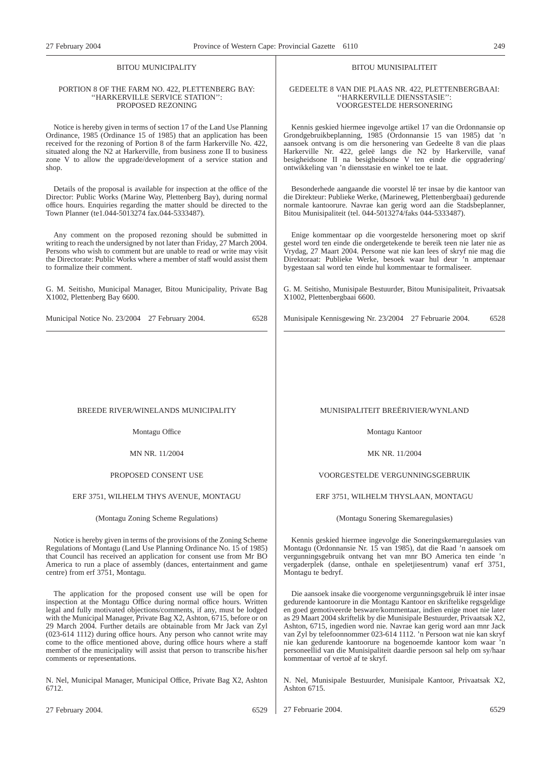# BITOU MUNICIPALITY

#### PORTION 8 OF THE FARM NO. 422, PLETTENBERG BAY: ''HARKERVILLE SERVICE STATION'': PROPOSED REZONING

Notice is hereby given in terms of section 17 of the Land Use Planning Ordinance, 1985 (Ordinance 15 of 1985) that an application has been received for the rezoning of Portion 8 of the farm Harkerville No. 422, situated along the N2 at Harkerville, from business zone II to business zone V to allow the upgrade/development of a service station and shop.

Details of the proposal is available for inspection at the office of the Director: Public Works (Marine Way, Plettenberg Bay), during normal office hours. Enquiries regarding the matter should be directed to the Town Planner (te1.044-5013274 fax.044-5333487).

Any comment on the proposed rezoning should be submitted in writing to reach the undersigned by not later than Friday, 27 March 2004. Persons who wish to comment but are unable to read or write may visit the Directorate: Public Works where a member of staff would assist them to formalize their comment.

G. M. Seitisho, Municipal Manager, Bitou Municipality, Private Bag X1002, Plettenberg Bay 6600.

# BREEDE RIVER/WINELANDS MUNICIPALITY

Montagu Office

MN NR. 11/2004

#### PROPOSED CONSENT USE

#### ERF 3751, WILHELM THYS AVENUE, MONTAGU

#### (Montagu Zoning Scheme Regulations)

Notice is hereby given in terms of the provisions of the Zoning Scheme Regulations of Montagu (Land Use Planning Ordinance No. 15 of 1985) that Council has received an application for consent use from Mr BO America to run a place of assembly (dances, entertainment and game centre) from erf 3751, Montagu.

The application for the proposed consent use will be open for inspection at the Montagu Office during normal office hours. Written legal and fully motivated objections/comments, if any, must be lodged with the Municipal Manager, Private Bag X2, Ashton, 6715, before or on 29 March 2004. Further details are obtainable from Mr Jack van Zyl (023-614 1112) during office hours. Any person who cannot write may come to the office mentioned above, during office hours where a staff member of the municipality will assist that person to transcribe his/her comments or representations.

N. Nel, Municipal Manager, Municipal Office, Private Bag X2, Ashton 6712.

#### BITOU MUNISIPALITEIT

#### GEDEELTE 8 VAN DIE PLAAS NR. 422, PLETTENBERGBAAI: ''HARKERVILLE DIENSSTASIE'': VOORGESTELDE HERSONERING

Kennis geskied hiermee ingevolge artikel 17 van die Ordonnansie op Grondgebruikbeplanning, 1985 (Ordonnansie 15 van 1985) dat 'n aansoek ontvang is om die hersonering van Gedeelte 8 van die plaas Harkerville Nr. 422, geleë langs die N2 by Harkerville, vanaf besigheidsone II na besigheidsone V ten einde die opgradering/ ontwikkeling van 'n diensstasie en winkel toe te laat.

Besonderhede aangaande die voorstel lê ter insae by die kantoor van die Direkteur: Publieke Werke, (Marineweg, Plettenbergbaai) gedurende normale kantoorure. Navrae kan gerig word aan die Stadsbeplanner, Bitou Munisipaliteit (tel. 044-5013274/faks 044-5333487).

Enige kommentaar op die voorgestelde hersonering moet op skrif gestel word ten einde die ondergetekende te bereik teen nie later nie as Vrydag, 27 Maart 2004. Persone wat nie kan lees of skryf nie mag die Direktoraat: Publieke Werke, besoek waar hul deur 'n amptenaar bygestaan sal word ten einde hul kommentaar te formaliseer.

G. M. Seitisho, Munisipale Bestuurder, Bitou Munisipaliteit, Privaatsak X1002, Plettenbergbaai 6600.

Munisipale Kennisgewing Nr. 23/2004 27 Februarie 2004. 6528

# MUNISIPALITEIT BREËRIVIER/WYNLAND

Montagu Kantoor

MK NR. 11/2004

VOORGESTELDE VERGUNNINGSGEBRUIK

#### ERF 3751, WILHELM THYSLAAN, MONTAGU

(Montagu Sonering Skemaregulasies)

Kennis geskied hiermee ingevolge die Soneringskemaregulasies van Montagu (Ordonnansie Nr. 15 van 1985), dat die Raad 'n aansoek om vergunningsgebruik ontvang het van mnr BO America ten einde 'n vergaderplek (danse, onthale en speletjiesentrum) vanaf erf 3751, Montagu te bedryf.

Die aansoek insake die voorgenome vergunningsgebruik lê inter insae gedurende kantoorure in die Montagu Kantoor en skriftelike regsgeldige en goed gemotiveerde besware/kommentaar, indien enige moet nie later as 29 Maart 2004 skriftelik by die Munisipale Bestuurder, Privaatsak X2, Ashton, 6715, ingedien word nie. Navrae kan gerig word aan mnr Jack van Zyl by telefoonnommer 023-614 1112. 'n Persoon wat nie kan skryf nie kan gedurende kantoorure na bogenoemde kantoor kom waar 'n personeellid van die Munisipaliteit daardie persoon sal help om sy/haar kommentaar of vertoë af te skryf.

N. Nel, Munisipale Bestuurder, Munisipale Kantoor, Privaatsak X2, Ashton 6715.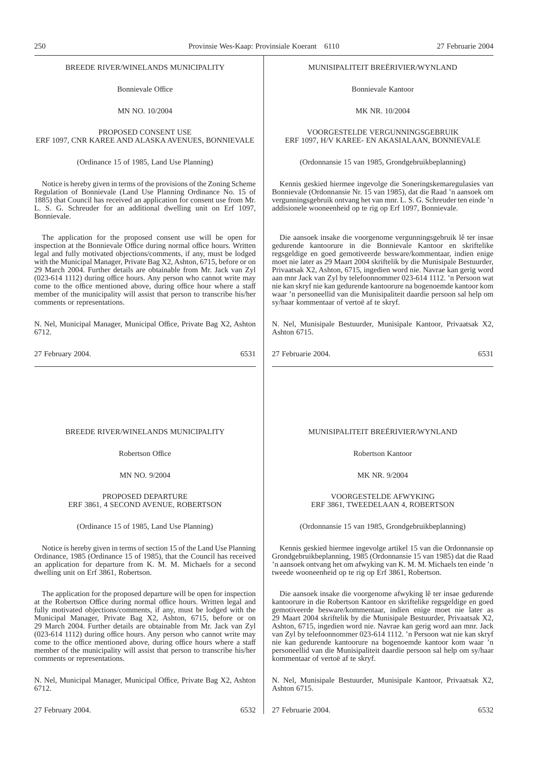### BREEDE RIVER/WINELANDS MUNICIPALITY

Bonnievale Office

MN NO. 10/2004

## PROPOSED CONSENT USE ERF 1097, CNR KAREE AND ALASKA AVENUES, BONNIEVALE

(Ordinance 15 of 1985, Land Use Planning)

Notice is hereby given in terms of the provisions of the Zoning Scheme Regulation of Bonnievale (Land Use Planning Ordinance No. 15 of 1885) that Council has received an application for consent use from Mr. L. S. G. Schreuder for an additional dwelling unit on Erf 1097, Bonnievale.

The application for the proposed consent use will be open for inspection at the Bonnievale Office during normal office hours. Written legal and fully motivated objections/comments, if any, must be lodged with the Municipal Manager, Private Bag X2, Ashton, 6715, before or on 29 March 2004. Further details are obtainable from Mr. Jack van Zyl (023-614 1112) during office hours. Any person who cannot write may come to the office mentioned above, during office hour where a staff member of the municipality will assist that person to transcribe his/her comments or representations.

N. Nel, Municipal Manager, Municipal Office, Private Bag X2, Ashton 6712.

27 February 2004. 6531

#### MUNISIPALITEIT BREËRIVIER/WYNLAND

Bonnievale Kantoor

MK NR. 10/2004

## VOORGESTELDE VERGUNNINGSGEBRUIK ERF 1097, H/V KAREE- EN AKASIALAAN, BONNIEVALE

(Ordonnansie 15 van 1985, Grondgebruikbeplanning)

Kennis geskied hiermee ingevolge die Soneringskemaregulasies van Bonnievale (Ordonnansie Nr. 15 van 1985), dat die Raad 'n aansoek om vergunningsgebruik ontvang het van mnr. L. S. G. Schreuder ten einde 'n addisionele wooneenheid op te rig op Erf 1097, Bonnievale.

Die aansoek insake die voorgenome vergunningsgebruik lê ter insae gedurende kantoorure in die Bonnievale Kantoor en skriftelike regsgeldige en goed gemotiveerde besware/kommentaar, indien enige moet nie later as 29 Maart 2004 skriftelik by die Munisipale Bestuurder, Privaatsak X2, Ashton, 6715, ingedien word nie. Navrae kan gerig word aan mnr Jack van Zyl by telefoonnommer 023-614 1112. 'n Persoon wat nie kan skryf nie kan gedurende kantoorure na bogenoemde kantoor kom waar 'n personeellid van die Munisipaliteit daardie persoon sal help om sy/haar kommentaar of vertoë af te skryf.

N. Nel, Munisipale Bestuurder, Munisipale Kantoor, Privaatsak X2, Ashton 6715.

27 Februarie 2004. 6531

#### BREEDE RIVER/WINELANDS MUNICIPALITY

Robertson Office

MN NO. 9/2004

#### PROPOSED DEPARTURE ERF 3861, 4 SECOND AVENUE, ROBERTSON

#### (Ordinance 15 of 1985, Land Use Planning)

Notice is hereby given in terms of section 15 of the Land Use Planning Ordinance, 1985 (Ordinance 15 of 1985), that the Council has received an application for departure from K. M. M. Michaels for a second dwelling unit on Erf 3861, Robertson.

The application for the proposed departure will be open for inspection at the Robertson Office during normal office hours. Written legal and fully motivated objections/comments, if any, must be lodged with the Municipal Manager, Private Bag X2, Ashton, 6715, before or on 29 March 2004. Further details are obtainable from Mr. Jack van Zyl (023-614 1112) during office hours. Any person who cannot write may come to the office mentioned above, during office hours where a staff member of the municipality will assist that person to transcribe his/her comments or representations.

N. Nel, Municipal Manager, Municipal Office, Private Bag X2, Ashton 6712.

# MUNISIPALITEIT BREËRIVIER/WYNLAND

Robertson Kantoor

MK NR. 9/2004

#### VOORGESTELDE AFWYKING ERF 3861, TWEEDELAAN 4, ROBERTSON

(Ordonnansie 15 van 1985, Grondgebruikbeplanning)

Kennis geskied hiermee ingevolge artikel 15 van die Ordonnansie op Grondgebruikbeplanning, 1985 (Ordonnansie 15 van 1985) dat die Raad 'n aansoek ontvang het om afwyking van K. M. M. Michaels ten einde 'n tweede wooneenheid op te rig op Erf 3861, Robertson.

Die aansoek insake die voorgenome afwyking lê ter insae gedurende kantoorure in die Robertson Kantoor en skriftelike regsgeldige en goed gemotiveerde besware/kommentaar, indien enige moet nie later as 29 Maart 2004 skriftelik by die Munisipale Bestuurder, Privaatsak X2, Ashton, 6715, ingedien word nie. Navrae kan gerig word aan mnr. Jack van Zyl by telefoonnommer 023-614 1112. 'n Persoon wat nie kan skryf nie kan gedurende kantoorure na bogenoemde kantoor kom waar 'n personeellid van die Munisipaliteit daardie persoon sal help om sy/haar kommentaar of vertoë af te skryf.

N. Nel, Munisipale Bestuurder, Munisipale Kantoor, Privaatsak X2, Ashton 6715.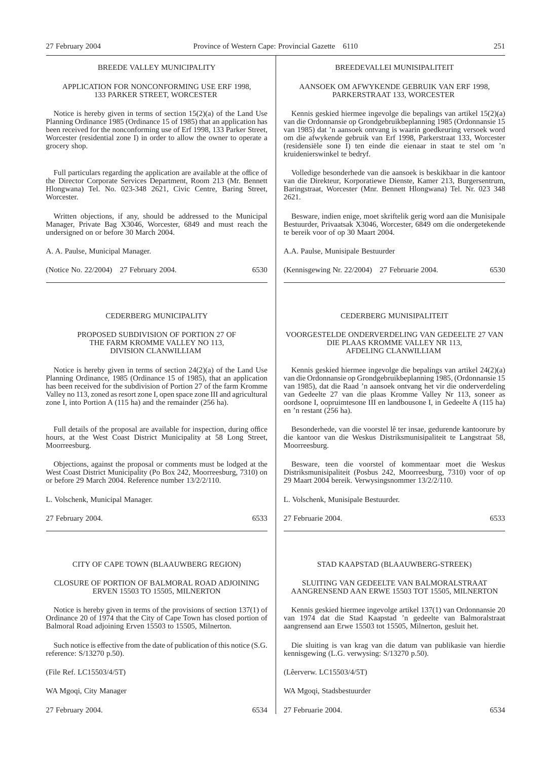# BREEDE VALLEY MUNICIPALITY

#### APPLICATION FOR NONCONFORMING USE ERF 1998, 133 PARKER STREET, WORCESTER

Notice is hereby given in terms of section 15(2)(a) of the Land Use Planning Ordinance 1985 (Ordinance 15 of 1985) that an application has been received for the nonconforming use of Erf 1998, 133 Parker Street, Worcester (residential zone I) in order to allow the owner to operate a grocery shop.

Full particulars regarding the application are available at the office of the Director Corporate Services Department, Room 213 (Mr. Bennett Hlongwana) Tel. No. 023-348 2621, Civic Centre, Baring Street, Worcester.

Written objections, if any, should be addressed to the Municipal Manager, Private Bag X3046, Worcester, 6849 and must reach the undersigned on or before 30 March 2004.

A. A. Paulse, Municipal Manager.

(Notice No. 22/2004) 27 February 2004. 6530

#### CEDERBERG MUNICIPALITY

#### PROPOSED SUBDIVISION OF PORTION 27 OF THE FARM KROMME VALLEY NO 113. DIVISION CLANWILLIAM

Notice is hereby given in terms of section 24(2)(a) of the Land Use Planning Ordinance, 1985 (Ordinance 15 of 1985), that an application has been received for the subdivision of Portion 27 of the farm Kromme Valley no 113, zoned as resort zone I, open space zone III and agricultural zone I, into Portion A (115 ha) and the remainder (256 ha).

Full details of the proposal are available for inspection, during office hours, at the West Coast District Municipality at 58 Long Street, Moorreesburg.

Objections, against the proposal or comments must be lodged at the West Coast District Municipality (Po Box 242, Moorreesburg, 7310) on or before 29 March 2004. Reference number 13/2/2/110.

L. Volschenk, Municipal Manager.

27 February 2004. 6533

#### CITY OF CAPE TOWN (BLAAUWBERG REGION)

#### CLOSURE OF PORTION OF BALMORAL ROAD ADJOINING ERVEN 15503 TO 15505, MILNERTON

Notice is hereby given in terms of the provisions of section 137(1) of Ordinance 20 of 1974 that the City of Cape Town has closed portion of Balmoral Road adjoining Erven 15503 to 15505, Milnerton.

Such notice is effective from the date of publication of this notice (S.G. reference: S/13270 p.50).

(File Ref. LC15503/4/5T)

WA Mgoqi, City Manager

27 February 2004. 6534

#### BREEDEVALLEI MUNISIPALITEIT

#### AANSOEK OM AFWYKENDE GEBRUIK VAN ERF 1998, PARKERSTRAAT 133, WORCESTER

Kennis geskied hiermee ingevolge die bepalings van artikel 15(2)(a) van die Ordonnansie op Grondgebruikbeplanning 1985 (Ordonnansie 15 van 1985) dat 'n aansoek ontvang is waarin goedkeuring versoek word om die afwykende gebruik van Erf 1998, Parkerstraat 133, Worcester (residensiële sone I) ten einde die eienaar in staat te stel om 'n kruidenierswinkel te bedryf.

Volledige besonderhede van die aansoek is beskikbaar in die kantoor van die Direkteur, Korporatiewe Dienste, Kamer 213, Burgersentrum, Baringstraat, Worcester (Mnr. Bennett Hlongwana) Tel. Nr. 023 348 2621.

Besware, indien enige, moet skriftelik gerig word aan die Munisipale Bestuurder, Privaatsak X3046, Worcester, 6849 om die ondergetekende te bereik voor of op 30 Maart 2004.

A.A. Paulse, Munisipale Bestuurder

(Kennisgewing Nr. 22/2004) 27 Februarie 2004. 6530

#### CEDERBERG MUNISIPALITEIT

#### VOORGESTELDE ONDERVERDELING VAN GEDEELTE 27 VAN DIE PLAAS KROMME VALLEY NR 113, AFDELING CLANWILLIAM

Kennis geskied hiermee ingevolge die bepalings van artikel 24(2)(a) van die Ordonnansie op Grondgebruikbeplanning 1985, (Ordonnansie 15 van 1985), dat die Raad 'n aansoek ontvang het vir die onderverdeling van Gedeelte 27 van die plaas Kromme Valley Nr 113, soneer as oordsone I, oopruimtesone III en landbousone I, in Gedeelte A (115 ha) en 'n restant (256 ha).

Besonderhede, van die voorstel lê ter insae, gedurende kantoorure by die kantoor van die Weskus Distriksmunisipaliteit te Langstraat 58, Moorreesburg.

Besware, teen die voorstel of kommentaar moet die Weskus Distriksmunisipaliteit (Posbus 242, Moorreesburg, 7310) voor of op 29 Maart 2004 bereik. Verwysingsnommer 13/2/2/110.

L. Volschenk, Munisipale Bestuurder.

27 Februarie 2004. 6533

#### STAD KAAPSTAD (BLAAUWBERG-STREEK)

#### SLUITING VAN GEDEELTE VAN BALMORALSTRAAT AANGRENSEND AAN ERWE 15503 TOT 15505, MILNERTON

Kennis geskied hiermee ingevolge artikel 137(1) van Ordonnansie 20 van 1974 dat die Stad Kaapstad 'n gedeelte van Balmoralstraat aangrensend aan Erwe 15503 tot 15505, Milnerton, gesluit het.

Die sluiting is van krag van die datum van publikasie van hierdie kennisgewing (L.G. verwysing: S/13270 p.50).

(Lêerverw. LC15503/4/5T)

WA Mgoqi, Stadsbestuurder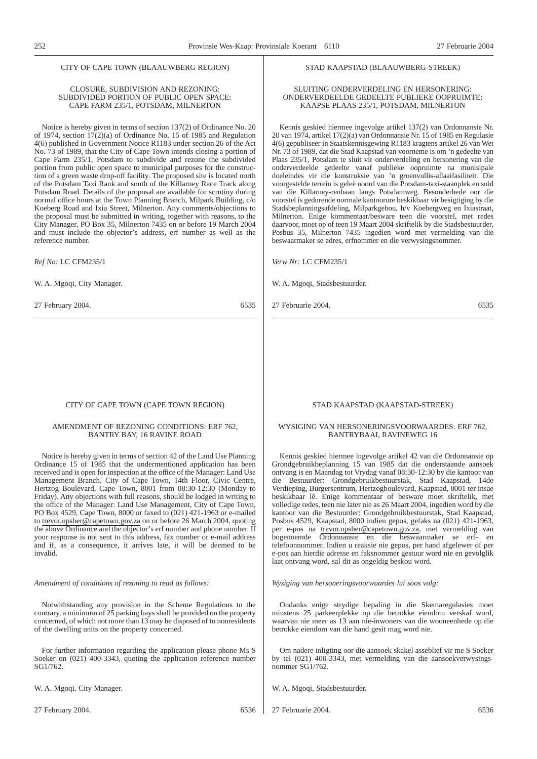#### CITY OF CAPE TOWN (BLAAUWBERG REGION)

#### CLOSURE, SUBDIVISION AND REZONING: SUBDIVIDED PORTION OF PUBLIC OPEN SPACE: CAPE FARM 235/1, POTSDAM, MILNERTON

Notice is hereby given in terms of section 137(2) of Ordinance No. 20 of 1974, section  $17(2)(a)$  of Ordinance No. 15 of 1985 and Regulation 4(6) published in Government Notice R1183 under section 26 of the Act No. 73 of 1989, that the City of Cape Town intends closing a portion of Cape Farm 235/1, Potsdam to subdivide and rezone the subdivided portion from public open space to municipal purposes for the construction of a green waste drop-off facility. The proposed site is located north of the Potsdam Taxi Rank and south of the Killarney Race Track along Potsdam Road. Details of the proposal are available for scrutiny during normal office hours at the Town Planning Branch, Milpark Building, c/o Koeberg Road and Ixia Street, Milnerton. Any comments/objections to the proposal must be submitted in writing, together with reasons, to the City Manager, PO Box 35, Milnerton 7435 on or before 19 March 2004 and must include the objector's address, erf number as well as the reference number.

*Ref No:* LC CFM235/1

W. A. Mgoqi, City Manager.

27 February 2004. 6535

#### CITY OF CAPE TOWN (CAPE TOWN REGION)

#### AMENDMENT OF REZONING CONDITIONS: ERF 762, BANTRY BAY, 16 RAVINE ROAD

Notice is hereby given in terms of section 42 of the Land Use Planning Ordinance 15 of 1985 that the undermentioned application has been received and is open for inspection at the office of the Manager: Land Use Management Branch, City of Cape Town, 14th Floor, Civic Centre, Hertzog Boulevard, Cape Town, 8001 from 08:30-12:30 (Monday to Friday). Any objections with full reasons, should be lodged in writing to the office of the Manager: Land Use Management, City of Cape Town, PO Box 4529, Cape Town, 8000 or faxed to (021) 421-1963 or e-mailed to trevor.upsher@capetown.gov.za on or before 26 March 2004, quoting the above Ordinance and the objector's erf number and phone number. If your response is not sent to this address, fax number or e-mail address and if, as a consequence, it arrives late, it will be deemed to be invalid.

#### *Amendment of conditions of rezoning to read as follows:*

Notwithstanding any provision in the Scheme Regulations to the contrary, a minimum of 25 parking bays shall be provided on the property concerned, of which not more than 13 may be disposed of to nonresidents of the dwelling units on the property concerned.

For further information regarding the application please phone Ms S Soeker on (021) 400-3343, quoting the application reference number SG1/762.

W. A. Mgoqi, City Manager.

#### STAD KAAPSTAD (BLAAUWBERG-STREEK)

#### SLUITING ONDERVERDELING EN HERSONERING: ONDERVERDEELDE GEDEELTE PUBLIEKE OOPRUIMTE: KAAPSE PLAAS 235/1, POTSDAM, MILNERTON

Kennis geskied hiermee ingevolge artikel 137(2) van Ordonnansie Nr. 20 van 1974, artikel 17(2)(a) van Ordonnansie Nr. 15 of 1985 en Regulasie 4(6) gepubliseer in Staatskennisgewing R1183 kragtens artikel 26 van Wet Nr. 73 of 1989, dat die Stad Kaapstad van voorneme is om 'n gedeelte van Plaas 235/1, Potsdam te sluit vir onderverdeling en hersonering van die onderverdeelde gedeelte vanaf publieke oopruimte na munisipale doeleindes vir die konstruksie van 'n groenvullis-aflaaifasiliteit. Die voorgestelde terrein is geleë noord van die Potsdam-taxi-staanplek en suid van die Killarney-renbaan langs Potsdamweg. Besonderhede oor die voorstel is gedurende normale kantoorure beskikbaar vir besigtiging by die Stadsbeplanningsafdeling, Milparkgebou, h/v Koebergweg en Ixiastraat, Milnerton. Enige kommentaar/besware teen die voorstel, met redes daarvoor, moet op of teen 19 Maart 2004 skriftelik by die Stadsbestuurder, Posbus 35, Milnerton 7435 ingedien word met vermelding van die beswaarmaker se adres, erfnommer en die verwysingsnommer.

*Verw Nr:* LC CFM235/1

W. A. Mgoqi, Stadsbestuurder.

27 Februarie 2004. 6535

#### STAD KAAPSTAD (KAAPSTAD-STREEK)

#### WYSIGING VAN HERSONERINGSVOORWAARDES: ERF 762, BANTRYBAAI, RAVINEWEG 16

Kennis geskied hiermee ingevolge artikel 42 van die Ordonnansie op Grondgebruikbeplanning 15 van 1985 dat die onderstaande aansoek ontvang is en Maandag tot Vrydag vanaf 08:30-12:30 by die kantoor van die Bestuurder: Grondgebruikbestuurstak, Stad Kaapstad, 14de Verdieping, Burgersentrum, Hertzogboulevard, Kaapstad, 8001 ter insae beskikbaar lê. Enige kommentaar of besware moet skriftelik, met volledige redes, teen nie later nie as 26 Maart 2004, ingedien word by die kantoor van die Bestuurder: Grondgebruikbestuurstak, Stad Kaapstad, Posbus 4529, Kaapstad, 8000 indien gepos, gefaks na (021) 421-1963, per e-pos na trevor.upsher@capetown.gov.za, met vermelding van bogenoemde Ordonnansie en die beswaarmaker se erf- en telefoonnommer. Indien u reaksie nie gepos, per hand afgelewer of per e-pos aan hierdie adresse en faksnommer gestuur word nie en gevolglik laat ontvang word, sal dit as ongeldig beskou word.

*Wysiging van hersoneringsvoorwaardes lui soos volg:*

Ondanks enige strydige bepaling in die Skemaregulasies moet minstens 25 parkeerplekke op die betrokke eiendom verskaf word, waarvan nie meer as 13 aan nie-inwoners van die wooneenhede op die betrokke eiendom van die hand gesit mag word nie.

Om nadere inligting oor die aansoek skakel asseblief vir me S Soeker by tel (021) 400-3343, met vermelding van die aansoekverwysingsnommer SG1/762.

W. A. Mgoqi, Stadsbestuurder.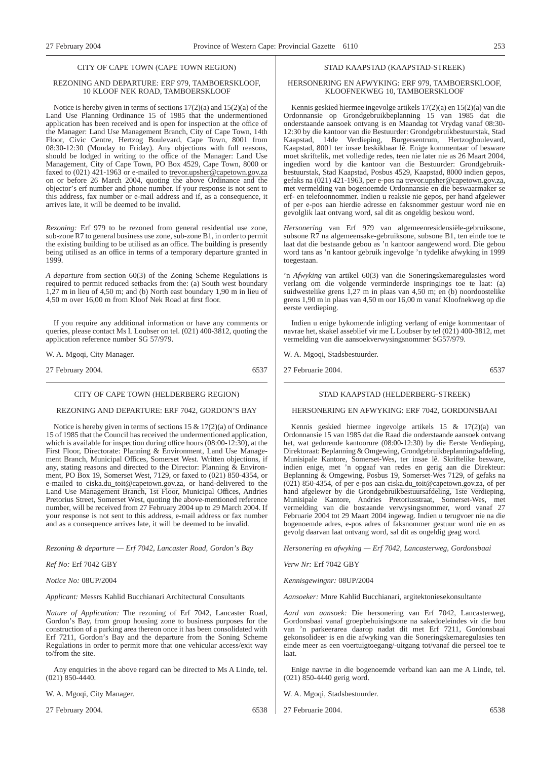#### CITY OF CAPE TOWN (CAPE TOWN REGION)

#### REZONING AND DEPARTURE: ERF 979, TAMBOERSKLOOF, 10 KLOOF NEK ROAD, TAMBOERSKLOOF

Notice is hereby given in terms of sections 17(2)(a) and 15(2)(a) of the Land Use Planning Ordinance 15 of 1985 that the undermentioned application has been received and is open for inspection at the office of the Manager: Land Use Management Branch, City of Cape Town, 14th Floor, Civic Centre, Hertzog Boulevard, Cape Town, 8001 from 08:30-12:30 (Monday to Friday). Any objections with full reasons, should be lodged in writing to the office of the Manager: Land Use Management, City of Cape Town, PO Box 4529, Cape Town, 8000 or faxed to (021) 421-1963 or e-mailed to trevor.upsher@capetown.gov.za on or before 26 March 2004, quoting the above Ordinance and the objector's erf number and phone number. If your response is not sent to this address, fax number or e-mail address and if, as a consequence, it arrives late, it will be deemed to be invalid.

*Rezoning:* Erf 979 to be rezoned from general residential use zone, sub-zone R7 to general business use zone, sub-zone B1, in order to permit the existing building to be utilised as an office. The building is presently being utilised as an office in terms of a temporary departure granted in 1999.

*A departure* from section 60(3) of the Zoning Scheme Regulations is required to permit reduced setbacks from the: (a) South west boundary 1,27 m in lieu of 4,50 m; and (b) North east boundary 1,90 m in lieu of 4,50 m over 16,00 m from Kloof Nek Road at first floor.

If you require any additional information or have any comments or queries, please contact Ms L Loubser on tel. (021) 400-3812, quoting the application reference number SG 57/979.

W. A. Mgoqi, City Manager.

27 February 2004. 6537

## CITY OF CAPE TOWN (HELDERBERG REGION)

## REZONING AND DEPARTURE: ERF 7042, GORDON'S BAY

Notice is hereby given in terms of sections 15 & 17(2)(a) of Ordinance 15 of 1985 that the Council has received the undermentioned application, which is available for inspection during office hours (08:00-12:30), at the First Floor, Directorate: Planning & Environment, Land Use Management Branch, Municipal Offices, Somerset West. Written objections, if any, stating reasons and directed to the Director: Planning & Environment, PO Box 19, Somerset West, 7129, or faxed to (021) 850-4354, or e-mailed to ciska.du\_toit@capetown.gov.za, or hand-delivered to the Land Use Management Branch, 1st Floor, Municipal Offices, Andries Pretorius Street, Somerset West, quoting the above-mentioned reference number, will be received from 27 February 2004 up to 29 March 2004. If your response is not sent to this address, e-mail address or fax number and as a consequence arrives late, it will be deemed to be invalid.

*Rezoning & departure — Erf 7042, Lancaster Road, Gordon's Bay*

*Ref No:* Erf 7042 GBY

*Notice No:* 08UP/2004

*Applicant:* Messrs Kahlid Bucchianari Architectural Consultants

*Nature of Application:* The rezoning of Erf 7042, Lancaster Road, Gordon's Bay, from group housing zone to business purposes for the construction of a parking area thereon once it has been consolidated with Erf 7211, Gordon's Bay and the departure from the Soning Scheme Regulations in order to permit more that one vehicular access/exit way to/from the site.

Any enquiries in the above regard can be directed to Ms A Linde, tel. (021) 850-4440.

W. A. Mgoqi, City Manager.

27 February 2004. 6538

#### STAD KAAPSTAD (KAAPSTAD-STREEK)

#### HERSONERING EN AFWYKING: ERF 979, TAMBOERSKLOOF, KLOOFNEKWEG 10, TAMBOERSKLOOF

Kennis geskied hiermee ingevolge artikels 17(2)(a) en 15(2)(a) van die Ordonnansie op Grondgebruikbeplanning 15 van 1985 dat die onderstaande aansoek ontvang is en Maandag tot Vrydag vanaf 08:30- 12:30 by die kantoor van die Bestuurder: Grondgebruikbestuurstak, Stad Kaapstad, 14de Verdieping, Burgersentrum, Hertzogboulevard, Kaapstad, 8001 ter insae beskikbaar lê. Enige kommentaar of besware moet skriftelik, met volledige redes, teen nie later nie as 26 Maart 2004, ingedien word by die kantoor van die Bestuurder: Grondgebruikbestuurstak, Stad Kaapstad, Posbus 4529, Kaapstad, 8000 indien gepos, gefaks na (021) 421-1963, per e-pos na trevor.upsher@capetown.gov.za, met vermelding van bogenoemde Ordonnansie en die beswaarmaker se erf- en telefoonnommer. Indien u reaksie nie gepos, per hand afgelewer of per e-pos aan hierdie adresse en faksnommer gestuur word nie en gevolglik laat ontvang word, sal dit as ongeldig beskou word.

*Hersonering* van Erf 979 van algemeenresidensiële-gebruiksone, subsone R7 na algemeensake-gebruiksone, subsone B1, ten einde toe te laat dat die bestaande gebou as 'n kantoor aangewend word. Die gebou word tans as 'n kantoor gebruik ingevolge 'n tydelike afwyking in 1999 toegestaan.

'n *Afwyking* van artikel 60(3) van die Soneringskemaregulasies word verlang om die volgende verminderde inspringings toe te laat: (a) suidwestelike grens 1,27 m in plaas van 4,50 m; en (b) noordoostelike grens 1,90 m in plaas van 4,50 m oor 16,00 m vanaf Kloofnekweg op die eerste verdieping.

Indien u enige bykomende inligting verlang of enige kommentaar of navrae het, skakel asseblief vir me L Loubser by tel (021) 400-3812, met vermelding van die aansoekverwysingsnommer SG57/979.

W. A. Mgogi, Stadsbestuurder.

27 Februarie 2004. 6537

#### STAD KAAPSTAD (HELDERBERG-STREEK)

## HERSONERING EN AFWYKING: ERF 7042, GORDONSBAAI

Kennis geskied hiermee ingevolge artikels 15 & 17(2)(a) van Ordonnansie 15 van 1985 dat die Raad die onderstaande aansoek ontvang het, wat gedurende kantoorure (08:00-12:30) by die Eerste Verdieping, Direktoraat: Beplanning & Omgewing, Grondgebruikbeplanningsafdeling, Munisipale Kantore, Somerset-Wes, ter insae lê. Skriftelike besware, indien enige, met 'n opgaaf van redes en gerig aan die Direkteur: Beplanning & Omgewing, Posbus 19, Somerset-Wes 7129, of gefaks na (021) 850-4354, of per e-pos aan ciska.du\_toit@capetown.gov.za, of per hand afgelewer by die Grondgebruikbestuursafdeling, 1ste Verdieping, Munisipale Kantore, Andries Pretoriusstraat, Somerset-Wes, met vermelding van die bostaande verwysingsnommer, word vanaf 27 Februarie 2004 tot 29 Maart 2004 ingewag. Indien u terugvoer nie na die bogenoemde adres, e-pos adres of faksnommer gestuur word nie en as gevolg daarvan laat ontvang word, sal dit as ongeldig geag word.

*Hersonering en afwyking — Erf 7042, Lancasterweg, Gordonsbaai*

*Verw Nr:* Erf 7042 GBY

*Kennisgewingnr:* 08UP/2004

*Aansoeker:* Mnre Kahlid Bucchianari, argitektoniesekonsultante

*Aard van aansoek:* Die hersonering van Erf 7042, Lancasterweg, Gordonsbaai vanaf groepbehuisingsone na sakedoeleindes vir die bou van 'n parkeerarea daarop nadat dit met Erf 7211, Gordonsbaai gekonsolideer is en die afwyking van die Soneringskemaregulasies ten einde meer as een voertuigtoegang/-uitgang tot/vanaf die perseel toe te laat.

Enige navrae in die bogenoemde verband kan aan me A Linde, tel. (021) 850-4440 gerig word.

- W. A. Mgoqi, Stadsbestuurder.
- 27 Februarie 2004. 6538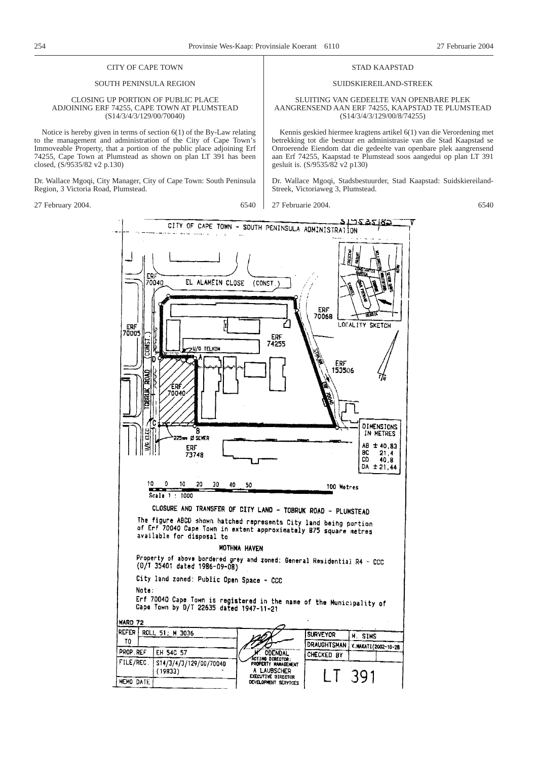STAD KAAPSTAD SUIDSKIEREILAND-STREEK SLUITING VAN GEDEELTE VAN OPENBARE PLEK AANGRENSEND AAN ERF 74255, KAAPSTAD TE PLUMSTEAD (S14/3/4/3/129/00/8/74255) Kennis geskied hiermee kragtens artikel 6(1) van die Verordening met betrekking tot die bestuur en administrasie van die Stad Kaapstad se Onroerende Eiendom dat die gedeelte van openbare plek aangrensend aan Erf 74255, Kaapstad te Plumstead soos aangedui op plan LT 391

Dr. Wallace Mgoqi, Stadsbestuurder, Stad Kaapstad: Suidskiereiland-

# CITY OF CAPE TOWN

## SOUTH PENINSULA REGION

#### CLOSING UP PORTION OF PUBLIC PLACE ADJOINING ERF 74255, CAPE TOWN AT PLUMSTEAD (S14/3/4/3/129/00/70040)

Notice is hereby given in terms of section 6(1) of the By-Law relating to the management and administration of the City of Cape Town's Immoveable Property, that a portion of the public place adjoining Erf 74255, Cape Town at Plumstead as shown on plan LT 391 has been closed, (S/9535/82 v2 p.130)

Dr. Wallace Mgoqi, City Manager, City of Cape Town: South Peninsula Region, 3 Victoria Road, Plumstead.

27 February 2004. 6540

27 Februarie 2004. 6540



gesluit is. (S/9535/82 v2 p130)

Streek, Victoriaweg 3, Plumstead.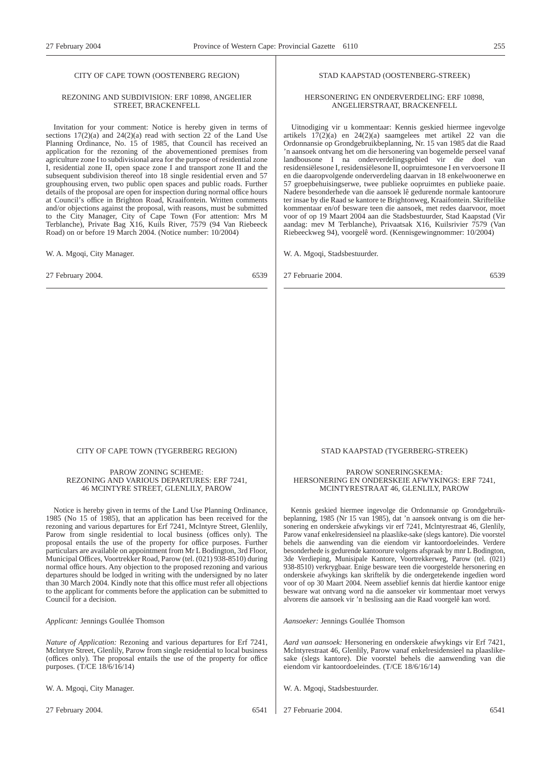## CITY OF CAPE TOWN (OOSTENBERG REGION)

#### REZONING AND SUBDIVISION: ERF 10898, ANGELIER STREET, BRACKENFELL

Invitation for your comment: Notice is hereby given in terms of sections  $17(2)(a)$  and  $24(2)(a)$  read with section 22 of the Land Use Planning Ordinance, No. 15 of 1985, that Council has received an application for the rezoning of the abovementioned premises from agriculture zone I to subdivisional area for the purpose of residential zone I, residential zone II, open space zone I and transport zone II and the subsequent subdivision thereof into 18 single residential erven and 57 grouphousing erven, two public open spaces and public roads. Further details of the proposal are open for inspection during normal office hours at Council's office in Brighton Road, Kraaifontein. Written comments and/or objections against the proposal, with reasons, must be submitted to the City Manager, City of Cape Town (For attention: Mrs M Terblanche), Private Bag X16, Kuils River, 7579 (94 Van Riebeeck Road) on or before 19 March 2004. (Notice number: 10/2004)

W. A. Mgoqi, City Manager.

27 February 2004. 6539

#### STAD KAAPSTAD (OOSTENBERG-STREEK)

#### HERSONERING EN ONDERVERDELING: ERF 10898, ANGELIERSTRAAT, BRACKENFELL

Uitnodiging vir u kommentaar: Kennis geskied hiermee ingevolge artikels 17(2)(a) en 24(2)(a) saamgelees met artikel 22 van die Ordonnansie op Grondgebruikbeplanning, Nr. 15 van 1985 dat die Raad 'n aansoek ontvang het om die hersonering van bogemelde perseel vanaf landbousone I na onderverdelingsgebied vir die doel van residensiëlesone I, residensiëlesone II, oopruimtesone I en vervoersone II en die daaropvolgende onderverdeling daarvan in 18 enkelwoonerwe en 57 groepbehuisingserwe, twee publieke oopruimtes en publieke paaie. Nadere besonderhede van die aansoek lê gedurende normale kantoorure ter insae by die Raad se kantore te Brightonweg, Kraaifontein. Skriftelike kommentaar en/of besware teen die aansoek, met redes daarvoor, moet voor of op 19 Maart 2004 aan die Stadsbestuurder, Stad Kaapstad (Vir aandag: mev M Terblanche), Privaatsak X16, Kuilsrivier 7579 (Van Riebeeckweg 94), voorgelê word. (Kennisgewingnommer: 10/2004)

W. A. Mgoqi, Stadsbestuurder.

27 Februarie 2004. 6539

#### CITY OF CAPE TOWN (TYGERBERG REGION)

PAROW ZONING SCHEME: REZONING AND VARIOUS DEPARTURES: ERF 7241, 46 MCINTYRE STREET, GLENLILY, PAROW

Notice is hereby given in terms of the Land Use Planning Ordinance, 1985 (No 15 of 1985), that an application has been received for the rezoning and various departures for Erf 7241, Mclntyre Street, Glenlily, Parow from single residential to local business (offices only). The proposal entails the use of the property for office purposes. Further particulars are available on appointment from Mr L Bodington, 3rd Floor, Municipal Offices, Voortrekker Road, Parow (tel. (021) 938-8510) during normal office hours. Any objection to the proposed rezoning and various departures should be lodged in writing with the undersigned by no later than 30 March 2004. Kindly note that this office must refer all objections to the applicant for comments before the application can be submitted to Council for a decision.

*Applicant:* Jennings Goullée Thomson

*Nature of Application:* Rezoning and various departures for Erf 7241, Mclntyre Street, Glenlily, Parow from single residential to local business (offices only). The proposal entails the use of the property for office purposes. (T/CE 18/6/16/14)

W. A. Mgoqi, City Manager.

27 February 2004. 6541

# STAD KAAPSTAD (TYGERBERG-STREEK)

PAROW SONERINGSKEMA: HERSONERING EN ONDERSKEIE AFWYKINGS: ERF 7241, MCINTYRESTRAAT 46, GLENLILY, PAROW

Kennis geskied hiermee ingevolge die Ordonnansie op Grondgebruikbeplanning, 1985 (Nr 15 van 1985), dat 'n aansoek ontvang is om die hersonering en onderskeie afwykings vir erf 7241, Mclntyrestraat 46, Glenlily, Parow vanaf enkelresidensieel na plaaslike-sake (slegs kantore). Die voorstel behels die aanwending van die eiendom vir kantoordoeleindes. Verdere besonderhede is gedurende kantoorure volgens afspraak by mnr L Bodington, 3de Verdieping, Munisipale Kantore, Voortrekkerweg, Parow (tel. (021) 938-8510) verkrygbaar. Enige besware teen die voorgestelde hersonering en onderskeie afwykings kan skriftelik by die ondergetekende ingedien word voor of op 30 Maart 2004. Neem asseblief kennis dat hierdie kantoor enige besware wat ontvang word na die aansoeker vir kommentaar moet verwys alvorens die aansoek vir 'n beslissing aan die Raad voorgelê kan word.

*Aansoeker:* Jennings Goullée Thomson

*Aard van aansoek:* Hersonering en onderskeie afwykings vir Erf 7421, Mclntyrestraat 46, Glenlily, Parow vanaf enkelresidensieel na plaaslikesake (slegs kantore). Die voorstel behels die aanwending van die eiendom vir kantoordoeleindes. (T/CE 18/6/16/14)

W. A. Mgoqi, Stadsbestuurder.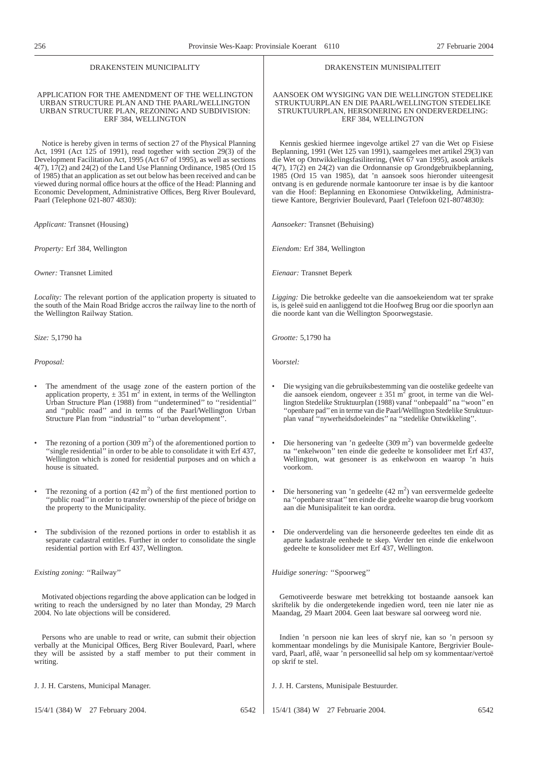| DRAKENSTEIN MUNICIPALITY                                                                                                                                                                                     | DRAKENSTEIN MUNISIPALITEIT                                                                                                                                                                 |
|--------------------------------------------------------------------------------------------------------------------------------------------------------------------------------------------------------------|--------------------------------------------------------------------------------------------------------------------------------------------------------------------------------------------|
| APPLICATION FOR THE AMENDMENT OF THE WELLINGTON                                                                                                                                                              | AANSOEK OM WYSIGING VAN DIE WELLINGTON STEDELIKE                                                                                                                                           |
| URBAN STRUCTURE PLAN AND THE PAARL/WELLINGTON                                                                                                                                                                | STRUKTUURPLAN EN DIE PAARL/WELLINGTON STEDELIKE                                                                                                                                            |
| URBAN STRUCTURE PLAN, REZONING AND SUBDIVISION:                                                                                                                                                              | STRUKTUURPLAN, HERSONERING EN ONDERVERDELING:                                                                                                                                              |
| ERF 384, WELLINGTON                                                                                                                                                                                          | ERF 384, WELLINGTON                                                                                                                                                                        |
| Notice is hereby given in terms of section 27 of the Physical Planning                                                                                                                                       | Kennis geskied hiermee ingevolge artikel 27 van die Wet op Fisiese                                                                                                                         |
| Act, 1991 (Act 125 of 1991), read together with section 29(3) of the                                                                                                                                         | Beplanning, 1991 (Wet 125 van 1991), saamgelees met artikel 29(3) van                                                                                                                      |
| Development Facilitation Act, 1995 (Act 67 of 1995), as well as sections                                                                                                                                     | die Wet op Ontwikkelingsfasilitering, (Wet 67 van 1995), asook artikels                                                                                                                    |
| $4(7)$ , $17(2)$ and $24(2)$ of the Land Use Planning Ordinance, 1985 (Ord 15)                                                                                                                               | $4(7)$ , $17(2)$ en $24(2)$ van die Ordonnansie op Grondgebruikbeplanning,                                                                                                                 |
| of 1985) that an application as set out below has been received and can be                                                                                                                                   | 1985 (Ord 15 van 1985), dat 'n aansoek soos hieronder uiteengesit                                                                                                                          |
| viewed during normal office hours at the office of the Head: Planning and                                                                                                                                    | ontvang is en gedurende normale kantoorure ter insae is by die kantoor                                                                                                                     |
| Economic Development, Administrative Offices, Berg River Boulevard,                                                                                                                                          | van die Hoof: Beplanning en Ekonomiese Ontwikkeling, Administra-                                                                                                                           |
| Paarl (Telephone 021-807 4830):                                                                                                                                                                              | tiewe Kantore, Bergrivier Boulevard, Paarl (Telefoon 021-8074830):                                                                                                                         |
| Applicant: Transnet (Housing)                                                                                                                                                                                | Aansoeker: Transnet (Behuising)                                                                                                                                                            |
| <i>Property:</i> Erf 384, Wellington                                                                                                                                                                         | Eiendom: Erf 384, Wellington                                                                                                                                                               |
| Owner: Transnet Limited                                                                                                                                                                                      | Eienaar: Transnet Beperk                                                                                                                                                                   |
| Locality: The relevant portion of the application property is situated to                                                                                                                                    | Ligging: Die betrokke gedeelte van die aansoekeiendom wat ter sprake                                                                                                                       |
| the south of the Main Road Bridge accros the railway line to the north of                                                                                                                                    | is, is geleë suid en aanliggend tot die Hoofweg Brug oor die spoorlyn aan                                                                                                                  |
| the Wellington Railway Station.                                                                                                                                                                              | die noorde kant van die Wellington Spoorwegstasie.                                                                                                                                         |
| Size: 5,1790 ha                                                                                                                                                                                              | Grootte: 5,1790 ha                                                                                                                                                                         |
| Proposal:                                                                                                                                                                                                    | Voorstel:                                                                                                                                                                                  |
| $\bullet$                                                                                                                                                                                                    | Die wysiging van die gebruiksbestemming van die oostelike gedeelte van                                                                                                                     |
| The amendment of the usage zone of the eastern portion of the                                                                                                                                                | $\bullet$                                                                                                                                                                                  |
| application property, $\pm 351$ m <sup>2</sup> in extent, in terms of the Wellington                                                                                                                         | die aansoek eiendom, ongeveer $\pm 351$ m <sup>2</sup> groot, in terme van die Wel-                                                                                                        |
| Urban Structure Plan (1988) from "undetermined" to "residential"                                                                                                                                             | lington Stedelike Struktuurplan (1988) vanaf "onbepaald" na "woon" en                                                                                                                      |
| and "public road" and in terms of the Paarl/Wellington Urban                                                                                                                                                 | "openbare pad" en in terme van die Paarl/WellIngton Stedelike Struktuur-                                                                                                                   |
| Structure Plan from "industrial" to "urban development".                                                                                                                                                     | plan vanaf "nywerheidsdoeleindes" na "stedelike Ontwikkeling".                                                                                                                             |
| The rezoning of a portion $(309 \text{ m}^2)$ of the aforementioned portion to                                                                                                                               | Die hersonering van 'n gedeelte $(309 \text{ m}^2)$ van bovermelde gedeelte                                                                                                                |
| "single residential" in order to be able to consolidate it with Erf 437,                                                                                                                                     | na "enkelwoon" ten einde die gedeelte te konsolideer met Erf 437,                                                                                                                          |
| Wellington which is zoned for residential purposes and on which a                                                                                                                                            | Wellington, wat gesoneer is as enkelwoon en waarop 'n huis                                                                                                                                 |
| house is situated.                                                                                                                                                                                           | voorkom.                                                                                                                                                                                   |
| The rezoning of a portion $(42 \text{ m}^2)$ of the first mentioned portion to                                                                                                                               | Die hersonering van 'n gedeelte $(42 \text{ m}^2)$ van eersvermelde gedeelte                                                                                                               |
| "public road" in order to transfer ownership of the piece of bridge on                                                                                                                                       | na "openbare straat" ten einde die gedeelte waarop die brug voorkom                                                                                                                        |
| the property to the Municipality.                                                                                                                                                                            | aan die Munisipaliteit te kan oordra.                                                                                                                                                      |
| The subdivision of the rezoned portions in order to establish it as<br>$\bullet$<br>separate cadastral entitles. Further in order to consolidate the single<br>residential portion with Erf 437, Wellington. | Die onderverdeling van die hersoneerde gedeeltes ten einde dit as<br>aparte kadastrale eenhede te skep. Verder ten einde die enkelwoon<br>gedeelte te konsolideer met Erf 437, Wellington. |
| <i>Existing zoning:</i> "Railway"                                                                                                                                                                            | Huidige sonering: "Spoorweg"                                                                                                                                                               |
| Motivated objections regarding the above application can be lodged in                                                                                                                                        | Gemotiveerde besware met betrekking tot bostaande aansoek kan                                                                                                                              |
| writing to reach the undersigned by no later than Monday, 29 March                                                                                                                                           | skriftelik by die ondergetekende ingedien word, teen nie later nie as                                                                                                                      |
| 2004. No late objections will be considered.                                                                                                                                                                 | Maandag, 29 Maart 2004. Geen laat besware sal oorweeg word nie.                                                                                                                            |
| Persons who are unable to read or write, can submit their objection                                                                                                                                          | Indien 'n persoon nie kan lees of skryf nie, kan so 'n persoon sy                                                                                                                          |
| verbally at the Municipal Offices, Berg River Boulevard, Paarl, where                                                                                                                                        | kommentaar mondelings by die Munisipale Kantore, Bergrivier Boule-                                                                                                                         |
| they will be assisted by a staff member to put their comment in                                                                                                                                              | vard, Paarl, aflê, waar 'n personeellid sal help om sy kommentaar/vertoë                                                                                                                   |
| writing.                                                                                                                                                                                                     | op skrif te stel.                                                                                                                                                                          |
| J. J. H. Carstens, Municipal Manager.                                                                                                                                                                        | J. J. H. Carstens, Munisipale Bestuurder.                                                                                                                                                  |
| 15/4/1 (384) W 27 February 2004.                                                                                                                                                                             | 15/4/1 (384) W 27 Februarie 2004.                                                                                                                                                          |
| 6542                                                                                                                                                                                                         | 6542                                                                                                                                                                                       |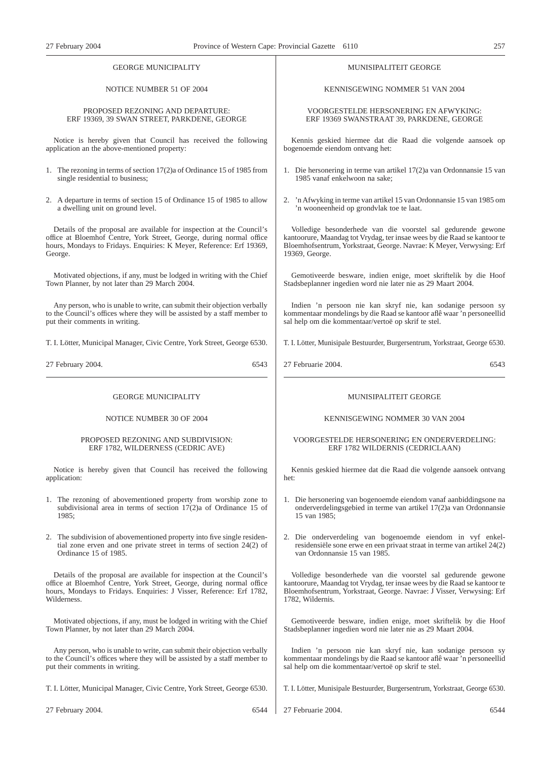# GEORGE MUNICIPALITY

# NOTICE NUMBER 51 OF 2004

#### PROPOSED REZONING AND DEPARTURE: ERF 19369, 39 SWAN STREET, PARKDENE, GEORGE

Notice is hereby given that Council has received the following application an the above-mentioned property:

- 1. The rezoning in terms of section 17(2)a of Ordinance 15 of 1985 from single residential to business;
- 2. A departure in terms of section 15 of Ordinance 15 of 1985 to allow a dwelling unit on ground level.

Details of the proposal are available for inspection at the Council's office at Bloemhof Centre, York Street, George, during normal office hours, Mondays to Fridays. Enquiries: K Meyer, Reference: Erf 19369. George.

Motivated objections, if any, must be lodged in writing with the Chief Town Planner, by not later than 29 March 2004.

Any person, who is unable to write, can submit their objection verbally to the Council's offices where they will be assisted by a staff member to put their comments in writing.

T. I. Lötter, Municipal Manager, Civic Centre, York Street, George 6530.

27 February 2004. 6543

GEORGE MUNICIPALITY

## NOTICE NUMBER 30 OF 2004

#### PROPOSED REZONING AND SUBDIVISION: ERF 1782, WILDERNESS (CEDRIC AVE)

Notice is hereby given that Council has received the following application:

- 1. The rezoning of abovementioned property from worship zone to subdivisional area in terms of section 17(2)a of Ordinance 15 of 1985;
- 2. The subdivision of abovementioned property into five single residential zone erven and one private street in terms of section 24(2) of Ordinance 15 of 1985.

Details of the proposal are available for inspection at the Council's office at Bloemhof Centre, York Street, George, during normal office hours, Mondays to Fridays. Enquiries: J Visser, Reference: Erf 1782, **Wilderness** 

Motivated objections, if any, must be lodged in writing with the Chief Town Planner, by not later than 29 March 2004.

Any person, who is unable to write, can submit their objection verbally to the Council's offices where they will be assisted by a staff member to put their comments in writing.

T. I. Lötter, Municipal Manager, Civic Centre, York Street, George 6530.

27 February 2004. 6544

# MUNISIPALITEIT GEORGE

KENNISGEWING NOMMER 51 VAN 2004

VOORGESTELDE HERSONERING EN AFWYKING: ERF 19369 SWANSTRAAT 39, PARKDENE, GEORGE

Kennis geskied hiermee dat die Raad die volgende aansoek op bogenoemde eiendom ontvang het:

- 1. Die hersonering in terme van artikel 17(2)a van Ordonnansie 15 van 1985 vanaf enkelwoon na sake;
- 2. 'n Afwyking in terme van artikel 15 van Ordonnansie 15 van 1985 om 'n wooneenheid op grondvlak toe te laat.

Volledige besonderhede van die voorstel sal gedurende gewone kantoorure, Maandag tot Vrydag, ter insae wees by die Raad se kantoor te Bloemhofsentrum, Yorkstraat, George. Navrae: K Meyer, Verwysing: Erf 19369, George.

Gemotiveerde besware, indien enige, moet skriftelik by die Hoof Stadsbeplanner ingedien word nie later nie as 29 Maart 2004.

Indien 'n persoon nie kan skryf nie, kan sodanige persoon sy kommentaar mondelings by die Raad se kantoor aflê waar 'n personeellid sal help om die kommentaar/vertoë op skrif te stel.

T. I. Lötter, Munisipale Bestuurder, Burgersentrum, Yorkstraat, George 6530.

27 Februarie 2004. 6543

#### MUNISIPALITEIT GEORGE

# KENNISGEWING NOMMER 30 VAN 2004

VOORGESTELDE HERSONERING EN ONDERVERDELING: ERF 1782 WILDERNIS (CEDRICLAAN)

Kennis geskied hiermee dat die Raad die volgende aansoek ontvang het:

- 1. Die hersonering van bogenoemde eiendom vanaf aanbiddingsone na onderverdelingsgebied in terme van artikel 17(2)a van Ordonnansie 15 van 1985;
- 2. Die onderverdeling van bogenoemde eiendom in vyf enkelresidensiële sone erwe en een privaat straat in terme van artikel 24(2) van Ordonnansie 15 van 1985.

Volledige besonderhede van die voorstel sal gedurende gewone kantoorure, Maandag tot Vrydag, ter insae wees by die Raad se kantoor te Bloemhofsentrum, Yorkstraat, George. Navrae: J Visser, Verwysing: Erf 1782, Wildernis.

Gemotiveerde besware, indien enige, moet skriftelik by die Hoof Stadsbeplanner ingedien word nie later nie as 29 Maart 2004.

Indien 'n persoon nie kan skryf nie, kan sodanige persoon sy kommentaar mondelings by die Raad se kantoor aflê waar 'n personeellid sal help om die kommentaar/vertoë op skrif te stel.

T. I. Lötter, Munisipale Bestuurder, Burgersentrum, Yorkstraat, George 6530.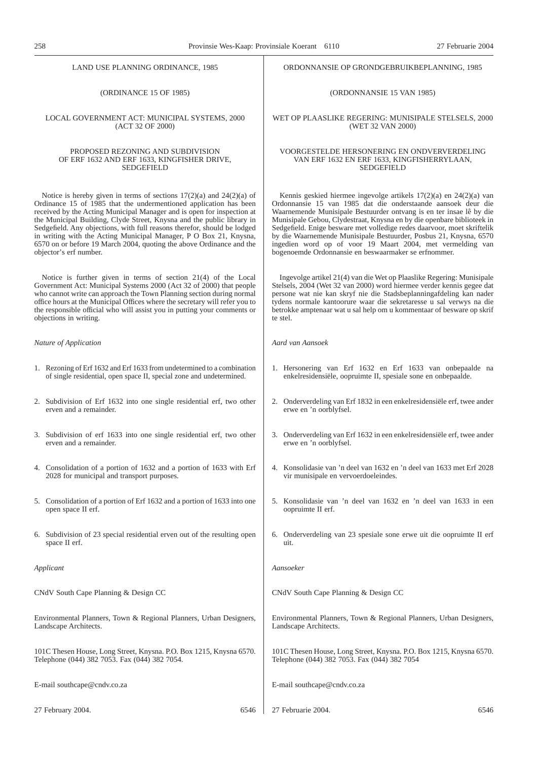LAND USE PLANNING ORDINANCE, 1985

(ORDINANCE 15 OF 1985)

LOCAL GOVERNMENT ACT: MUNICIPAL SYSTEMS, 2000 (ACT 32 OF 2000)

#### PROPOSED REZONING AND SUBDIVISION OF ERF 1632 AND ERF 1633, KINGFISHER DRIVE, SEDGEFIELD

Notice is hereby given in terms of sections 17(2)(a) and 24(2)(a) of Ordinance 15 of 1985 that the undermentioned application has been received by the Acting Municipal Manager and is open for inspection at the Municipal Building, Clyde Street, Knysna and the public library in Sedgefield. Any objections, with full reasons therefor, should be lodged in writing with the Acting Municipal Manager, P O Box 21, Knysna, 6570 on or before 19 March 2004, quoting the above Ordinance and the objector's erf number.

Notice is further given in terms of section 21(4) of the Local Government Act: Municipal Systems 2000 (Act 32 of 2000) that people who cannot write can approach the Town Planning section during normal office hours at the Municipal Offices where the secretary will refer you to the responsible official who will assist you in putting your comments or objections in writing.

#### *Nature of Application*

- 1. Rezoning of Erf 1632 and Erf 1633 from undetermined to a combination of single residential, open space II, special zone and undetermined.
- 2. Subdivision of Erf 1632 into one single residential erf, two other erven and a remainder.
- 3. Subdivision of erf 1633 into one single residential erf, two other erven and a remainder.
- 4. Consolidation of a portion of 1632 and a portion of 1633 with Erf 2028 for municipal and transport purposes.
- 5. Consolidation of a portion of Erf 1632 and a portion of 1633 into one open space II erf.
- 6. Subdivision of 23 special residential erven out of the resulting open space II erf.

*Applicant*

CNdV South Cape Planning & Design CC

Environmental Planners, Town & Regional Planners, Urban Designers, Landscape Architects.

101C Thesen House, Long Street, Knysna. P.O. Box 1215, Knysna 6570. Telephone (044) 382 7053. Fax (044) 382 7054.

E-mail southcape@cndv.co.za

27 February 2004. 6546

ORDONNANSIE OP GRONDGEBRUIKBEPLANNING, 1985

(ORDONNANSIE 15 VAN 1985)

WET OP PLAASLIKE REGERING: MUNISIPALE STELSELS, 2000 (WET 32 VAN 2000)

#### VOORGESTELDE HERSONERING EN ONDVERVERDELING VAN ERF 1632 EN ERF 1633, KINGFISHERRYLAAN, SEDGEFIELD

Kennis geskied hiermee ingevolge artikels 17(2)(a) en 24(2)(a) van Ordonnansie 15 van 1985 dat die onderstaande aansoek deur die Waarnemende Munisipale Bestuurder ontvang is en ter insae lê by die Munisipale Gebou, Clydestraat, Knysna en by die openbare biblioteek in Sedgefield. Enige besware met volledige redes daarvoor, moet skriftelik by die Waarnemende Munisipale Bestuurder, Posbus 21, Knysna, 6570 ingedien word op of voor 19 Maart 2004, met vermelding van bogenoemde Ordonnansie en beswaarmaker se erfnommer.

Ingevolge artikel 21(4) van die Wet op Plaaslike Regering: Munisipale Stelsels, 2004 (Wet 32 van 2000) word hiermee verder kennis gegee dat persone wat nie kan skryf nie die Stadsbeplanningafdeling kan nader tydens normale kantoorure waar die sekretaresse u sal verwys na die betrokke amptenaar wat u sal help om u kommentaar of besware op skrif te stel.

*Aard van Aansoek*

- 1. Hersonering van Erf 1632 en Erf 1633 van onbepaalde na enkelresidensiële, oopruimte II, spesiale sone en onbepaalde.
- 2. Onderverdeling van Erf 1832 in een enkelresidensiële erf, twee ander erwe en 'n oorblyfsel.
- 3. Onderverdeling van Erf 1632 in een enkelresidensiële erf, twee ander erwe en 'n oorblyfsel.
- 4. Konsolidasie van 'n deel van 1632 en 'n deel van 1633 met Erf 2028 vir munisipale en vervoerdoeleindes.
- 5. Konsolidasie van 'n deel van 1632 en 'n deel van 1633 in een oopruimte II erf.
- 6. Onderverdeling van 23 spesiale sone erwe uit die oopruimte II erf uit.

*Aansoeker*

CNdV South Cape Planning & Design CC

Environmental Planners, Town & Regional Planners, Urban Designers, Landscape Architects.

101C Thesen House, Long Street, Knysna. P.O. Box 1215, Knysna 6570. Telephone (044) 382 7053. Fax (044) 382 7054

E-mail southcape@cndv.co.za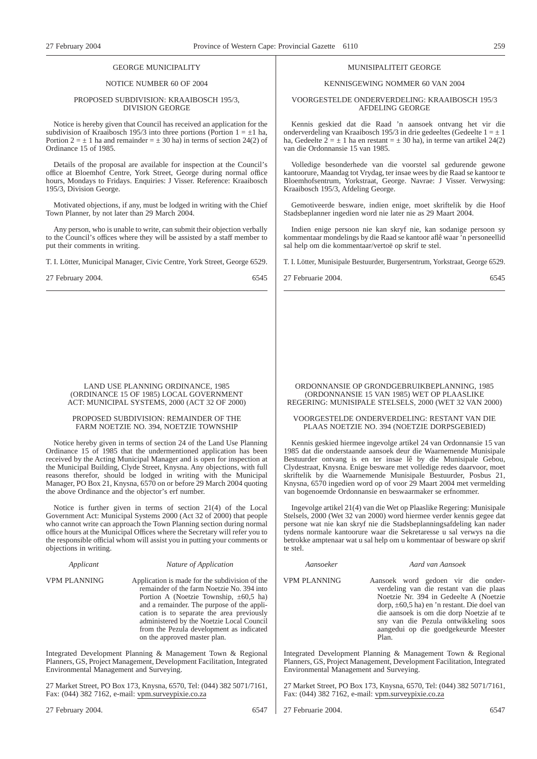#### GEORGE MUNICIPALITY

#### NOTICE NUMBER 60 OF 2004

#### PROPOSED SUBDIVISION: KRAAIBOSCH 195/3, DIVISION GEORGE

Notice is hereby given that Council has received an application for the subdivision of Kraaibosch 195/3 into three portions (Portion  $1 = \pm 1$  ha, Portion  $2 = \pm 1$  ha and remainder  $= \pm 30$  ha) in terms of section 24(2) of Ordinance 15 of 1985.

Details of the proposal are available for inspection at the Council's office at Bloemhof Centre, York Street, George during normal office hours, Mondays to Fridays. Enquiries: J Visser. Reference: Kraaibosch 195/3, Division George.

Motivated objections, if any, must be lodged in writing with the Chief Town Planner, by not later than 29 March 2004.

Any person, who is unable to write, can submit their objection verbally to the Council's offices where they will be assisted by a staff member to put their comments in writing.

T. I. Lötter, Municipal Manager, Civic Centre, York Street, George 6529.

27 February 2004. 6545

LAND USE PLANNING ORDINANCE, 1985 (ORDINANCE 15 OF 1985) LOCAL GOVERNMENT ACT: MUNICIPAL SYSTEMS, 2000 (ACT 32 OF 2000)

#### PROPOSED SUBDIVISION: REMAINDER OF THE FARM NOETZIE NO. 394, NOETZIE TOWNSHIP

Notice hereby given in terms of section 24 of the Land Use Planning Ordinance 15 of 1985 that the undermentioned application has been received by the Acting Municipal Manager and is open for inspection at the Municipal Building, Clyde Street, Knysna. Any objections, with full reasons therefor, should be lodged in writing with the Municipal Manager, PO Box 21, Knysna, 6570 on or before 29 March 2004 quoting the above Ordinance and the objector's erf number.

Notice is further given in terms of section 21(4) of the Local Government Act: Municipal Systems 2000 (Act 32 of 2000) that people who cannot write can approach the Town Planning section during normal office hours at the Municipal Offices where the Secretary will refer you to the responsible official whom will assist you in putting your comments or objections in writing.

| Applicant |  |  |  |
|-----------|--|--|--|
|           |  |  |  |

#### *Applicant Nature of Application*

VPM PLANNING Application is made for the subdivision of the remainder of the farm Noetzie No. 394 into Portion A (Noetzie Township, ±60,5 ha) and a remainder. The purpose of the application is to separate the area previously administered by the Noetzie Local Council from the Pezula development as indicated on the approved master plan.

Integrated Development Planning & Management Town & Regional Planners, GS, Project Management, Development Facilitation, Integrated Environmental Management and Surveying.

27 Market Street, PO Box 173, Knysna, 6570, Tel: (044) 382 5071/7161, Fax: (044) 382 7162, e-mail: vpm.surveypixie.co.za

27 February 2004. 6547

#### MUNISIPALITEIT GEORGE

#### KENNISGEWING NOMMER 60 VAN 2004

#### VOORGESTELDE ONDERVERDELING: KRAAIBOSCH 195/3 AFDELING GEORGE

Kennis geskied dat die Raad 'n aansoek ontvang het vir die onderverdeling van Kraaibosch 195/3 in drie gedeeltes (Gedeelte $1 = \pm 1$ ha, Gedeelte  $2 = \pm 1$  ha en restant  $= \pm 30$  ha), in terme van artikel 24(2) van die Ordonnansie 15 van 1985.

Volledige besonderhede van die voorstel sal gedurende gewone kantoorure, Maandag tot Vrydag, ter insae wees by die Raad se kantoor te Bloemhofsentrum, Yorkstraat, George. Navrae: J Visser. Verwysing: Kraaibosch 195/3, Afdeling George.

Gemotiveerde besware, indien enige, moet skriftelik by die Hoof Stadsbeplanner ingedien word nie later nie as 29 Maart 2004.

Indien enige persoon nie kan skryf nie, kan sodanige persoon sy kommentaar mondelings by die Raad se kantoor aflê waar 'n personeellid sal help om die kommentaar/vertoë op skrif te stel.

T. I. Lötter, Munisipale Bestuurder, Burgersentrum, Yorkstraat, George 6529.

27 Februarie 2004. 6545

#### ORDONNANSIE OP GRONDGEBRUIKBEPLANNING, 1985 (ORDONNANSIE 15 VAN 1985) WET OP PLAASLIKE REGERING: MUNISIPALE STELSELS, 2000 (WET 32 VAN 2000)

#### VOORGESTELDE ONDERVERDELING: RESTANT VAN DIE PLAAS NOETZIE NO. 394 (NOETZIE DORPSGEBIED)

Kennis geskied hiermee ingevolge artikel 24 van Ordonnansie 15 van 1985 dat die onderstaande aansoek deur die Waarnemende Munisipale Bestuurder ontvang is en ter insae lê by die Munisipale Gebou, Clydestraat, Knysna. Enige besware met volledige redes daarvoor, moet skriftelik by die Waarnemende Munisipale Bestuurder, Posbus 21, Knysna, 6570 ingedien word op of voor 29 Maart 2004 met vermelding van bogenoemde Ordonnansie en beswaarmaker se erfnommer.

Ingevolge artikel 21(4) van die Wet op Plaaslike Regering: Munisipale Stelsels, 2000 (Wet 32 van 2000) word hiermee verder kennis gegee dat persone wat nie kan skryf nie die Stadsbeplanningsafdeling kan nader tydens normale kantoorure waar die Sekretaresse u sal verwys na die betrokke amptenaar wat u sal help om u kommentaar of besware op skrif te stel.

#### *Aansoeker Aard van Aansoek*

VPM PLANNING Aansoek word gedoen vir die onderverdeling van die restant van die plaas Noetzie Nr. 394 in Gedeelte A (Noetzie dorp, ±60,5 ha) en 'n restant. Die doel van die aansoek is om die dorp Noetzie af te sny van die Pezula ontwikkeling soos aangedui op die goedgekeurde Meester Plan.

Integrated Development Planning & Management Town & Regional Planners, GS, Project Management, Development Facilitation, Integrated Environmental Management and Surveying.

27 Market Street, PO Box 173, Knysna, 6570, Tel: (044) 382 5071/7161, Fax: (044) 382 7162, e-mail: vpm.surveypixie.co.za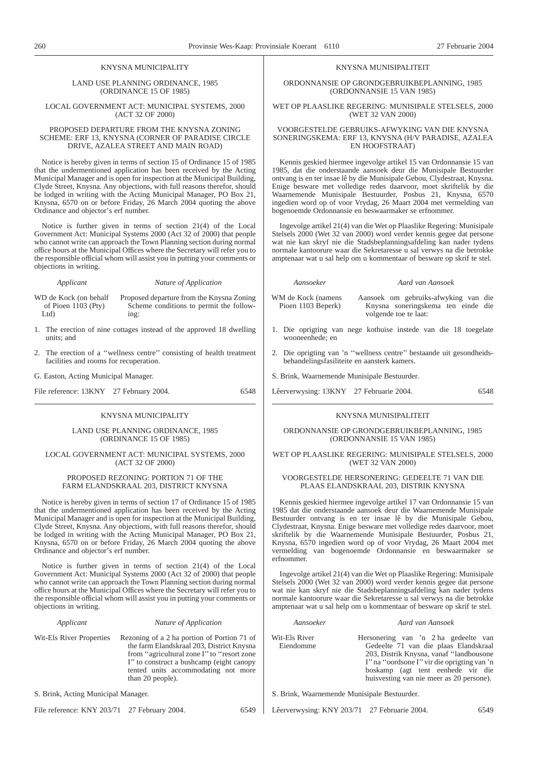#### KNYSNA MUNICIPALITY

LAND USE PLANNING ORDINANCE, 1985 (ORDINANCE 15 OF 1985)

LOCAL GOVERNMENT ACT: MUNICIPAL SYSTEMS, 2000 (ACT 32 OF 2000)

#### PROPOSED DEPARTURE FROM THE KNYSNA ZONING SCHEME: ERF 13, KNYSNA (CORNER OF PARADISE CIRCLE DRIVE, AZALEA STREET AND MAIN ROAD)

Notice is hereby given in terms of section 15 of Ordinance 15 of 1985 that the undermentioned application has been received by the Acting Municipal Manager and is open for inspection at the Municipal Building, Clyde Street, Knysna. Any objections, with full reasons therefor, should be lodged in writing with the Acting Municipal Manager, PO Box 21, Knysna, 6570 on or before Friday, 26 March 2004 quoting the above Ordinance and objector's erf number.

Notice is further given in terms of section 21(4) of the Local Government Act: Municipal Systems 2000 (Act 32 of 2000) that people who cannot write can approach the Town Planning section during normal office hours at the Municipal Offices where the Secretary will refer you to the responsible official whom will assist you in putting your comments or objections in writing.

#### *Applicant Nature of Application*

- WD de Kock (on behalf of Pioen 1103 (Pty) Ltd) Proposed departure from the Knysna Zoning Scheme conditions to permit the following:
- 1. The erection of nine cottages instead of the approved 18 dwelling units; and
- 2. The erection of a ''wellness centre'' consisting of health treatment facilities and rooms for recuperation.

G. Easton, Acting Municipal Manager.

File reference:  $13KNY$  27 February 2004. 6548

#### KNYSNA MUNICIPALITY

LAND USE PLANNING ORDINANCE, 1985 (ORDINANCE 15 OF 1985)

#### LOCAL GOVERNMENT ACT: MUNICIPAL SYSTEMS, 2000 (ACT 32 OF 2000)

#### PROPOSED REZONING: PORTION 71 OF THE FARM ELANDSKRAAL 203, DISTRICT KNYSNA

Notice is hereby given in terms of section 17 of Ordinance 15 of 1985 that the undermentioned application has been received by the Acting Municipal Manager and is open for inspection at the Municipal Building, Clyde Street, Knysna. Any objections, with full reasons therefor, should be lodged in writing with the Acting Municipal Manager, PO Box 21, Knysna, 6570 on or before Friday, 26 March 2004 quoting the above Ordinance and objector's erf number.

Notice is further given in terms of section 21(4) of the Local Government Act: Municipal Systems 2000 (Act 32 of 2000) that people who cannot write can approach the Town Planning section during normal office hours at the Municipal Offices where the Secretary will refer you to the responsible official whom will assist you in putting your comments or objections in writing.

| Applicant                | Nature of Application                                                                                                                                                                                                                           |  |  |
|--------------------------|-------------------------------------------------------------------------------------------------------------------------------------------------------------------------------------------------------------------------------------------------|--|--|
| Wit-Els River Properties | Rezoning of a 2 ha portion of Portion 71 of<br>the farm Elandskraal 203, District Knysna<br>from "agricultural zone I" to "resort zone"<br>I" to construct a bushcamp (eight canopy)<br>tented units accommodating not more<br>than 20 people). |  |  |

S. Brink, Acting Municipal Manager.

File reference: KNY 203/71 27 February 2004. 6549

ORDONNANSIE OP GRONDGEBRUIKBEPLANNING, 1985 (ORDONNANSIE 15 VAN 1985)

WET OP PLAASLIKE REGERING: MUNISIPALE STELSELS, 2000 (WET 32 VAN 2000)

#### VOORGESTELDE GEBRUIKS-AFWYKING VAN DIE KNYSNA SONERINGSKEMA: ERF 13, KNYSNA (H/V PARADISE, AZALEA EN HOOFSTRAAT)

Kennis geskied hiermee ingevolge artikel 15 van Ordonnansie 15 van 1985, dat die onderstaande aansoek deur die Munisipale Bestuurder ontvang is en ter insae lê by die Munisipale Gebou, Clydestraat, Knysna. Enige besware met volledige redes daarvoor, moet skriftelik by die Waarnemende Munisipale Bestuurder, Posbus 21, Knysna, 6570 ingedien word op of voor Vrydag, 26 Maart 2004 met vermelding van bogenoemde Ordonnansie en beswaarmaker se erfnommer.

Ingevolge artikel 21(4) van die Wet op Plaaslike Regering: Munisipale Stelsels 2000 (Wet 32 van 2000) word verder kennis gegee dat persone wat nie kan skryf nie die Stadsbeplanningsafdeling kan nader tydens normale kantoorure waar die Sekretaresse u sal verwys na die betrokke amptenaar wat u sal help om u kommentaar of besware op skrif te stel.

*Aansoeker Aard van Aansoek*

- WM de Kock (namens Pioen 1103 Beperk) Aansoek om gebruiks-afwyking van die Knysna soneringskema ten einde die volgende toe te laat:
- 1. Die oprigting van nege kothuise instede van die 18 toegelate wooneenhede; en
- 2. Die oprigting van 'n ''wellness centre'' bestaande uit gesondheidsbehandelingsfasiliteite en aansterk kamers.
- S. Brink, Waarnemende Munisipale Bestuurder.
- Lêerverwysing: 13KNY 27 Februarie 2004. 6548

#### KNYSNA MUNISIPALITEIT

#### ORDONNANSIE OP GRONDGEBRUIKBEPLANNING, 1985 (ORDONNANSIE 15 VAN 1985)

#### WET OP PLAASLIKE REGERING: MUNISIPALE STELSELS, 2000 (WET 32 VAN 2000)

#### VOORGESTELDE HERSONERING: GEDEELTE 71 VAN DIE PLAAS ELANDSKRAAL 203, DISTRIK KNYSNA

Kennis geskied hiermee ingevolge artikel 17 van Ordonnansie 15 van 1985 dat die onderstaande aansoek deur die Waarnemende Munisipale Bestuurder ontvang is en ter insae lê by die Munisipale Gebou, Clydestraat, Knysna. Enige besware met volledige redes daarvoor, moet skriftelik by die Waarnemende Munisipale Bestuurder, Posbus 21, Knysna, 6570 ingedien word op of voor Vrydag, 26 Maart 2004 met vermelding van bogenoemde Ordonnansie en beswaarmaker se erfnommer.

Ingevolge artikel 21(4) van die Wet op Plaaslike Regering: Munisipale Stelsels 2000 (Wet 32 van 2000) word verder kennis gegee dat persone wat nie kan skryf nie die Stadsbeplanningsafdeling kan nader tydens normale kantoorure waar die Sekretaresse u sal verwys na die betrokke amptenaar wat u sal help om u kommentaar of besware op skrif te stel.

| Aansoeker                  | Aard van Aansoek                                                                                                                                                                                                                                         |
|----------------------------|----------------------------------------------------------------------------------------------------------------------------------------------------------------------------------------------------------------------------------------------------------|
| Wit-Els River<br>Eiendomme | Hersonering van 'n 2 ha gedeelte van<br>Gedeelte 71 van die plaas Elandskraal<br>203, Distrik Knysna, vanaf "landbousone<br>I" na "oordsone I" vir die oprigting van 'n<br>boskamp (agt tent eenhede vir die<br>huisvesting van nie meer as 20 persone). |

S. Brink, Waarnemende Munisipale Bestuurder.

Lêerverwysing: KNY 203/71 27 Februarie 2004. 6549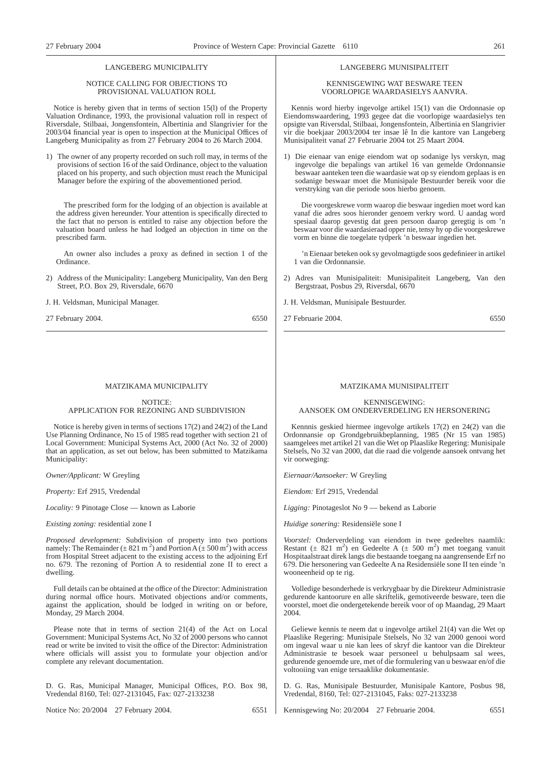### LANGEBERG MUNICIPALITY

#### NOTICE CALLING FOR OBJECTIONS TO PROVISIONAL VALUATION ROLL

Notice is hereby given that in terms of section 15(l) of the Property Valuation Ordinance, 1993, the provisional valuation roll in respect of Riversdale, Stilbaai, Jongensfontein, Albertinia and Slangrivier for the 2003/04 financial year is open to inspection at the Municipal Offices of Langeberg Municipality as from 27 February 2004 to 26 March 2004.

1) The owner of any property recorded on such roll may, in terms of the provisions of section 16 of the said Ordinance, object to the valuation placed on his property, and such objection must reach the Municipal Manager before the expiring of the abovementioned period.

The prescribed form for the lodging of an objection is available at the address given hereunder. Your attention is specifically directed to the fact that no person is entitled to raise any objection before the valuation board unless he had lodged an objection in time on the prescribed farm.

An owner also includes a proxy as defined in section 1 of the Ordinance.

2) Address of the Municipality: Langeberg Municipality, Van den Berg Street, P.O. Box 29, Riversdale, 6670

J. H. Veldsman, Municipal Manager.

27 February 2004. 6550

#### MATZIKAMA MUNICIPALITY

#### NOTICE: APPLICATION FOR REZONING AND SUBDIVISION

Notice is hereby given in terms of sections 17(2) and 24(2) of the Land Use Planning Ordinance, No 15 of 1985 read together with section 21 of Local Government: Municipal Systems Act, 2000 (Act No. 32 of 2000) that an application, as set out below, has been submitted to Matzikama Municipality:

*Owner/Applicant:* W Greyling

*Property:* Erf 2915, Vredendal

*Locality:* 9 Pinotage Close — known as Laborie

*Existing zoning:* residential zone I

*Proposed development:* Subdivision of property into two portions namely: The Remainder ( $\pm 821$  m<sup>2</sup>) and Portion A ( $\pm 500$  m<sup>2</sup>) with access from Hospital Street adjacent to the existing access to the adjoining Erf no. 679. The rezoning of Portion A to residential zone II to erect a dwelling.

Full details can be obtained at the office of the Director: Administration during normal office hours. Motivated objections and/or comments, against the application, should be lodged in writing on or before, Monday, 29 March 2004.

Please note that in terms of section 21(4) of the Act on Local Government: Municipal Systems Act, No 32 of 2000 persons who cannot read or write be invited to visit the office of the Director: Administration where officials will assist you to formulate your objection and/or complete any relevant documentation.

D. G. Ras, Municipal Manager, Municipal Offices, P.O. Box 98, Vredendal 8160, Tel: 027-2131045, Fax: 027-2133238

Notice No: 20/2004 27 February 2004. 6551

#### LANGEBERG MUNISIPALITEIT

#### KENNISGEWING WAT BESWARE TEEN VOORLOPIGE WAARDASIELYS AANVRA.

Kennis word hierby ingevolge artikel 15(1) van die Ordonnasie op Eiendomswaardering, 1993 gegee dat die voorlopige waardasielys ten opsigte van Riversdal, Stilbaai, Jongensfontein, Albertinia en Slangrivier vir die boekjaar 2003/2004 ter insae lê In die kantore van Langeberg Munisipaliteit vanaf 27 Februarie 2004 tot 25 Maart 2004.

1) Die eienaar van enige eiendom wat op sodanige lys verskyn, mag ingevolge die bepalings van artikel 16 van gemelde Ordonnansie beswaar aanteken teen die waardasie wat op sy eiendom geplaas is en sodanige beswaar moet die Munisipale Bestuurder bereik voor die verstryking van die periode soos hierbo genoem.

Die voorgeskrewe vorm waarop die beswaar ingedien moet word kan vanaf die adres soos hieronder genoem verkry word. U aandag word spesiaal daarop gevestig dat geen persoon daarop geregtig is om 'n beswaar voor die waardasieraad opper nie, tensy hy op die voorgeskrewe vorm en binne die toegelate tydperk 'n beswaar ingedien het.

'n Eienaar beteken ook sy gevolmagtigde soos gedefinieer in artikel 1 van die Ordonnansie.

- 2) Adres van Munisipaliteit: Munisipaliteit Langeberg, Van den Bergstraat, Posbus 29, Riversdal, 6670
- J. H. Veldsman, Munisipale Bestuurder.

27 Februarie 2004. 6550

#### MATZIKAMA MUNISIPALITEIT

#### KENNISGEWING: AANSOEK OM ONDERVERDELING EN HERSONERING

Kennnis geskied hiermee ingevolge artikels 17(2) en 24(2) van die Ordonnansie op Grondgebruikbeplanning, 1985 (Nr 15 van 1985) saamgelees met artikel 21 van die Wet op Plaaslike Regering: Munisipale Stelsels, No 32 van 2000, dat die raad die volgende aansoek ontvang het vir oorweging:

*Eiernaar/Aansoeker:* W Greyling

*Eiendom:* Erf 2915, Vredendal

*Ligging:* Pinotageslot No 9 — bekend as Laborie

*Huidige sonering:* Residensiële sone I

*Voorstel:* Onderverdeling van eiendom in twee gedeeltes naamlik: Restant ( $\pm$  821 m<sup>2</sup>) en Gedeelte A ( $\pm$  500 m<sup>2</sup>) met toegang vanuit Hospitaalstraat direk langs die bestaande toegang na aangrensende Erf no 679. Die hersonering van Gedeelte A na Residensiële sone II ten einde 'n wooneenheid op te rig.

Volledige besonderhede is verkrygbaar by die Direkteur Administrasie gedurende kantoorure en alle skriftelik, gemotiveerde besware, teen die voorstel, moet die ondergetekende bereik voor of op Maandag, 29 Maart 2004.

Geliewe kennis te neem dat u ingevolge artikel 21(4) van die Wet op Plaaslike Regering: Munisipale Stelsels, No 32 van 2000 genooi word om ingeval waar u nie kan lees of skryf die kantoor van die Direkteur Administrasie te besoek waar personeel u behulpsaam sal wees, gedurende genoemde ure, met of die formulering van u beswaar en/of die voltooiing van enige tersaaklike dokumentasie.

D. G. Ras, Munisipale Bestuurder, Munisipale Kantore, Posbus 98, Vredendal, 8160, Tel: 027-2131045, Faks: 027-2133238

Kennisgewing No: 20/2004 27 Februarie 2004. 6551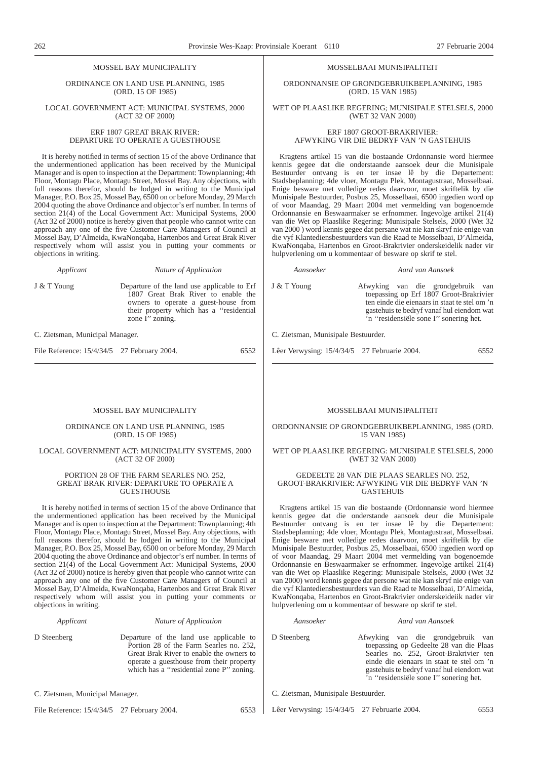# MOSSEL BAY MUNICIPALITY

ORDINANCE ON LAND USE PLANNING, 1985 (ORD. 15 OF 1985)

LOCAL GOVERNMENT ACT: MUNICIPAL SYSTEMS, 2000 (ACT 32 OF 2000)

> ERF 1807 GREAT BRAK RIVER: DEPARTURE TO OPERATE A GUESTHOUSE

It is hereby notified in terms of section 15 of the above Ordinance that the undermentioned application has been received by the Municipal Manager and is open to inspection at the Department: Townplanning; 4th Floor, Montagu Place, Montagu Street, Mossel Bay. Any objections, with full reasons therefor, should be lodged in writing to the Municipal Manager, P.O. Box 25, Mossel Bay, 6500 on or before Monday, 29 March 2004 quoting the above Ordinance and objector's erf number. In terms of section 21(4) of the Local Government Act: Municipal Systems, 2000 (Act 32 of 2000) notice is hereby given that people who cannot write can approach any one of the five Customer Care Managers of Council at Mossel Bay, D'Almeida, KwaNonqaba, Hartenbos and Great Brak River respectively whom will assist you in putting your comments or objections in writing.

*Applicant Nature of Application*

J & T Young Departure of the land use applicable to Erf 1807 Great Brak River to enable the

owners to operate a guest-house from their property which has a ''residential

C. Zietsman, Municipal Manager.

File Reference:  $15/4/34/5$  27 February 2004. 6552

zone I'' zoning.

# MOSSEL BAY MUNICIPALITY

#### ORDINANCE ON LAND USE PLANNING, 1985 (ORD. 15 OF 1985)

#### LOCAL GOVERNMENT ACT: MUNICIPALITY SYSTEMS, 2000 (ACT 32 OF 2000)

#### PORTION 28 OF THE FARM SEARLES NO. 252, GREAT BRAK RIVER: DEPARTURE TO OPERATE A **GUESTHOUSE**

It is hereby notified in terms of section 15 of the above Ordinance that the undermentioned application has been received by the Municipal Manager and is open to inspection at the Department: Townplanning; 4th Floor, Montagu Place, Montagu Street, Mossel Bay. Any objections, with full reasons therefor, should be lodged in writing to the Municipal Manager, P.O. Box 25, Mossel Bay, 6500 on or before Monday, 29 March 2004 quoting the above Ordinance and objector's erf number. In terms of section 21(4) of the Local Government Act: Municipal Systems, 2000 (Act 32 of 2000) notice is hereby given that people who cannot write can approach any one of the five Customer Care Managers of Council at Mossel Bay, D'Almeida, KwaNonqaba, Hartenbos and Great Brak River respectively whom will assist you in putting your comments or objections in writing.

#### *Applicant Nature of Application*

D Steenberg Departure of the land use applicable to Portion 28 of the Farm Searles no. 252, Great Brak River to enable the owners to operate a guesthouse from their property which has a "residential zone P" zoning.

C. Zietsman, Municipal Manager.

File Reference: 15/4/34/5 27 February 2004. 6553

#### MOSSELBAAI MUNISIPALITEIT

ORDONNANSIE OP GRONDGEBRUIKBEPLANNING, 1985 (ORD. 15 VAN 1985)

WET OP PLAASLIKE REGERING; MUNISIPALE STELSELS, 2000 (WET 32 VAN 2000)

> ERF 1807 GROOT-BRAKRIVIER: AFWYKING VIR DIE BEDRYF VAN 'N GASTEHUIS

Kragtens artikel 15 van die bostaande Ordonnansie word hiermee kennis gegee dat die onderstaande aansoek deur die Munisipale Bestuurder ontvang is en ter insae lê by die Departement: Stadsbeplanning; 4de vloer, Montagu Plek, Montagustraat, Mosselbaai. Enige besware met volledige redes daarvoor, moet skriftelik by die Munisipale Bestuurder, Posbus 25, Mosselbaai, 6500 ingedien word op of voor Maandag, 29 Maart 2004 met vermelding van bogenoemde Ordonnansie en Beswaarmaker se erfnommer. Ingevolge artikel 21(4) van die Wet op Plaaslike Regering: Munisipale Stelsels, 2000 (Wet 32 van 2000 ) word kennis gegee dat persane wat nie kan skryf nie enige van die vyf Klantediensbestuurders van die Raad te Mosselbaai, D'Almeida, KwaNonqaba, Hartenbos en Groot-Brakrivier onderskeidelik nader vir hulpverlening om u kommentaar of besware op skrif te stel.

*Aansoeker Aard van Aansoek*

J & T Young Afwyking van die grondgebruik van toepassing op Erf 1807 Groot-Brakrivier ten einde die eienaars in staat te stel om 'n gastehuis te bedryf vanaf hul eiendom wat 'n ''residensiële sone I'' sonering het.

C. Zietsman, Munisipale Bestuurder.

Lêer Verwysing: 15/4/34/5 27 Februarie 2004. 6552

# MOSSELBAAI MUNISIPALITEIT

ORDONNANSIE OP GRONDGEBRUIKBEPLANNING, 1985 (ORD. 15 VAN 1985)

WET OP PLAASLIKE REGERING: MUNISIPALE STELSELS, 2000 (WET 32 VAN 2000)

#### GEDEELTE 28 VAN DIE PLAAS SEARLES NO. 252, GROOT-BRAKRIVIER: AFWYKING VIR DIE BEDRYF VAN 'N GASTEHUIS

Kragtens artikel 15 van die bostaande (Ordonnansie word hiermee kennis gegee dat die onderstande aansoek deur die Munisipale Bestuurder ontvang is en ter insae lê by die Departement: Stadsbeplanning; 4de vloer, Montagu Plek, Montagustraat, Mosselbaai. Enige besware met volledige redes daarvoor, moet skriftelik by die Munisipale Bestuurder, Posbus 25, Mosselbaai, 6500 ingedien word op of voor Maandag, 29 Maart 2004 met vermelding van bogenoemde Ordonnansie en Beswaarmaker se erfnommer. Ingevolge artikel 21(4) van die Wet op Plaaslike Regering: Munisipale Stelsels, 2000 (Wet 32 van 2000) word kennis gegee dat persone wat nie kan skryf nie enige van die vyf Klantediensbestuurders van die Raad te Mosselbaai, D'Almeida, KwaNonqaba, Hartenbos en Groot-Brakrivier onderskeideiik nader vir hulpverlening om u kommentaar of besware op skrif te stel.

#### *Aansoeker Aard van Aansoek*

D Steenberg Afwyking van die grondgebruik van toepassing op Gedeelte 28 van die Plaas Searles no. 252, Groot-Brakrivier ten einde die eienaars in staat te stel om 'n gastehuis te bedryf vanaf hul eiendom wat 'n ''residensiële sone I'' sonering het.

C. Zietsman, Munisipale Bestuurder.

Lêer Verwysing: 15/4/34/5 27 Februarie 2004. 6553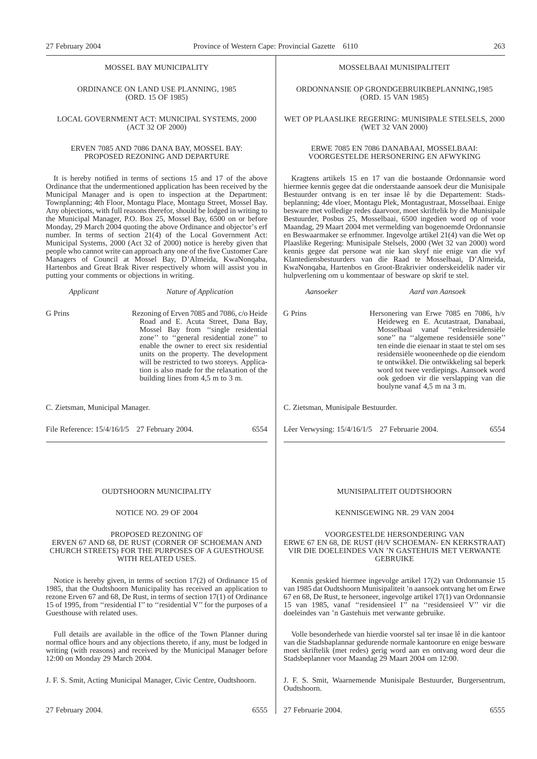# MOSSEL BAY MUNICIPALITY

#### ORDINANCE ON LAND USE PLANNING, 1985 (ORD. 15 OF 1985)

#### LOCAL GOVERNMENT ACT: MUNICIPAL SYSTEMS, 2000 (ACT 32 OF 2000)

#### ERVEN 7085 AND 7086 DANA BAY, MOSSEL BAY: PROPOSED REZONING AND DEPARTURE

It is hereby notified in terms of sections 15 and 17 of the above Ordinance that the undermentioned application has been received by the Municipal Manager and is open to inspection at the Department: Townplanning; 4th Floor, Montagu Place, Montagu Street, Mossel Bay. Any objections, with full reasons therefor, should be lodged in writing to the Municipal Manager, P.O. Box 25, Mossel Bay, 6500 on or before Monday, 29 March 2004 quoting the above Ordinance and objector's erf number. In terms of section 21(4) of the Local Government Act: Municipal Systems, 2000 (Act 32 of 2000) notice is hereby given that people who cannot write can approach any one of the five Customer Care Managers of Council at Mossel Bay, D'Almeida, KwaNonqaba, Hartenbos and Great Brak River respectively whom will assist you in putting your comments or objections in writing.

*Applicant Nature of Application*

G Prins Rezoning of Erven 7085 and 7086, c/o Heide Road and E. Acuta Street, Dana Bay, Mossel Bay from ''single residential zone'' to ''general residential zone'' to enable the owner to erect six residential units on the property. The development will be restricted to two storeys. Application is also made for the relaxation of the building lines from 4,5 m to 3 m.

C. Zietsman, Municipal Manager.

File Reference:  $15/4/16/1/5$  27 February 2004. 6554

#### MOSSELBAAI MUNISIPALITEIT

ORDONNANSIE OP GRONDGEBRUIKBEPLANNING,1985 (ORD. 15 VAN 1985)

WET OP PLAASLIKE REGERING: MUNISIPALE STELSELS, 2000 (WET 32 VAN 2000)

#### ERWE 7085 EN 7086 DANABAAI, MOSSELBAAI: VOORGESTELDE HERSONERING EN AFWYKING

Kragtens artikels 15 en 17 van die bostaande Ordonnansie word hiermee kennis gegee dat die onderstaande aansoek deur die Munisipale Bestuurder ontvang is en ter insae lê by die Departement: Stadsbeplanning; 4de vloer, Montagu Plek, Montagustraat, Mosselbaai. Enige besware met volledige redes daarvoor, moet skriftelik by die Munisipale Bestuurder, Posbus 25, Mosselbaai, 6500 ingedien word op of voor Maandag, 29 Maart 2004 met vermelding van bogenoemde Ordonnansie en Beswaarmaker se erfnommer. Ingevolge artikel 21(4) van die Wet op Plaaslike Regering: Munisipale Stelsels, 2000 (Wet 32 van 2000) word kennis gegee dat persone wat nie kan skryf nie enige van die vyf Klantediensbestuurders van die Raad te Mosselbaai, D'Almeida, KwaNonqaba, Hartenbos en Groot-Brakrivier onderskeidelik nader vir hulpverlening om u kommentaar of besware op skrif te stel.

*Aansoeker Aard van Aansoek*

G Prins Hersonering van Erwe 7085 en 7086, h/v Heideweg en E. Acutastraat, Danabaai, Mosselbaai vanaf ''enkelresidensiële sone'' na ''algemene residensiële sone'' ten einde die eienaar in staat te stel om ses residensiële wooneenhede op die eiendom te ontwikkel. Die ontwikkeling sal beperk word tot twee verdiepings. Aansoek word ook gedoen vir die verslapping van die boulyne vanaf 4,5 m na 3 m.

C. Zietsman, Munisipale Bestuurder.

Lêer Verwysing: 15/4/16/1/5 27 Februarie 2004. 6554

#### OUDTSHOORN MUNICIPALITY

#### NOTICE NO. 29 OF 2004

#### PROPOSED REZONING OF ERVEN 67 AND 68, DE RUST (CORNER OF SCHOEMAN AND CHURCH STREETS) FOR THE PURPOSES OF A GUESTHOUSE WITH RELATED USES.

Notice is hereby given, in terms of section 17(2) of Ordinance 15 of 1985, that the Oudtshoorn Municipality has received an application to rezone Erven 67 and 68, De Rust, in terms of section 17(1) of Ordinance 15 of 1995, from ''residential I'' to ''residential V'' for the purposes of a Guesthouse with related uses.

Full details are available in the office of the Town Planner during normal office hours and any objections thereto, if any, must be lodged in writing (with reasons) and received by the Municipal Manager before 12:00 on Monday 29 March 2004.

J. F. S. Smit, Acting Municipal Manager, Civic Centre, Oudtshoorn.

27 February 2004. 6555

#### MUNISIPALITEIT OUDTSHOORN

#### KENNISGEWING NR. 29 VAN 2004

#### VOORGESTELDE HERSONDERING VAN ERWE 67 EN 68, DE RUST (H/V SCHOEMAN- EN KERKSTRAAT) VIR DIE DOELEINDES VAN 'N GASTEHUIS MET VERWANTE GEBRUIKE

Kennis geskied hiermee ingevolge artikel 17(2) van Ordonnansie 15 van 1985 dat Oudtshoorn Munisipaliteit 'n aansoek ontvang het om Erwe 67 en 68, De Rust, te hersoneer, ingevolge artikel 17(1) van Ordonnansie 15 van 1985, vanaf ''residensieel I'' na ''residensieel V'' vir die doeleindes van 'n Gastehuis met verwante gebruike.

Volle besonderhede van hierdie voorstel sal ter insae lê in die kantoor van die Stadsbaplannar gedurende normale kantoorure en enige besware moet skriftelik (met redes) gerig word aan en ontvang word deur die Stadsbeplanner voor Maandag 29 Maart 2004 om 12:00.

J. F. S. Smit, Waarnemende Munisipale Bestuurder, Burgersentrum, Oudtshoorn.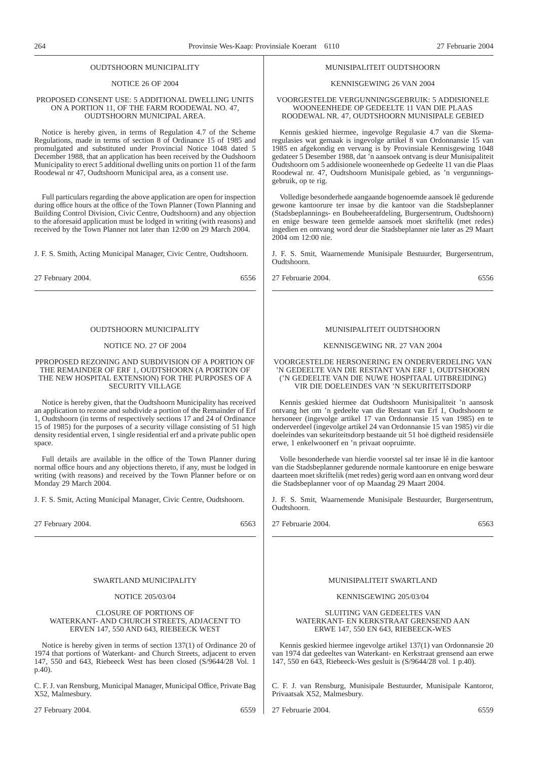#### OUDTSHOORN MUNICIPALITY

#### NOTICE 26 OF 2004

#### PROPOSED CONSENT USE: 5 ADDITIONAL DWELLING UNITS ON A PORTION 11, OF THE FARM ROODEWAL NO. 47, OUDTSHOORN MUNICIPAL AREA.

Notice is hereby given, in terms of Regulation 4.7 of the Scheme Regulations, made in terms of section 8 of Ordinance 15 of 1985 and promulgated and substituted under Provincial Notice 1048 dated 5 December 1988, that an application has been received by the Oudshoorn Municipality to erect 5 additional dwelling units on portion 11 of the farm Roodewal nr 47, Oudtshoorn Municipal area, as a consent use.

Full particulars regarding the above application are open for inspection during office hours at the office of the Town Planner (Town Planning and Building Control Division, Civic Centre, Oudtshoorn) and any objection to the aforesaid application must be lodged in writing (with reasons) and received by the Town Planner not later than 12:00 on 29 March 2004.

J. F. S. Smith, Acting Municipal Manager, Civic Centre, Oudtshoorn.

27 February 2004. 6556

## OUDTSHOORN MUNICIPALITY

#### NOTICE NO. 27 OF 2004

#### PPROPOSED REZONING AND SUBDIVISION OF A PORTION OF THE REMAINDER OF ERF 1, OUDTSHOORN (A PORTION OF THE NEW HOSPITAL EXTENSION) FOR THE PURPOSES OF A SECURITY VILLAGE

Notice is hereby given, that the Oudtshoorn Municipality has received an application to rezone and subdivide a portion of the Remainder of Erf 1, Oudtshoorn (in terms of respectively sections 17 and 24 of Ordinance 15 of 1985) for the purposes of a security village consisting of 51 high density residential erven, 1 single residential erf and a private public open space.

Full details are available in the office of the Town Planner during normal office hours and any objections thereto, if any, must be lodged in writing (with reasons) and received by the Town Planner before or on Monday 29 March 2004.

J. F. S. Smit, Acting Municipal Manager, Civic Centre, Oudtshoorn.

27 February 2004. 6563

# SWARTLAND MUNICIPALITY

#### NOTICE 205/03/04

#### CLOSURE OF PORTIONS OF WATERKANT- AND CHURCH STREETS, ADJACENT TO ERVEN 147, 550 AND 643, RIEBEECK WEST

Notice is hereby given in terms of section 137(1) of Ordinance 20 of 1974 that portions of Waterkant- and Church Streets, adjacent to erven 147, 550 and 643, Riebeeck West has been closed (S/9644/28 Vol. 1 p.40).

C. F. J. van Rensburg, Municipal Manager, Municipal Office, Private Bag X52, Malmesbury.

27 February 2004. 6559

#### MUNISIPALITEIT OUDTSHOORN

#### KENNISGEWING 26 VAN 2004

#### VOORGESTELDE VERGUNNINGSGEBRUIK: 5 ADDISIONELE WOONEENHEDE OP GEDEELTE 11 VAN DIE PLAAS ROODEWAL NR. 47, OUDTSHOORN MUNISIPALE GEBIED

Kennis geskied hiermee, ingevolge Regulasie 4.7 van die Skemaregulasies wat gemaak is ingevolge artikel 8 van Ordonnansie 15 van 1985 en afgekondig en vervang is by Provinsiale Kennisgewing 1048 gedateer 5 Desember 1988, dat 'n aansoek ontvang is deur Munisipaliteit Oudtshoorn om 5 addisionele wooneenhede op Gedeelte 11 van die Plaas Roodewal nr. 47, Oudtshoorn Munisipale gebied, as 'n vergunningsgebruik, op te rig.

Volledige besonderhede aangaande bogenoemde aansoek lê gedurende gewone kantoorure ter insae by die kantoor van die Stadsbeplanner (Stadsbeplannings- en Boubeheerafdeling, Burgersentrum, Oudtshoorn) en enige besware teen gemelde aansoek moet skriftelik (met redes) ingedien en ontvang word deur die Stadsbeplanner nie later as 29 Maart 2004 om 12:00 nie.

J. F. S. Smit, Waarnemende Munisipale Bestuurder, Burgersentrum, Oudtshoorn.

27 Februarie 2004. 6556

#### MUNISIPALITEIT OUDTSHOORN

#### KENNISGEWING NR. 27 VAN 2004

VOORGESTELDE HERSONERING EN ONDERVERDELING VAN 'N GEDEELTE VAN DIE RESTANT VAN ERF 1, OUDTSHOORN ('N GEDEELTE VAN DIE NUWE HOSPITAAL UITBREIDING) VIR DIE DOELEINDES VAN 'N SEKURITEITSDORP

Kennis geskied hiermee dat Oudtshoorn Munisipaliteit 'n aansosk ontvang het om 'n gedeelte van die Restant van Erf 1, Oudtshoorn te hersoneer (ingevolge artikel 17 van Ordonnansie 15 van 1985) en te onderverdeel (ingevolge artikel 24 van Ordonnansie 15 van 1985) vir die doeleindes van sekuriteitsdorp bestaande uit 51 hoë digtheid residensiële erwe, 1 enkelwoonerf en 'n privaat oopruimte.

Volle besonderhede van hierdie voorstel sal ter insae lê in die kantoor van die Stadsbeplanner gedurende normale kantoorure en enige besware daarteen moet skriftelik (met redes) gerig word aan en ontvang word deur die Stadsbeplanner voor of op Maandag 29 Maart 2004.

J. F. S. Smit, Waarnemende Munisipale Bestuurder, Burgersentrum, Oudtshoorn.

27 Februarie 2004. 6563

# MUNISIPALITEIT SWARTLAND

#### KENNISGEWING 205/03/04

SLUITING VAN GEDEELTES VAN WATERKANT- EN KERKSTRAAT GRENSEND AAN ERWE 147, 550 EN 643, RIEBEECK-WES

Kennis geskied hiermee ingevolge artikel 137(1) van Ordonnansie 20 van 1974 dat gedeeltes van Waterkant- en Kerkstraat grensend aan erwe 147, 550 en 643, Riebeeck-Wes gesluit is (S/9644/28 vol. 1 p.40).

C. F. J. van Rensburg, Munisipale Bestuurder, Munisipale Kantoror, Privaatsak X52, Malmesbury.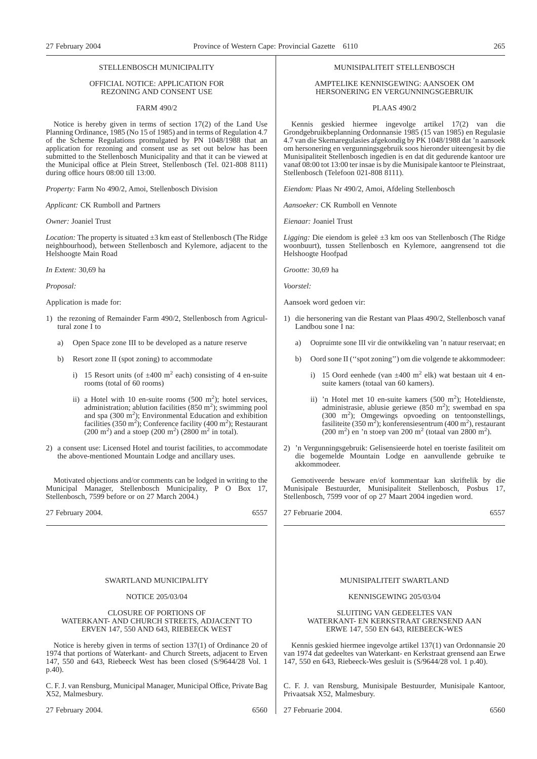#### STELLENBOSCH MUNICIPALITY

#### OFFICIAL NOTICE: APPLICATION FOR REZONING AND CONSENT USE

#### FARM 490/2

Notice is hereby given in terms of section 17(2) of the Land Use Planning Ordinance, 1985 (No 15 of 1985) and in terms of Regulation 4.7 of the Scheme Regulations promulgated by PN 1048/1988 that an application for rezoning and consent use as set out below has been submitted to the Stellenbosch Municipality and that it can be viewed at the Municipal office at Plein Street, Stellenbosch (Tel. 021-808 8111) during office hours 08:00 till 13:00.

*Property:* Farm No 490/2, Amoi, Stellenbosch Division

*Applicant:* CK Rumboll and Partners

*Owner:* Joaniel Trust

*Location:* The property is situated  $\pm 3$  km east of Stellenbosch (The Ridge neighbourhood), between Stellenbosch and Kylemore, adjacent to the Helshoogte Main Road

*In Extent:* 30,69 ha

*Proposal:*

Application is made for:

- 1) the rezoning of Remainder Farm 490/2, Stellenbosch from Agricultural zone I to
	- a) Open Space zone III to be developed as a nature reserve
	- b) Resort zone II (spot zoning) to accommodate
		- i) 15 Resort units (of  $\pm 400$  m<sup>2</sup> each) consisting of 4 en-suite rooms (total of 60 rooms)
		- ii) a Hotel with 10 en-suite rooms  $(500 \text{ m}^2)$ ; hotel services, administration; ablution facilities  $(850 \text{ m}^2)$ ; swimming pool and spa  $(300 \text{ m}^2)$ ; Environmental Education and exhibition facilities (350 m<sup>2</sup>); Conference facility (400 m<sup>2</sup>); Restaurant  $(200 \text{ m}^2)$  and a stoep  $(200 \text{ m}^2)$   $(2800 \text{ m}^2 \text{ in total})$ .
- 2) a consent use: Licensed Hotel and tourist facilities, to accommodate the above-mentioned Mountain Lodge and ancillary uses.

Motivated objections and/or comments can be lodged in writing to the Municipal Manager, Stellenbosch Municipality, P O Box 17, Stellenbosch, 7599 before or on 27 March 2004.)

27 February 2004. 6557

# SWARTLAND MUNICIPALITY

# NOTICE 205/03/04

#### CLOSURE OF PORTIONS OF WATERKANT- AND CHURCH STREETS, ADJACENT TO ERVEN 147, 550 AND 643, RIEBEECK WEST

Notice is hereby given in terms of section 137(1) of Ordinance 20 of 1974 that portions of Waterkant- and Church Streets, adjacent to Erven 147, 550 and 643, Riebeeck West has been closed (S/9644/28 Vol. 1 p.40).

C. F. J. van Rensburg, Municipal Manager, Municipal Office, Private Bag X52, Malmesbury.

#### MUNISIPALITEIT STELLENBOSCH

#### AMPTELIKE KENNISGEWING: AANSOEK OM HERSONERING EN VERGUNNINGSGEBRUIK

PLAAS 490/2

Kennis geskied hiermee ingevolge artikel 17(2) van die Grondgebruikbeplanning Ordonnansie 1985 (15 van 1985) en Regulasie 4.7 van die Skemaregulasies afgekondig by PK 1048/1988 dat 'n aansoek om hersonering en vergunningsgebruik soos hieronder uiteengesit by die Munisipaliteit Stellenbosch ingedien is en dat dit gedurende kantoor ure vanaf 08:00 tot 13:00 ter insae is by die Munisipale kantoor te Pleinstraat, Stellenbosch (Telefoon 021-808 8111).

*Eiendom:* Plaas Nr 490/2, Amoi, Afdeling Stellenbosch

*Aansoeker:* CK Rumboll en Vennote

*Eienaar:* Joaniel Trust

*Ligging:* Die eiendom is geleë ±3 km oos van Stellenbosch (The Ridge woonbuurt), tussen Stellenbosch en Kylemore, aangrensend tot die Helshoogte Hoofpad

*Grootte:* 30,69 ha

*Voorstel:*

Aansoek word gedoen vir:

- 1) die hersonering van die Restant van Plaas 490/2, Stellenbosch vanaf Landbou sone I na:
	- a) Oopruimte sone III vir die ontwikkeling van 'n natuur reservaat; en
	- b) Oord sone II (''spot zoning'') om die volgende te akkommodeer:
		- i) 15 Oord eenhede (van  $\pm 400$  m<sup>2</sup> elk) wat bestaan uit 4 ensuite kamers (totaal van 60 kamers).
		- ii) 'n Hotel met 10 en-suite kamers (500 m<sup>2</sup>); Hoteldienste, administrasie, ablusie geriewe (850 m<sup>2</sup>); swembad en spa (300 m<sup>2</sup>); Omgewings opvoeding on tentoonstellings, fasiliteite (350 m<sup>2</sup>); konferensiesentrum (400 m<sup>2</sup>), restaurant  $(200 \text{ m}^2)$  en 'n stoep van 200 m<sup>2</sup> (totaal van 2800 m<sup>2</sup>).
- 2) 'n Vergunningsgebruik: Gelisensieerde hotel en toeriste fasiliteit om die bogemelde Mountain Lodge en aanvullende gebruike te akkommodeer.

Gemotiveerde besware en/of kommentaar kan skriftelik by die Munisipale Bestuurder, Munisipaliteit Stellenbosch, Posbus 17, Stellenbosch, 7599 voor of op 27 Maart 2004 ingedien word.

27 Februarie 2004. 6557

# MUNISIPALITEIT SWARTLAND

#### KENNISGEWING 205/03/04

#### SLUITING VAN GEDEELTES VAN WATERKANT- EN KERKSTRAAT GRENSEND AAN ERWE 147, 550 EN 643, RIEBEECK-WES

Kennis geskied hiermee ingevolge artikel 137(1) van Ordonnansie 20 van 1974 dat gedeeltes van Waterkant- en Kerkstraat grensend aan Erwe 147, 550 en 643, Riebeeck-Wes gesluit is (S/9644/28 vol. 1 p.40).

C. F. J. van Rensburg, Munisipale Bestuurder, Munisipale Kantoor, Privaatsak X52, Malmesbury.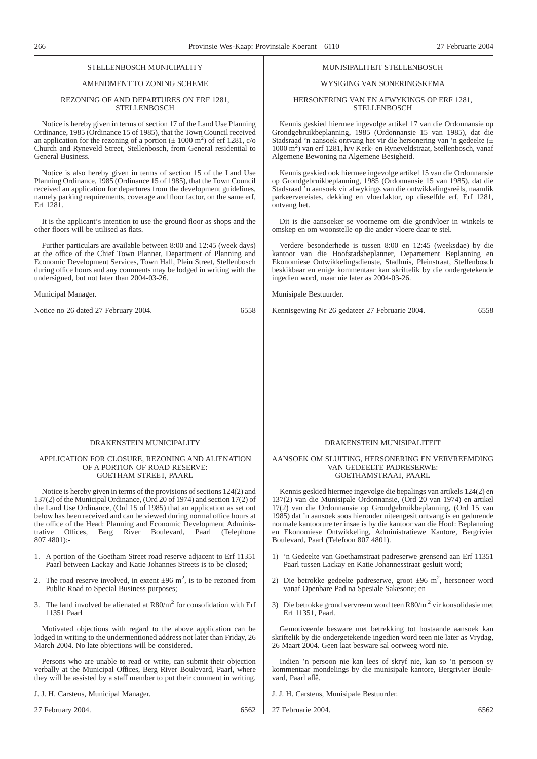# STELL ENBOSCH MUNICIPALITY

# AMENDMENT TO ZONING SCHEME

#### REZONING OF AND DEPARTURES ON ERF 1281, **STELLENBOSCH**

Notice is hereby given in terms of section 17 of the Land Use Planning Ordinance, 1985 (Ordinance 15 of 1985), that the Town Council received an application for the rezoning of a portion  $(\pm 1000 \text{ m}^2)$  of erf 1281, c/o Church and Ryneveld Street, Stellenbosch, from General residential to General Business.

Notice is also hereby given in terms of section 15 of the Land Use Planning Ordinance, 1985 (Ordinance 15 of 1985), that the Town Council received an application for departures from the development guidelines, namely parking requirements, coverage and floor factor, on the same erf, Erf 1281.

It is the applicant's intention to use the ground floor as shops and the other floors will be utilised as flats.

Further particulars are available between 8:00 and 12:45 (week days) at the office of the Chief Town Planner, Department of Planning and Economic Development Services, Town Hall, Plein Street, Stellenbosch during office hours and any comments may be lodged in writing with the undersigned, but not later than 2004-03-26.

#### Municipal Manager.

Notice no 26 dated 27 February 2004. 6558

## MUNISIPALITEIT STELLENBOSCH

# WYSIGING VAN SONERINGSKEMA

#### HERSONERING VAN EN AFWYKINGS OP ERF 1281, **STELLENBOSCH**

Kennis geskied hiermee ingevolge artikel 17 van die Ordonnansie op Grondgebruikbeplanning, 1985 (Ordonnansie 15 van 1985), dat die Stadsraad 'n aansoek ontvang het vir die hersonering van 'n gedeelte (± 1000 m2 ) van erf 1281, h/v Kerk- en Ryneveldstraat, Stellenbosch, vanaf Algemene Bewoning na Algemene Besigheid.

Kennis geskied ook hiermee ingevolge artikel 15 van die Ordonnansie op Grondgebruikbeplanning, 1985 (Ordonnansie 15 van 1985), dat die Stadsraad 'n aansoek vir afwykings van die ontwikkelingsreëls, naamlik parkeervereistes, dekking en vloerfaktor, op dieselfde erf, Erf 1281, ontvang het.

Dit is die aansoeker se voorneme om die grondvloer in winkels te omskep en om woonstelle op die ander vloere daar te stel.

Verdere besonderhede is tussen 8:00 en 12:45 (weeksdae) by die kantoor van die Hoofstadsbeplanner, Departement Beplanning en Ekonomiese Ontwikkelingsdienste, Stadhuis, Pleinstraat, Stellenbosch beskikbaar en enige kommentaar kan skriftelik by die ondergetekende ingedien word, maar nie later as 2004-03-26.

Munisipale Bestuurder.

Kennisgewing Nr 26 gedateer 27 Februarie 2004. 6558

#### DRAKENSTEIN MUNICIPALITY

#### APPLICATION FOR CLOSURE, REZONING AND ALIENATION OF A PORTION OF ROAD RESERVE: GOETHAM STREET, PAARL

Notice is hereby given in terms of the provisions of sections 124(2) and 137(2) of the Municipal Ordinance, (Ord 20 of 1974) and section  $17(2)$  of the Land Use Ordinance, (Ord 15 of 1985) that an application as set out below has been received and can be viewed during normal office hours at the office of the Head: Planning and Economic Development Administrative Offices, Berg River Boulevard, Paarl (Telephone Offices, Berg River Boulevard, Paarl 807 4801):-

- 1. A portion of the Goetham Street road reserve adjacent to Erf 11351 Paarl between Lackay and Katie Johannes Streets is to be closed;
- 2. The road reserve involved, in extent  $\pm 96$  m<sup>2</sup>, is to be rezoned from Public Road to Special Business purposes;
- 3. The land involved be alienated at  $R80/m^2$  for consolidation with Erf 11351 Paarl

Motivated objections with regard to the above application can be lodged in writing to the undermentioned address not later than Friday, 26 March 2004. No late objections will be considered.

Persons who are unable to read or write, can submit their objection verbally at the Municipal Offices, Berg River Boulevard, Paarl, where they will be assisted by a staff member to put their comment in writing.

J. J. H. Carstens, Municipal Manager.

27 February 2004. 6562

#### DRAKENSTEIN MUNISIPALITEIT

#### AANSOEK OM SLUITING, HERSONERING EN VERVREEMDING VAN GEDEELTE PADRESERWE: GOETHAMSTRAAT, PAARL

Kennis geskied hiermee ingevolge die bepalings van artikels 124(2) en 137(2) van die Munisipale Ordonnansie, (Ord 20 van 1974) en artikel 17(2) van die Ordonnansie op Grondgebruikbeplanning, (Ord 15 van 1985) dat 'n aansoek soos hieronder uiteengesit ontvang is en gedurende normale kantoorure ter insae is by die kantoor van die Hoof: Beplanning en Ekonomiese Ontwikkeling, Administratiewe Kantore, Bergrivier Boulevard, Paarl (Telefoon 807 4801).

- 1) 'n Gedeelte van Goethamstraat padreserwe grensend aan Erf 11351 Paarl tussen Lackay en Katie Johannesstraat gesluit word;
- 2) Die betrokke gedeelte padreserwe, groot  $\pm 96$  m<sup>2</sup>, hersoneer word vanaf Openbare Pad na Spesiale Sakesone; en
- 3) Die betrokke grond vervreem word teen R80/m <sup>2</sup> vir konsolidasie met Erf 11351, Paarl.

Gemotiveerde besware met betrekking tot bostaande aansoek kan skriftelik by die ondergetekende ingedien word teen nie later as Vrydag, 26 Maart 2004. Geen laat besware sal oorweeg word nie.

Indien 'n persoon nie kan lees of skryf nie, kan so 'n persoon sy kommentaar mondelings by die munisipale kantore, Bergrivier Boulevard, Paarl aflê.

J. J. H. Carstens, Munisipale Bestuurder.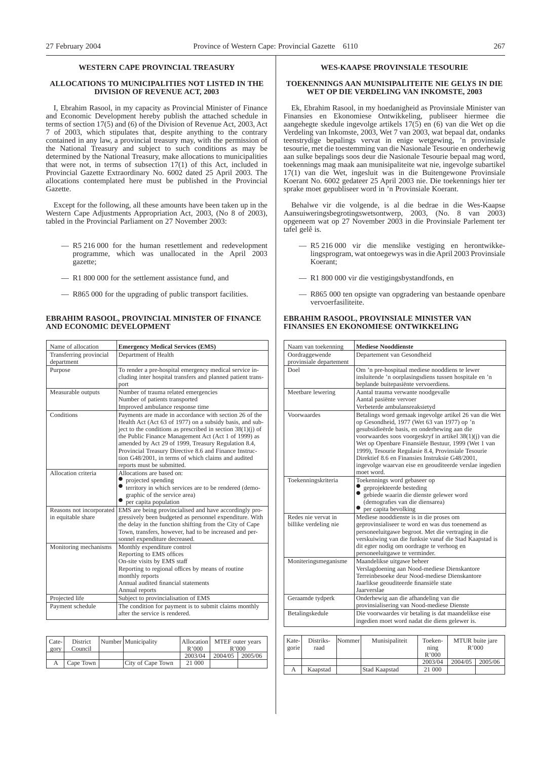# **WESTERN CAPE PROVINCIAL TREASURY**

#### **ALLOCATIONS TO MUNICIPALITIES NOT LISTED IN THE DIVISION OF REVENUE ACT, 2003**

I, Ebrahim Rasool, in my capacity as Provincial Minister of Finance and Economic Development hereby publish the attached schedule in terms of section 17(5) and (6) of the Division of Revenue Act, 2003, Act 7 of 2003, which stipulates that, despite anything to the contrary contained in any law, a provincial treasury may, with the permission of the National Treasury and subject to such conditions as may be determined by the National Treasury, make allocations to municipalities that were not, in terms of subsection 17(1) of this Act, included in Provincial Gazette Extraordinary No. 6002 dated 25 April 2003. The allocations contemplated here must be published in the Provincial Gazette.

Except for the following, all these amounts have been taken up in the Western Cape Adjustments Appropriation Act, 2003, (No 8 of 2003), tabled in the Provincial Parliament on 27 November 2003:

- R5 216 000 for the human resettlement and redevelopment programme, which was unallocated in the April 2003 gazette;
- R1 800 000 for the settlement assistance fund, and
- R865 000 for the upgrading of public transport facilities.

#### **EBRAHIM RASOOL, PROVINCIAL MINISTER OF FINANCE AND ECONOMIC DEVELOPMENT**

| Name of allocation                             | <b>Emergency Medical Services (EMS)</b>                                                                                                                                                                                                                                                                                                                                                                                                           |  |  |
|------------------------------------------------|---------------------------------------------------------------------------------------------------------------------------------------------------------------------------------------------------------------------------------------------------------------------------------------------------------------------------------------------------------------------------------------------------------------------------------------------------|--|--|
| Transferring provincial                        | Department of Health                                                                                                                                                                                                                                                                                                                                                                                                                              |  |  |
| department                                     |                                                                                                                                                                                                                                                                                                                                                                                                                                                   |  |  |
| Purpose                                        | To render a pre-hospital emergency medical service in-<br>cluding inter hospital transfers and planned patient trans-<br>port                                                                                                                                                                                                                                                                                                                     |  |  |
| Measurable outputs                             | Number of trauma related emergencies                                                                                                                                                                                                                                                                                                                                                                                                              |  |  |
|                                                | Number of patients transported                                                                                                                                                                                                                                                                                                                                                                                                                    |  |  |
|                                                | Improved ambulance response time                                                                                                                                                                                                                                                                                                                                                                                                                  |  |  |
| Conditions                                     | Payments are made in accordance with section 26 of the<br>Health Act (Act 63 of 1977) on a subsidy basis, and sub-<br>ject to the conditions as prescribed in section $38(1)(i)$ of<br>the Public Finance Management Act (Act 1 of 1999) as<br>amended by Act 29 of 1999, Treasury Regulation 8.4,<br>Provincial Treasury Directive 8.6 and Finance Instruc-<br>tion G48/2001, in terms of which claims and audited<br>reports must be submitted. |  |  |
| Allocation criteria                            | Allocations are based on:                                                                                                                                                                                                                                                                                                                                                                                                                         |  |  |
|                                                | projected spending                                                                                                                                                                                                                                                                                                                                                                                                                                |  |  |
|                                                | territory in which services are to be rendered (demo-                                                                                                                                                                                                                                                                                                                                                                                             |  |  |
|                                                | graphic of the service area)                                                                                                                                                                                                                                                                                                                                                                                                                      |  |  |
|                                                | per capita population                                                                                                                                                                                                                                                                                                                                                                                                                             |  |  |
| Reasons not incorporated<br>in equitable share | EMS are being provincialised and have accordingly pro-<br>gressively been budgeted as personnel expenditure. With<br>the delay in the function shifting from the City of Cape<br>Town, transfers, however, had to be increased and per-<br>sonnel expenditure decreased.                                                                                                                                                                          |  |  |
| Monitoring mechanisms                          | Monthly expenditure control                                                                                                                                                                                                                                                                                                                                                                                                                       |  |  |
|                                                | Reporting to EMS offices                                                                                                                                                                                                                                                                                                                                                                                                                          |  |  |
|                                                | On-site visits by EMS staff                                                                                                                                                                                                                                                                                                                                                                                                                       |  |  |
|                                                | Reporting to regional offices by means of routine                                                                                                                                                                                                                                                                                                                                                                                                 |  |  |
|                                                | monthly reports                                                                                                                                                                                                                                                                                                                                                                                                                                   |  |  |
|                                                | Annual audited financial statements                                                                                                                                                                                                                                                                                                                                                                                                               |  |  |
|                                                | Annual reports                                                                                                                                                                                                                                                                                                                                                                                                                                    |  |  |
| Projected life                                 | Subject to provincialisation of EMS                                                                                                                                                                                                                                                                                                                                                                                                               |  |  |
| Payment schedule                               | The condition for payment is to submit claims monthly<br>after the service is rendered.                                                                                                                                                                                                                                                                                                                                                           |  |  |

| $\text{Cate-1}$<br>gory | District<br>Council | Number Municipality | R'000   | Allocation   MTEF outer years<br>R'000 |         |
|-------------------------|---------------------|---------------------|---------|----------------------------------------|---------|
|                         |                     |                     | 2003/04 | 2004/05                                | 2005/06 |
|                         | Cape Town 1         | City of Cape Town   | 21 000  |                                        |         |

#### **WES-KAAPSE PROVINSIALE TESOURIE**

#### **TOEKENNINGS AAN MUNISIPALITEITE NIE GELYS IN DIE WET OP DIE VERDELING VAN INKOMSTE, 2003**

Ek, Ebrahim Rasool, in my hoedanigheid as Provinsiale Minister van Finansies en Ekonomiese Ontwikkeling, publiseer hiermee die aangehegte skedule ingevolge artikels 17(5) en (6) van die Wet op die Verdeling van Inkomste, 2003, Wet 7 van 2003, wat bepaal dat, ondanks teenstrydige bepalings vervat in enige wetgewing, 'n provinsiale tesourie, met die toestemming van die Nasionale Tesourie en onderhewig aan sulke bepalings soos deur die Nasionale Tesourie bepaal mag word, toekennings mag maak aan munisipaliteite wat nie, ingevolge subartikel 17(1) van die Wet, ingesluit was in die Buitengewone Provinsiale Koerant No. 6002 gedateer 25 April 2003 nie. Die toekennings hier ter sprake moet gepubliseer word in 'n Provinsiale Koerant.

Behalwe vir die volgende, is al die bedrae in die Wes-Kaapse Aansuiweringsbegrotingswetsontwerp, 2003, (No. 8 van 2003) opgeneem wat op 27 November 2003 in die Provinsiale Parlement ter tafel gelê is.

- R5 216 000 vir die menslike vestiging en herontwikkelingsprogram, wat ontoegewys was in die April 2003 Provinsiale Koerant;
- R1 800 000 vir die vestigingsbystandfonds, en
- R865 000 ten opsigte van opgradering van bestaande openbare vervoerfasiliteite.

#### **EBRAHIM RASOOL, PROVINSIALE MINISTER VAN FINANSIES EN EKONOMIESE ONTWIKKELING**

| Naam van toekenning                          | <b>Mediese Nooddienste</b>                                                                                                                                                                                                                                                                                                      |
|----------------------------------------------|---------------------------------------------------------------------------------------------------------------------------------------------------------------------------------------------------------------------------------------------------------------------------------------------------------------------------------|
| Oordraggewende                               | Departement van Gesondheid                                                                                                                                                                                                                                                                                                      |
| provinsiale departement<br>Doel              |                                                                                                                                                                                                                                                                                                                                 |
|                                              | Om 'n pre-hospitaal mediese nooddiens te lewer<br>insluitende 'n oorplasingsdiens tussen hospitale en 'n<br>beplande buitepasiënte vervoerdiens.                                                                                                                                                                                |
| Meetbare lewering                            | Aantal trauma verwante noodgevalle                                                                                                                                                                                                                                                                                              |
|                                              | Aantal pasiënte vervoer                                                                                                                                                                                                                                                                                                         |
|                                              | Verbeterde ambulansreaksietyd                                                                                                                                                                                                                                                                                                   |
| Voorwaardes                                  | Betalings word gemaak ingevolge artikel 26 van die Wet<br>op Gesondheid, 1977 (Wet 63 van 1977) op 'n<br>gesubsidieërde basis, en onderhewing aan die<br>voorwaardes soos voorgeskryf in artikel 38(1)(j) van die<br>Wet op Openbare Finansiële Bestuur, 1999 (Wet 1 van<br>1999), Tesourie Regulasie 8.4, Provinsiale Tesourie |
|                                              | Direktief 8.6 en Finansies Instruksie G48/2001.<br>ingevolge waarvan eise en geouditeerde verslae ingedien<br>moet word.                                                                                                                                                                                                        |
| Toekenningskriteria                          | Toekennings word gebaseer op<br>geprojekteerde besteding<br>$\bullet$<br>gebiede waarin die dienste gelewer word<br>(demografies van die diensarea)<br>$\bullet$ per capita bevolking                                                                                                                                           |
| Redes nie vervat in<br>billike verdeling nie | Mediese nooddienste is in die proses om<br>geprovinsialiseer te word en was dus toenemend as<br>personeeluitgawe begroot. Met die vertraging in die<br>verskuiwing van die funksie vanaf die Stad Kaapstad is<br>dit egter nodig om oordragte te verhoog en<br>personeeluitgawe te verminder.                                   |
| Moniteringsmeganisme                         | Maandelikse uitgawe beheer<br>Verslagdoening aan Nood-mediese Dienskantore<br>Terreinbesoeke deur Nood-mediese Dienskantore<br>Jaarlikse geouditeerde finansiële state<br>Jaarverslae                                                                                                                                           |
| Geraamde tydperk                             | Onderhewig aan die afhandeling van die<br>provinsialisering van Nood-mediese Dienste                                                                                                                                                                                                                                            |
| Betalingskedule                              | Die voorwaardes vir betaling is dat maandelikse eise<br>ingedien moet word nadat die diens gelewer is.                                                                                                                                                                                                                          |

| Kate-<br>gorie | Distriks-<br>raad | Nommer | Munisipaliteit | Toeken-<br>$n$ n $p$<br>R'000 | MTUR buite jare<br>R'000 |         |
|----------------|-------------------|--------|----------------|-------------------------------|--------------------------|---------|
|                |                   |        |                | 2003/04                       | 2004/05                  | 2005/06 |
| А              | Kaapstad          |        | Stad Kaapstad  | 21 000                        |                          |         |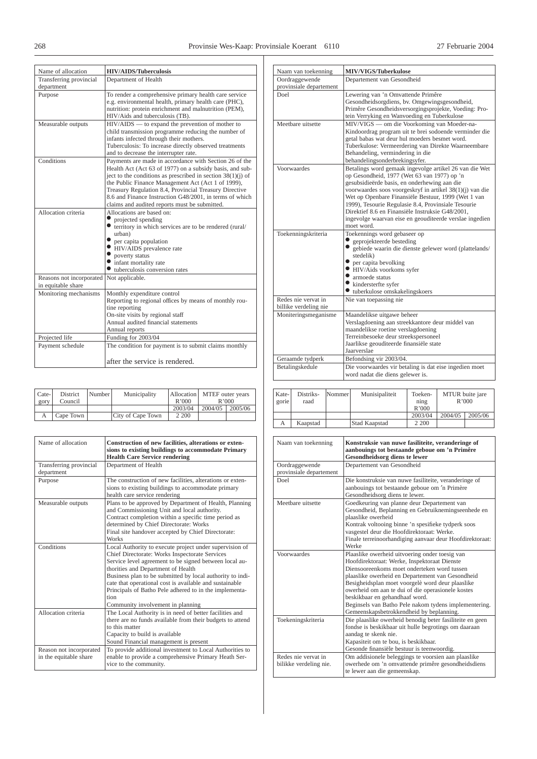| Name of allocation                             | <b>HIV/AIDS/Tuberculosis</b>                                                                                                                                                                                                                                                                                                                                                                                    |
|------------------------------------------------|-----------------------------------------------------------------------------------------------------------------------------------------------------------------------------------------------------------------------------------------------------------------------------------------------------------------------------------------------------------------------------------------------------------------|
| Transferring provincial<br>department          | Department of Health                                                                                                                                                                                                                                                                                                                                                                                            |
| Purpose                                        | To render a comprehensive primary health care service<br>e.g. environmental health, primary health care (PHC),<br>nutrition: protein enrichment and malnutrition (PEM),<br>HIV/Aids and tuberculosis (TB).                                                                                                                                                                                                      |
| Measurable outputs                             | $HIV/AIDS$ — to expand the prevention of mother to<br>child transmission programme reducing the number of<br>infants infected through their mothers.<br>Tuberculosis: To increase directly observed treatments<br>and to decrease the interrupter rate.                                                                                                                                                         |
| Conditions                                     | Payments are made in accordance with Section 26 of the<br>Health Act (Act 63 of 1977) on a subsidy basis, and sub-<br>ject to the conditions as prescribed in section $38(1)(i)$ of<br>the Public Finance Management Act (Act 1 of 1999),<br>Treasury Regulation 8.4, Provincial Treasury Directive<br>8.6 and Finance Instruction G48/2001, in terms of which<br>claims and audited reports must be submitted. |
| Allocation criteria                            | Allocations are based on:<br>projected spending<br>territory in which services are to be rendered (rural/<br>urban)<br>per capita population<br>HIV/AIDS prevalence rate<br>poverty status<br>• infant mortality rate<br>$\bullet$ tuberculosis conversion rates                                                                                                                                                |
| Reasons not incorporated<br>in equitable share | Not applicable.                                                                                                                                                                                                                                                                                                                                                                                                 |
| Monitoring mechanisms                          | Monthly expenditure control<br>Reporting to regional offices by means of monthly rou-<br>tine reporting<br>On-site visits by regional staff<br>Annual audited financial statements<br>Annual reports                                                                                                                                                                                                            |
| Projected life                                 | Funding for 2003/04                                                                                                                                                                                                                                                                                                                                                                                             |
| Payment schedule                               | The condition for payment is to submit claims monthly<br>after the service is rendered.                                                                                                                                                                                                                                                                                                                         |

| Cate-<br>gory | District<br>Council | Number | Municipality      | R'000   | Allocation MTEF outer years<br>R'000 |         |
|---------------|---------------------|--------|-------------------|---------|--------------------------------------|---------|
|               |                     |        |                   | 2003/04 | 2004/05                              | 2005/06 |
|               | Cape Town           |        | City of Cape Town | 2 200   |                                      |         |

| Name of allocation                                | Construction of new facilities, alterations or exten-<br>sions to existing buildings to accommodate Primary<br><b>Health Care Service rendering</b>                                                                                                                                                                                                                                                                                      |
|---------------------------------------------------|------------------------------------------------------------------------------------------------------------------------------------------------------------------------------------------------------------------------------------------------------------------------------------------------------------------------------------------------------------------------------------------------------------------------------------------|
| Transferring provincial<br>department             | Department of Health                                                                                                                                                                                                                                                                                                                                                                                                                     |
| Purpose                                           | The construction of new facilities, alterations or exten-<br>sions to existing buildings to accommodate primary<br>health care service rendering                                                                                                                                                                                                                                                                                         |
| Measurable outputs                                | Plans to be approved by Department of Health, Planning<br>and Commissioning Unit and local authority.<br>Contract completion within a specific time period as<br>determined by Chief Directorate: Works<br>Final site handover accepted by Chief Directorate:<br><b>Works</b>                                                                                                                                                            |
| Conditions                                        | Local Authority to execute project under supervision of<br>Chief Directorate: Works Inspectorate Services<br>Service level agreement to be signed between local au-<br>thorities and Department of Health<br>Business plan to be submitted by local authority to indi-<br>cate that operational cost is available and sustainable<br>Principals of Batho Pele adhered to in the implementa-<br>tion<br>Community involvement in planning |
| Allocation criteria                               | The Local Authority is in need of better facilities and<br>there are no funds available from their budgets to attend<br>to this matter<br>Capacity to build is available<br>Sound Financial management is present                                                                                                                                                                                                                        |
| Reason not incorporated<br>in the equitable share | To provide additional investment to Local Authorities to<br>enable to provide a comprehensive Primary Heath Ser-<br>vice to the community.                                                                                                                                                                                                                                                                                               |

| Naam van toekenning                          | MIV/VIGS/Tuberkulose                                                                                                                                                                                                                                                                                                                                                                                                                                         |
|----------------------------------------------|--------------------------------------------------------------------------------------------------------------------------------------------------------------------------------------------------------------------------------------------------------------------------------------------------------------------------------------------------------------------------------------------------------------------------------------------------------------|
| Oordraggewende                               | Departement van Gesondheid                                                                                                                                                                                                                                                                                                                                                                                                                                   |
| provinsiale departement                      |                                                                                                                                                                                                                                                                                                                                                                                                                                                              |
| Doel                                         | Lewering van 'n Omvattende Primêre<br>Gesondheidsorgdiens, bv. Omgewingsgesondheid,<br>Primêre Gesondheidsversorgingsprojekte, Voeding: Pro-<br>tein Verryking en Wanvoeding en Tuberkulose                                                                                                                                                                                                                                                                  |
| Meethare uitsette                            | MIV/VIGS — om die Voorkoming van Moeder-na-<br>Kindoordrag program uit te brei sodoende verminder die<br>getal babas wat deur hul moeders besmet word.<br>Tuberkulose: Vermeerdering van Direkte Waarneembare<br>Behandeling, vermindering in die<br>behandelingsonderbrekingsyfer.                                                                                                                                                                          |
| Voorwaardes                                  | Betalings word gemaak ingevolge artikel 26 van die Wet<br>op Gesondheid, 1977 (Wet 63 van 1977) op 'n<br>gesubsidieërde basis, en onderhewing aan die<br>voorwaardes soos voorgeskryf in artikel 38(1)(j) van die<br>Wet op Openbare Finansiële Bestuur, 1999 (Wet 1 van<br>1999), Tesourie Regulasie 8.4, Provinsiale Tesourie<br>Direktief 8.6 en Finansiële Instruksie G48/2001.<br>ingevolge waarvan eise en geouditeerde verslae ingedien<br>moet word. |
| Toekenningskriteria                          | Toekennings word gebaseer op<br>geprojekteerde besteding<br>gebiede waarin die dienste gelewer word (plattelands/<br>stedelik)<br>• per capita bevolking<br>· HIV/Aids voorkoms syfer<br>$\bullet$ armoede status<br>$\bullet$ kindersterfte syfer<br>• tuberkulose omskakelingskoers                                                                                                                                                                        |
| Redes nie vervat in<br>billike verdeling nie | Nie van toepassing nie                                                                                                                                                                                                                                                                                                                                                                                                                                       |
| Moniteringsmeganisme                         | Maandelikse uitgawe beheer<br>Verslagdoening aan streekkantore deur middel van<br>maandelikse roetine verslagdoening<br>Terreinbesoeke deur streekspersoneel<br>Jaarlikse geouditeerde finansiële state<br>Jaarverslae                                                                                                                                                                                                                                       |
| Geraamde tydperk                             | Befondsing vir 2003/04.                                                                                                                                                                                                                                                                                                                                                                                                                                      |
| Betalingskedule                              | Die voorwaardes vir betaling is dat eise ingedien moet<br>word nadat die diens gelewer is.                                                                                                                                                                                                                                                                                                                                                                   |

| Kate-<br>gorie | Distriks-<br>raad | Nommer | Munisipaliteit | Toeken-<br>$n$ n $p$<br>R'000 | MTUR buite jare<br>R'000 |         |
|----------------|-------------------|--------|----------------|-------------------------------|--------------------------|---------|
|                |                   |        |                | 2003/04                       | 2004/05                  | 2005/06 |
|                | Kaapstad          |        | Stad Kaapstad  | 2 200                         |                          |         |

| Naam van toekenning                           | Konstruksie van nuwe fasiliteite, veranderinge of<br>aanbouings tot bestaande geboue om 'n Primêre<br>Gesondheidsorg diens te lewer                                                                                                                                                                                                                                                                                                               |
|-----------------------------------------------|---------------------------------------------------------------------------------------------------------------------------------------------------------------------------------------------------------------------------------------------------------------------------------------------------------------------------------------------------------------------------------------------------------------------------------------------------|
| Oordraggewende<br>provinsiale departement     | Departement van Gesondheid                                                                                                                                                                                                                                                                                                                                                                                                                        |
| Doel                                          | Die konstruksie van nuwe fasiliteite, veranderinge of<br>aanbouings tot bestaande geboue om 'n Primère<br>Gesondheidsorg diens te lewer.                                                                                                                                                                                                                                                                                                          |
| Meethare uitsette                             | Goedkeuring van planne deur Departement van<br>Gesondheid, Beplanning en Gebruiknemingseenhede en<br>plaaslike owerheid<br>Kontrak voltooing binne 'n spesifieke tydperk soos<br>vasgestel deur die Hoofdirektoraat: Werke.<br>Finale terreinoorhandiging aanvaar deur Hoofdirektoraat:<br>Werke                                                                                                                                                  |
| Voorwaardes                                   | Plaaslike owerheid uitvoering onder toesig van<br>Hoofdirektoraat: Werke, Inspektoraat Dienste<br>Diensooreenkoms moet onderteken word tussen<br>plaaslike owerheid en Departement van Gesondheid<br>Besigheidsplan moet voorgelè word deur plaaslike<br>owerheid om aan te dui of die operasionele kostes<br>beskikbaar en gehandhaaf word.<br>Beginsels van Batho Pele nakom tydens implementering.<br>Gemeenskapsbetrokkendheid by beplanning. |
| Toekeningskriteria                            | Die plaaslike owerheid benodig beter fasiliteite en geen<br>fondse is beskikbaar uit hulle begrotings om daaraan<br>aandag te skenk nie.<br>Kapasiteit om te bou, is beskikbaar.<br>Gesonde finansiële bestuur is teenwoordig.                                                                                                                                                                                                                    |
| Redes nie vervat in<br>bilikke verdeling nie. | Om addisionele beleggings te voorsien aan plaaslike<br>owerhede om 'n omvattende primêre gesondheidsdiens<br>te lewer aan die gemeenskap.                                                                                                                                                                                                                                                                                                         |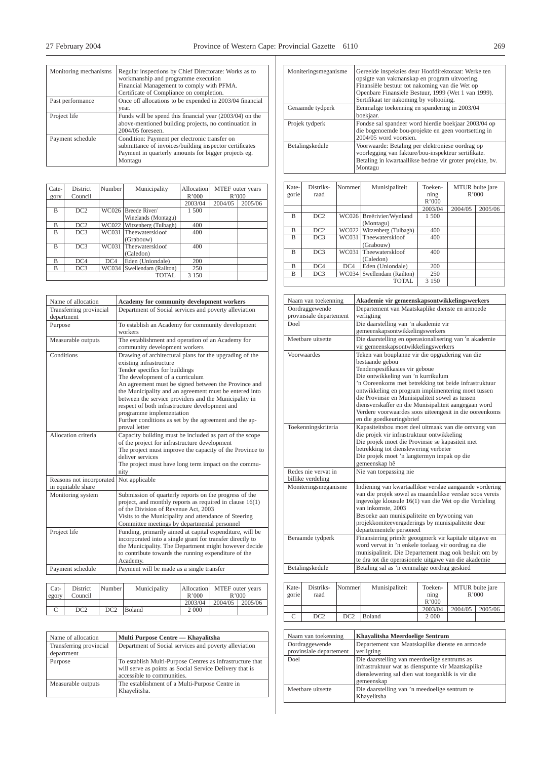|   | ٠        |              |
|---|----------|--------------|
| ٠ | M.<br>۰, | I<br>۰,<br>٧ |

| Monitoring mechanisms | Regular inspections by Chief Directorate: Works as to<br>workmanship and programme execution<br>Financial Management to comply with PFMA.<br>Certificate of Compliance on completion. |
|-----------------------|---------------------------------------------------------------------------------------------------------------------------------------------------------------------------------------|
| Past performance      | Once off allocations to be expended in 2003/04 financial<br>year.                                                                                                                     |
| Project life          | Funds will be spend this financial year (2003/04) on the<br>above-mentioned building projects, no continuation in<br>2004/05 foreseen.                                                |
| Payment schedule      | Condition: Payment per electronic transfer on<br>submittance of invoices/building inspector certificates<br>Payment in quarterly amounts for bigger projects eg.<br>Montagu           |

| Cate-          | <b>District</b> | Number | Municipality                 | Allocation | MTEF outer years<br>R'000 |         |
|----------------|-----------------|--------|------------------------------|------------|---------------------------|---------|
| gory           | Council         |        |                              | R'000      |                           |         |
|                |                 |        |                              | 2003/04    | 2004/05                   | 2005/06 |
| $\overline{B}$ | DC <sub>2</sub> |        | WC026 Breede River/          | 1 500      |                           |         |
|                |                 |        | Winelands (Montagu)          |            |                           |         |
| B              | DC2             |        | WC022   Witzenberg (Tulbagh) | 400        |                           |         |
| $\overline{B}$ | DC3             |        | WC031 Theewaterskloof        | 400        |                           |         |
|                |                 |        | (Grabouw)                    |            |                           |         |
| $\overline{B}$ | DC3             | WC031  | Theewaterskloof              | 400        |                           |         |
|                |                 |        | (Caledon)                    |            |                           |         |
| R              | DC4             | DC4    | Eden (Uniondale)             | 200        |                           |         |
| B              | DC3             |        | WC034 Swellendam (Railton)   | 250        |                           |         |
|                |                 |        | <b>TOTAL</b>                 | 3 1 5 0    |                           |         |

| Name of allocation                             | Academy for community development workers                                                                                                                                                                                                                                                                                                                                                                                                                                                   |
|------------------------------------------------|---------------------------------------------------------------------------------------------------------------------------------------------------------------------------------------------------------------------------------------------------------------------------------------------------------------------------------------------------------------------------------------------------------------------------------------------------------------------------------------------|
| Transferring provincial<br>department          | Department of Social services and poverty alleviation                                                                                                                                                                                                                                                                                                                                                                                                                                       |
| Purpose                                        | To establish an Academy for community development<br>workers                                                                                                                                                                                                                                                                                                                                                                                                                                |
| Measurable outputs                             | The establishment and operation of an Academy for<br>community development workers                                                                                                                                                                                                                                                                                                                                                                                                          |
| Conditions                                     | Drawing of architectural plans for the upgrading of the<br>existing infrastructure<br>Tender specifics for buildings<br>The development of a curriculum<br>An agreement must be signed between the Province and<br>the Municipality and an agreement must be entered into<br>between the service providers and the Municipality in<br>respect of both infrastructure development and<br>programme implementation<br>Further conditions as set by the agreement and the ap-<br>proval letter |
| Allocation criteria                            | Capacity building must be included as part of the scope<br>of the project for infrastructure development<br>The project must improve the capacity of the Province to<br>deliver services<br>The project must have long term impact on the commu-<br>nity                                                                                                                                                                                                                                    |
| Reasons not incorporated<br>in equitable share | Not applicable                                                                                                                                                                                                                                                                                                                                                                                                                                                                              |
| Monitoring system                              | Submission of quarterly reports on the progress of the<br>project, and monthly reports as required in clause $16(1)$<br>of the Division of Revenue Act, 2003<br>Visits to the Municipality and attendance of Steering<br>Committee meetings by departmental personnel                                                                                                                                                                                                                       |
| Project life                                   | Funding, primarily aimed at capital expenditure, will be<br>incorporated into a single grant for transfer directly to<br>the Municipality. The Department might however decide<br>to contribute towards the running expenditure of the<br>Academy.                                                                                                                                                                                                                                          |
| Payment schedule                               | Payment will be made as a single transfer                                                                                                                                                                                                                                                                                                                                                                                                                                                   |

| $Cat-$ | District | Number | Municipality |         | Allocation MTEF outer years |       |
|--------|----------|--------|--------------|---------|-----------------------------|-------|
| egory  | Council  |        |              | R'000   |                             | R'000 |
|        |          |        |              | 2003/04 | $2004/05$   2005/06         |       |
|        | DC2      | DC2    | Boland       | 2 0 0 0 |                             |       |

| Name of allocation      | Multi Purpose Centre — Khavalitsha                             |
|-------------------------|----------------------------------------------------------------|
| Transferring provincial | Department of Social services and poverty alleviation          |
| department              |                                                                |
| Purpose                 | To establish Multi-Purpose Centres as infrastructure that      |
|                         | will serve as points as Social Service Delivery that is        |
|                         | accessible to communities.                                     |
| Measurable outputs      | The establishment of a Multi-Purpose Centre in<br>Khayelitsha. |

| Moniteringsmeganisme | Gereelde inspeksies deur Hoofdirektoraat: Werke ten<br>opsigte van vakmanskap en program uitvoering.<br>Finansiële bestuur tot nakoming van die Wet op<br>Openbare Finansiële Bestuur, 1999 (Wet 1 van 1999).<br>Sertifikaat ter nakoming by voltooiing. |
|----------------------|----------------------------------------------------------------------------------------------------------------------------------------------------------------------------------------------------------------------------------------------------------|
| Geraamde tydperk     | Eenmalige toekenning en spandering in 2003/04<br>boekjaar.                                                                                                                                                                                               |
| Projek tydperk       | Fondse sal spandeer word hierdie boekjaar 2003/04 op<br>die bogenoemde bou-projekte en geen voortsetting in<br>2004/05 word voorsien.                                                                                                                    |
| Betalingskedule      | Voorwaarde: Betaling per elektroniese oordrag op<br>voorlegging van fakture/bou-inspekteur sertifikate.<br>Betaling in kwartaallikse bedrae vir groter projekte, bv.<br>Montagu                                                                          |

| Kate-<br>gorie | Distriks-<br>raad | Nommer | Munisipaliteit                        | Toeken-<br>ning<br>R'000 |         | MTUR buite jare<br>R'000 |
|----------------|-------------------|--------|---------------------------------------|--------------------------|---------|--------------------------|
|                |                   |        |                                       | 2003/04                  | 2004/05 | 2005/06                  |
| B              | DC <sub>2</sub>   |        | WC026 Breërivier/Wynland<br>(Montagu) | 1 500                    |         |                          |
| B              | DC2               | WC022  | Witzenberg (Tulbagh)                  | 400                      |         |                          |
| B              | DC <sub>3</sub>   | WC031  | Theewaterskloof<br>(Grabouw)          | 400                      |         |                          |
| B              | DC3               | WC031  | Theewaterskloof<br>(Caledon)          | 400                      |         |                          |
| B              | DC4               | DC4    | Eden (Uniondale)                      | 200                      |         |                          |
| B              | DC3               |        | WC034 Swellendam (Railton)            | 250                      |         |                          |
|                |                   |        | <b>TOTAL</b>                          | 3 1 5 0                  |         |                          |

| Naam van toekenning     | Akademie vir gemeenskapsontwikkelingswerkers                                       |
|-------------------------|------------------------------------------------------------------------------------|
| Oordraggewende          | Departement van Maatskaplike dienste en armoede                                    |
| provinsiale departement | verligting                                                                         |
| Doel                    | Die daarstelling van 'n akademie vir                                               |
|                         | gemeenskapsontwikkelingswerkers                                                    |
| Meetbare uitsette       | Die daarstelling en operasionalisering van 'n akademie                             |
|                         | vir gemeenskapsontwikkelingswerkers                                                |
| Voorwaardes             | Teken van bouplanne vir die opgradering van die                                    |
|                         | bestaande gebou                                                                    |
|                         | Tenderspesifikasies vir geboue                                                     |
|                         | Die ontwikkeling van 'n kurrikulum                                                 |
|                         | 'n Ooreenkoms met betrekking tot beide infrastruktuur                              |
|                         | ontwikkeling en program implimentering moet tussen                                 |
|                         | die Provinsie en Munisipaliteit sowel as tussen                                    |
|                         | diensverskaffer en die Munisipaliteit aangegaan word                               |
|                         | Verdere voorwaardes soos uiteengesit in die ooreenkoms<br>en die goedkeuringsbrief |
| Toekenningskriteria     | Kapasiteitsbou moet deel uitmaak van die omvang van                                |
|                         | die projek vir infrastruktuur ontwikkeling                                         |
|                         | Die projek moet die Provinsie se kapasiteit met                                    |
|                         | betrekking tot dienslewering verbeter                                              |
|                         | Die projek moet 'n langtermyn impak op die                                         |
|                         | gemeenskap hê                                                                      |
| Redes nie vervat in     | Nie van toepassing nie                                                             |
| billike verdeling       |                                                                                    |
| Moniteringsmeganisme    | Indiening van kwartaallikse verslae aangaande vordering                            |
|                         | van die projek sowel as maandelikse verslae soos vereis                            |
|                         | ingevolge klousule 16(1) van die Wet op die Verdeling                              |
|                         | van inkomste, 2003                                                                 |
|                         | Besoeke aan munisipaliteite en bywoning van                                        |
|                         | projekkomiteevergaderings by munisipaliteite deur                                  |
|                         | departementele personeel                                                           |
| Beraamde tydperk        | Finansiering primêr geoogmerk vir kapitale uitgawe en                              |
|                         | word vervat in 'n enkele toelaag vir oordrag na die                                |
|                         | munisipaliteit. Die Departement mag ook besluit om by                              |
|                         | te dra tot die operasionele uitgawe van die akademie                               |
| Betalingskedule         | Betaling sal as 'n eenmalige oordrag geskied                                       |

| Kate-<br>gorie | Distriks-<br>raad | Nommer | Munisipaliteit | Toeken-<br>$\min$<br>R'000 |         | MTUR buite jare<br>R'000 |
|----------------|-------------------|--------|----------------|----------------------------|---------|--------------------------|
|                |                   |        |                | 2003/04                    | 2004/05 | 2005/06                  |
|                | DC <sub>2</sub>   | DC2    | Boland         | 2 0 0 0                    |         |                          |

| Naam van toekenning                       | Khavalitsha Meerdoelige Sentrum                                                                                                                                     |
|-------------------------------------------|---------------------------------------------------------------------------------------------------------------------------------------------------------------------|
| Oordraggewende<br>provinsiale departement | Departement van Maatskaplike dienste en armoede<br>verligting                                                                                                       |
| Doel                                      | Die daarstelling van meerdoelige sentrums as<br>infrastruktuur wat as dienspunte vir Maatskaplike<br>dienslewering sal dien wat toeganklik is vir die<br>gemeenskap |
| Meetbare uitsette                         | Die daarstelling van 'n meedoelige sentrum te<br>Khayelitsha                                                                                                        |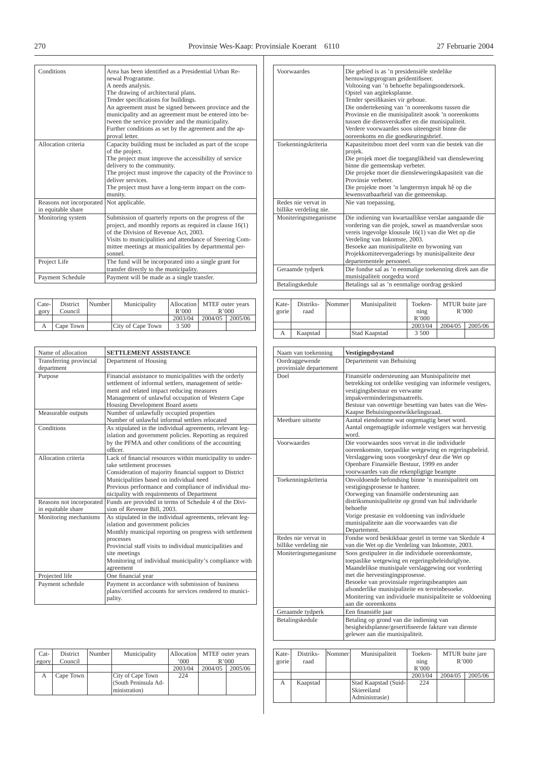| Conditions                                     | Area has been identified as a Presidential Urban Re-<br>newal Programme.<br>A needs analysis.<br>The drawing of architectural plans.<br>Tender specifications for buildings.<br>An agreement must be signed between province and the<br>municipality and an agreement must be entered into be-<br>tween the service provider and the municipality.<br>Further conditions as set by the agreement and the ap-<br>proval letter. |
|------------------------------------------------|--------------------------------------------------------------------------------------------------------------------------------------------------------------------------------------------------------------------------------------------------------------------------------------------------------------------------------------------------------------------------------------------------------------------------------|
| Allocation criteria                            | Capacity building must be included as part of the scope<br>of the project.<br>The project must improve the accessibility of service<br>delivery to the community.<br>The project must improve the capacity of the Province to<br>deliver services<br>The project must have a long-term impact on the com-<br>munity.                                                                                                           |
| Reasons not incorporated<br>in equitable share | Not applicable.                                                                                                                                                                                                                                                                                                                                                                                                                |
| Monitoring system                              | Submission of quarterly reports on the progress of the<br>project, and monthly reports as required in clause $16(1)$<br>of the Division of Revenue Act. 2003.<br>Visits to municipalities and attendance of Steering Com-<br>mittee meetings at municipalities by departmental per-<br>sonnel                                                                                                                                  |
| Project Life                                   | The fund will be incorporated into a single grant for<br>transfer directly to the municipality.                                                                                                                                                                                                                                                                                                                                |
| Payment Schedule                               | Payment will be made as a single transfer.                                                                                                                                                                                                                                                                                                                                                                                     |

| Cate-<br>gory | District<br>Council | Number | Municipality      | R'000   | Allocation MTEF outer years<br>R'000 |         |
|---------------|---------------------|--------|-------------------|---------|--------------------------------------|---------|
|               |                     |        |                   | 2003/04 | 2004/05                              | 2005/06 |
|               | Cape Town           |        | City of Cape Town | 3 500   |                                      |         |

| Name of allocation                             | <b>SETTLEMENT ASSISTANCE</b>                                                                                                                                                                                                                                                                                               |
|------------------------------------------------|----------------------------------------------------------------------------------------------------------------------------------------------------------------------------------------------------------------------------------------------------------------------------------------------------------------------------|
| Transferring provincial<br>department          | Department of Housing                                                                                                                                                                                                                                                                                                      |
| Purpose                                        | Financial assistance to municipalities with the orderly<br>settlement of informal settlers, management of settle-<br>ment and related impact reducing measures<br>Management of unlawful occupation of Western Cape<br>Housing Development Board assets                                                                    |
| Measurable outputs                             | Number of unlawfully occupied properties<br>Number of unlawful informal settlers relocated                                                                                                                                                                                                                                 |
| Conditions                                     | As stipulated in the individual agreements, relevant leg-<br>islation and government policies. Reporting as required<br>by the PFMA and other conditions of the accounting<br>officer                                                                                                                                      |
| Allocation criteria                            | Lack of financial resources within municipality to under-<br>take settlement processes<br>Consideration of majority financial support to District<br>Municipalities based on individual need<br>Previous performance and compliance of individual mu-<br>nicipality with requirements of Department                        |
| Reasons not incorporated<br>in equitable share | Funds are provided in terms of Schedule 4 of the Divi-<br>sion of Revenue Bill, 2003.                                                                                                                                                                                                                                      |
| Monitoring mechanisms                          | As stipulated in the individual agreements, relevant leg-<br>islation and government policies<br>Monthly municipal reporting on progress with settlement<br>processes<br>Provincial staff visits to individual municipalities and<br>site meetings<br>Monitoring of individual municipality's compliance with<br>agreement |
| Projected life                                 | One financial year                                                                                                                                                                                                                                                                                                         |
| Payment schedule                               | Payment in accordance with submission of business<br>plans/certified accounts for services rendered to munici-<br>pality.                                                                                                                                                                                                  |

| $Cat-$<br>egory | District<br>Council | Number | Municipality                                               | Allocation<br>000 | MTEF outer years<br>R'000 |         |
|-----------------|---------------------|--------|------------------------------------------------------------|-------------------|---------------------------|---------|
|                 |                     |        |                                                            | 2003/04           | 2004/05                   | 2005/06 |
| А               | Cape Town           |        | City of Cape Town<br>(South Peninsula Ad-<br>ministration) | 224               |                           |         |

| Voorwaardes                                   | Die gebied is as 'n presidensiële stedelike<br>hernuwingsprogram geïdentifiseer.<br>Voltooing van 'n behoefte bepalingsondersoek.<br>Opstel van argiteksplanne.<br>Tender spesifikasies vir geboue.<br>Die ondertekening van 'n ooreenkoms tussen die<br>Provinsie en die munisipaliteit asook 'n ooreenkoms<br>tussen die diensverskaffer en die munisipaliteit.<br>Verdere voorwaardes soos uiteengesit binne die<br>ooreenkoms en die goedkeuringsbrief. |
|-----------------------------------------------|-------------------------------------------------------------------------------------------------------------------------------------------------------------------------------------------------------------------------------------------------------------------------------------------------------------------------------------------------------------------------------------------------------------------------------------------------------------|
| Toekenningskriteria                           | Kapasiteitsbou moet deel vorm van die bestek van die<br>projek.<br>Die projek moet die toeganglikheid van dienslewering<br>binne die gemeenskap verbeter.<br>Die projeke moet die diensleweringskapasiteit van die<br>Provinsie verbeter.<br>Die projekte moet 'n langtermyn impak hê op die<br>lewensvatbaarheid van die gemeenskap.                                                                                                                       |
| Redes nie vervat in<br>billike verdeling nie. | Nie van toepassing.                                                                                                                                                                                                                                                                                                                                                                                                                                         |
| Moniteringsmeganisme                          | Die indiening van kwartaallikse verslae aangaande die<br>vordering van die projek, sowel as maandverslae soos<br>vereis ingevolge klousule 16(1) van die Wet op die<br>Verdeling van Inkomste, 2003.<br>Besoeke aan munisipaliteite en bywoning van<br>Projekkomiteevergaderings by munisipaliteite deur<br>departementele personeel.                                                                                                                       |
| Geraamde tydperk                              | Die fondse sal as 'n eenmalige toekenning direk aan die<br>munisipaliteit oorgedra word                                                                                                                                                                                                                                                                                                                                                                     |
| Betalingskedule                               | Betalings sal as 'n eenmalige oordrag geskied                                                                                                                                                                                                                                                                                                                                                                                                               |

| Kate-<br>gorie | Distriks-<br>raad | Nommer | Munisipaliteit | Toeken-<br>ning<br>R'000 |         | MTUR buite jare<br>R'000 |
|----------------|-------------------|--------|----------------|--------------------------|---------|--------------------------|
|                |                   |        |                | 2003/04                  | 2004/05 | 2005/06                  |
| А              | Kaapstad          |        | Stad Kaapstad  | 3 500                    |         |                          |

| Naam van toekenning                          | Vestigingsbystand                                                                                                                                                                                                                                                                                                                                                                    |
|----------------------------------------------|--------------------------------------------------------------------------------------------------------------------------------------------------------------------------------------------------------------------------------------------------------------------------------------------------------------------------------------------------------------------------------------|
| Oordraggewende<br>provinsiale departement    | Departement van Behuising                                                                                                                                                                                                                                                                                                                                                            |
| Doel                                         | Finansiële ondersteuning aan Munisipaliteite met<br>betrekking tot ordelike vestiging van informele vestigers,<br>vestigingsbestuur en verwante<br>impakverminderingsmaatreëls.<br>Bestuur van onwettige besetting van bates van die Wes-<br>Kaapse Behuisingsontwikkelingsraad.                                                                                                     |
| Meethare uitsette                            | Aantal eiendomme wat ongemagtig beset word.<br>Aantal ongemagtigde informele vestigers wat hervestig<br>word                                                                                                                                                                                                                                                                         |
| Voorwaardes                                  | Die voorwaardes soos vervat in die individuele<br>ooreenkomste, toepaslike wetgewing en regeringsbeleid.<br>Verslaggewing soos voorgeskryf deur die Wet op<br>Openbare Finansiële Bestuur, 1999 en ander<br>voorwaardes van die rekenpligtige beampte                                                                                                                                |
| Toekenningskriteria                          | Onvoldoende befondsing binne 'n munisipaliteit om<br>vestigingsprosesse te hanteer.<br>Oorweging van finansiële ondersteuning aan<br>distriksmunisipaliteite op grond van hul individuele<br>hehoefte<br>Vorige prestasie en voldoening van individuele<br>munisipaliteite aan die voorwaardes van die<br>Departement.                                                               |
| Redes nie vervat in<br>billike verdeling nie | Fondse word beskikbaar gestel in terme van Skedule 4<br>van die Wet op die Verdeling van Inkomste, 2003.                                                                                                                                                                                                                                                                             |
| Moniteringsmeganisme                         | Soos gestipuleer in die individuele ooreenkomste,<br>toepaslike wetgewing en regeringsbeleidsriglyne.<br>Maandelikse munisipale verslaggewing oor vordering<br>met die hervestingingsprosesse.<br>Besoeke van provinsiale regeringsbeamptes aan<br>afsonderlike munisipaliteite en terreinbesoeke.<br>Monitering van individuele munisipaliteite se voldoening<br>aan die ooreenkoms |
| Geraamde tydperk                             | Een finansiële jaar                                                                                                                                                                                                                                                                                                                                                                  |
| Betalingskedule                              | Betaling op grond van die indiening van<br>besigheidsplanne/gesertifiseerde fakture van dienste<br>gelewer aan die munisipaliteit.                                                                                                                                                                                                                                                   |

| Kate-<br>gorie | Distriks-<br>raad | Nommer | Munisipaliteit                                        | Toeken-<br>$\min_{\mathfrak{L}}$<br>R'000 |         | MTUR buite jare<br>R'000 |
|----------------|-------------------|--------|-------------------------------------------------------|-------------------------------------------|---------|--------------------------|
|                |                   |        |                                                       | 2003/04                                   | 2004/05 | 2005/06                  |
| А              | Kaapstad          |        | Stad Kaapstad (Suid-<br>Skiereiland<br>Administrasie) | 224                                       |         |                          |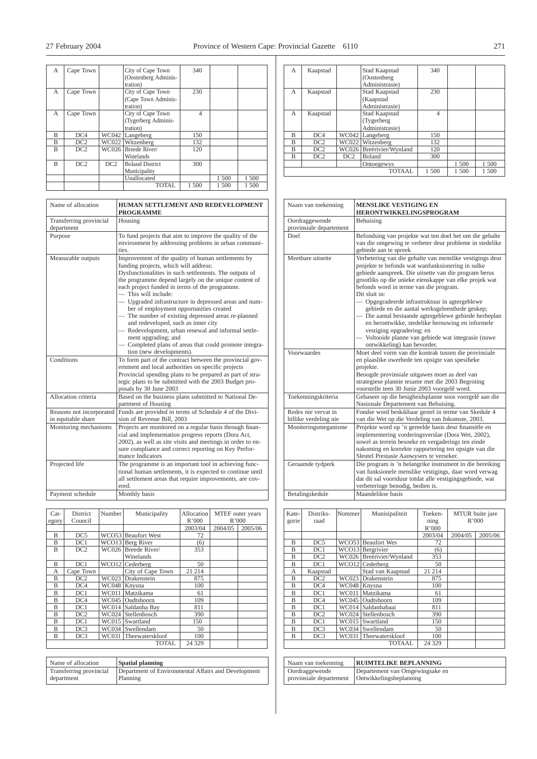| А | Cape Town       |     | City of Cape Town<br>(Oostenberg Adminis-<br>tration) | 340            |       |       |
|---|-----------------|-----|-------------------------------------------------------|----------------|-------|-------|
| A | Cape Town       |     | City of Cape Town<br>(Cape Town Adminis-<br>tration)  | 230            |       |       |
| A | Cape Town       |     | City of Cape Town<br>(Tygerberg Adminis-<br>tration)  | $\overline{4}$ |       |       |
| B | DC4             |     | WC042 Langeberg                                       | 150            |       |       |
| B | DC2             |     | WC022 Witzenberg                                      | 132            |       |       |
| B | DC2             |     | WC026 Breede River/<br>Winelands                      | 120            |       |       |
| B | DC <sub>2</sub> | DC2 | <b>Boland District</b><br>Municipality                | 300            |       |       |
|   |                 |     | Unallocated                                           |                | 1 500 | 1 500 |
|   |                 |     | <b>TOTAL</b>                                          | 1500           | 1 500 | 1500  |

| Name of allocation                             | HUMAN SETTLEMENT AND REDEVELOPMENT<br><b>PROGRAMME</b>                                                                                                                                                                                                                                                                                                                                                                                                                                                                                                                                                                                                     |
|------------------------------------------------|------------------------------------------------------------------------------------------------------------------------------------------------------------------------------------------------------------------------------------------------------------------------------------------------------------------------------------------------------------------------------------------------------------------------------------------------------------------------------------------------------------------------------------------------------------------------------------------------------------------------------------------------------------|
| Transferring provincial<br>department          | Housing                                                                                                                                                                                                                                                                                                                                                                                                                                                                                                                                                                                                                                                    |
| Purpose                                        | To fund projects that aim to improve the quality of the<br>environment by addressing problems in urban communi-<br>ties.                                                                                                                                                                                                                                                                                                                                                                                                                                                                                                                                   |
| Measurable outputs                             | Improvement of the quality of human settlements by<br>funding projects, which will address:<br>Dysfunctionalities in such settlements. The outputs of<br>the programme depend largely on the unique content of<br>each project funded in terms of the programme.<br>This will include:<br>- Upgraded infrastructure in depressed areas and num-<br>ber of employment opportunities created<br>- The number of existing depressed areas re-planned<br>and redeveloped, such as inner city<br>- Redevelopment, urban renewal and informal settle-<br>ment upgrading; and<br>Completed plans of areas that could promote integra-<br>tion (new developments). |
| Conditions                                     | To form part of the contract between the provincial gov-<br>ernment and local authorities on specific projects<br>Provincial spending plans to be prepared as part of stra-<br>tegic plans to be submitted with the 2003 Budget pro-<br>posals by 30 June 2003                                                                                                                                                                                                                                                                                                                                                                                             |
| Allocation criteria                            | Based on the business plans submitted to National De-<br>partment of Housing                                                                                                                                                                                                                                                                                                                                                                                                                                                                                                                                                                               |
| Reasons not incorporated<br>in equitable share | Funds are provided in terms of Schedule 4 of the Divi-<br>sion of Revenue Bill, 2003                                                                                                                                                                                                                                                                                                                                                                                                                                                                                                                                                                       |
| Monitoring mechanisms                          | Projects are monitored on a regular basis through finan-<br>cial and implementation progress reports (Dora Act,<br>2002), as well as site visits and meetings in order to en-<br>sure compliance and correct reporting on Key Perfor-<br>mance Indicators                                                                                                                                                                                                                                                                                                                                                                                                  |
| Projected life                                 | The programme is an important tool in achieving func-<br>tional human settlements, it is expected to continue until<br>all settlement areas that require improvements, are cov-<br>ered.                                                                                                                                                                                                                                                                                                                                                                                                                                                                   |
| Payment schedule                               | Monthly basis                                                                                                                                                                                                                                                                                                                                                                                                                                                                                                                                                                                                                                              |

| $Cat-$ | District        | Number | Municipality          | Allocation | MTEF outer years |         |
|--------|-----------------|--------|-----------------------|------------|------------------|---------|
| egory  | Council         |        |                       | R'000      | R'000            |         |
|        |                 |        |                       | 2003/04    | 2004/05          | 2005/06 |
| B      | DC5             |        | WCO53 Beaufort West   | 72         |                  |         |
| B      | DC1             |        | WCO13 Berg River      | (6)        |                  |         |
| B      | DC <sub>2</sub> |        | WC026 Breede River/   | 353        |                  |         |
|        |                 |        | Winelands             |            |                  |         |
| B      | DC1             |        | WCO12 Cederberg       | 50         |                  |         |
| А      | Cape Town       |        | City of Cape Town     | 21 214     |                  |         |
| B      | DC <sub>2</sub> |        | WC023 Drakenstein     | 875        |                  |         |
| B      | DC4             |        | WC048 Knysna          | 100        |                  |         |
| B      | DC1             |        | WC011 Matzikama       | 61         |                  |         |
| B      | DC4             |        | WC045 Oudtshoorn      | 109        |                  |         |
| B      | DC1             |        | WC014 Saldanha Bay    | 811        |                  |         |
| B      | DC <sub>2</sub> |        | WC024 Stellenbosch    | 390        |                  |         |
| B      | DC1             |        | WC015 Swartland       | 150        |                  |         |
| B      | DC3             |        | WC034 Swellendam      | 50         |                  |         |
| B      | DC3             |        | WC031 Theewaterskloof | 100        |                  |         |
|        |                 |        | <b>TOTAL</b>          | 24 329     |                  |         |

| Name of allocation      | <b>Spatial planning</b>                             |
|-------------------------|-----------------------------------------------------|
| Transferring provincial | Department of Environmental Affairs and Development |
| department              | Planning                                            |

| A            | Kaapstad                                 |       | Stad Kaapstad<br>(Oostenberg<br>Administrasie) | 340            |       |       |
|--------------|------------------------------------------|-------|------------------------------------------------|----------------|-------|-------|
| A            | Kaapstad                                 |       | Stad Kaapstad<br>(Kaapstad<br>Administrasie)   | 230            |       |       |
| $\mathsf{A}$ | Kaapstad                                 |       | Stad Kaapstad<br>(Tygerberg)<br>Administrasie) | $\overline{4}$ |       |       |
| R            | DC4                                      | WC042 | Langeberg                                      | 150            |       |       |
| B            | DC2                                      | WC022 | Witzenberg                                     | 132            |       |       |
| B            | DC2                                      | WC026 | Breërivier/Wynland                             | 120            |       |       |
| B            | DC <sub>2</sub>                          | DC2   | <b>Boland</b>                                  | 300            |       |       |
|              |                                          |       | Ontoegewys                                     |                | 1 500 | 1 500 |
|              | <b>TOTAAL</b><br>1 500<br>1 500<br>1 500 |       |                                                |                |       |       |

| Naam van toekenning                          | <b>MENSLIKE VESTIGING EN</b><br><b>HERONTWIKKELINGSPROGRAM</b>                                                                                                                                                                                                                                                                                                                                                                                                                                                                                                                                                                |
|----------------------------------------------|-------------------------------------------------------------------------------------------------------------------------------------------------------------------------------------------------------------------------------------------------------------------------------------------------------------------------------------------------------------------------------------------------------------------------------------------------------------------------------------------------------------------------------------------------------------------------------------------------------------------------------|
| Oordraggewende<br>provinsiale departement    | Behuising                                                                                                                                                                                                                                                                                                                                                                                                                                                                                                                                                                                                                     |
| Doel                                         | Befondsing van projekte wat ten doel het om die gehalte<br>van die omgewing te verbeter deur probleme in stedelike<br>gebiede aan te spreek                                                                                                                                                                                                                                                                                                                                                                                                                                                                                   |
| Meethare uitsette                            | Verbetering van die gehalte van menslike vestigings deur<br>projekte te befonds wat wanfunksionering in sulke<br>gebiede aanspreek. Die uitsette van die program berus<br>grootliks op die unieke eienskappe van elke projek wat<br>befonds word in terme van die program.<br>Dit sluit in:<br>- Opgegradeerde infrastruktuur in agtergeblewe<br>gebiede en die aantal werksgeleenthede geskep;<br>Die aantal bestaande agtergeblewe gebiede herbeplan<br>en herontwikke, stedelike hernuwing en informele<br>vestiging opgradering; en<br>- Voltooide planne van gebiede wat integrasie (nuwe<br>ontwikkeling) kan bevorder. |
| Voorwaardes                                  | Moet deel vorm van die kontrak tussen die provinsiale<br>en plaaslike owerhede ten opsigte van spesifieke<br>projekte.<br>Beoogde provinsiale uitgawes moet as deel van<br>strategiese plannie tesame met die 2003 Begroting<br>voorstelle teen 30 Junie 2003 voorgelê word.                                                                                                                                                                                                                                                                                                                                                  |
| Toekenningskriteria                          | Gebaseer op die besigheidsplanne soos voorgelê aan die<br>Nasionale Departement van Behuising.                                                                                                                                                                                                                                                                                                                                                                                                                                                                                                                                |
| Redes nie vervat in<br>billike verdeling nie | Fondse word beskikbaar gestel in terme van Skedule 4<br>van die Wet op die Verdeling van Inkomste, 2003.                                                                                                                                                                                                                                                                                                                                                                                                                                                                                                                      |
| Moniteringsmeganisme                         | Projekte word op 'n gereelde basis deur finansiële en<br>implementering vorderingsverslae (Dora Wet, 2002),<br>sowel as terrein besoeke en vergaderings ten einde<br>nakoming en korrekte rapportering ten opsigte van die<br>Sleutel Prestasie Aanwysers te verseker.                                                                                                                                                                                                                                                                                                                                                        |
| Geraamde tydperk                             | Die program is 'n belangrike instrument in die bereiking<br>van funksionele menslike vestigings, daar word verwag<br>dat dit sal voortduur totdat alle vestigingsgebiede, wat<br>verbeteringe benodig, bedien is.                                                                                                                                                                                                                                                                                                                                                                                                             |
| Betalingskedule                              | Maandelikse basis                                                                                                                                                                                                                                                                                                                                                                                                                                                                                                                                                                                                             |

| Kate-<br>gorie | Distriks-<br>raad | Nommer       | Munisipaliteit     | Toeken-<br>ning<br>R'000 | MTUR buite jare<br>R'000 |         |
|----------------|-------------------|--------------|--------------------|--------------------------|--------------------------|---------|
|                |                   |              |                    | 2003/04                  | 2004/05                  | 2005/06 |
| B              | DC <sub>5</sub>   |              | WCO53 Beaufort Wes | 72                       |                          |         |
| B              | DC1               |              | WCO13 Bergrivier   | (6)                      |                          |         |
| B              | DC <sub>2</sub>   | WC026        | Breërivier/Wynland | 353                      |                          |         |
| B              | DC1               |              | WCO12 Cederberg    | 50                       |                          |         |
| A              | Kaapstad          |              | Stad van Kaapstad  | 21 214                   |                          |         |
| B              | DC2               | WC023        | Drakenstein        | 875                      |                          |         |
| B              | DC4               | WC048        | Knysna             | 100                      |                          |         |
| B              | DC1               | WC011        | Matzikama          | 61                       |                          |         |
| B              | DC4               | WC045        | Oudtshoorn         | 109                      |                          |         |
| R              | DC1               | WC014        | Saldanhabaai       | 811                      |                          |         |
| B              | DC2               | <b>WC024</b> | Stellenbosch       | 390                      |                          |         |
| B              | DC1               |              | WC015 Swartland    | 150                      |                          |         |
| R              | DC3               |              | WC034 Swellendam   | 50                       |                          |         |
| B              | DC <sub>3</sub>   | WC031        | Theewaterskloof    | 100                      |                          |         |
|                |                   |              | <b>TOTAAL</b>      | 24 3 29                  |                          |         |

| Naam van toekenning     | <b>RUIMTELIKE BEPLANNING</b>    |
|-------------------------|---------------------------------|
| Oordraggewende          | Departement van Omgewingsake en |
| provinsiale departement | Ontwikkelingsbeplanning         |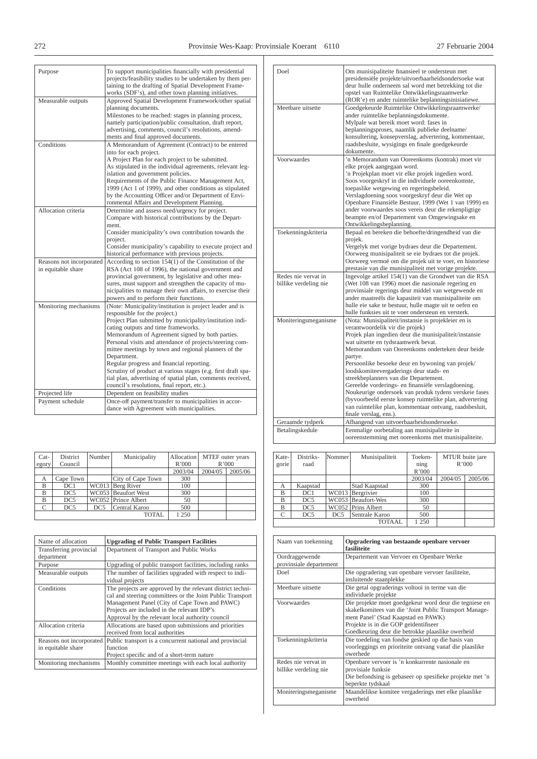| Purpose                                        | To support municipalities financially with presidential<br>projects/feasibility studies to be undertaken by them per-<br>taining to the drafting of Spatial Development Frame-<br>works (SDF's), and other town planning initiatives.                                                                                                                                                                                                                                                                                                                                                                        |
|------------------------------------------------|--------------------------------------------------------------------------------------------------------------------------------------------------------------------------------------------------------------------------------------------------------------------------------------------------------------------------------------------------------------------------------------------------------------------------------------------------------------------------------------------------------------------------------------------------------------------------------------------------------------|
| Measurable outputs                             | Approved Spatial Development Framework/other spatial<br>planning documents.<br>Milestones to be reached: stages in planning process,<br>namely participation/public consultation, draft report,<br>advertising, comments, council's resolutions, amend-<br>ments and final approved documents.                                                                                                                                                                                                                                                                                                               |
| Conditions                                     | A Memorandum of Agreement (Contract) to be entered<br>into for each project.<br>A Project Plan for each project to be submitted.<br>As stipulated in the individual agreements, relevant leg-<br>islation and government policies.<br>Requirements of the Public Finance Management Act,<br>1999 (Act 1 of 1999), and other conditions as stipulated<br>by the Accounting Officer and/or Department of Envi-<br>ronmental Affairs and Development Planning.                                                                                                                                                  |
| Allocation criteria                            | Determine and assess need/urgency for project.<br>Compare with historical contributions by the Depart-<br>ment.<br>Consider municipality's own contribution towards the<br>project.<br>Consider municipality's capability to execute project and<br>historical performance with previous projects.                                                                                                                                                                                                                                                                                                           |
| Reasons not incorporated<br>in equitable share | According to section $154(1)$ of the Constitution of the<br>RSA (Act 108 of 1996), the national government and<br>provincial government, by legislative and other mea-<br>sures, must support and strengthen the capacity of mu-<br>nicipalities to manage their own affairs, to exercise their<br>powers and to perform their functions.                                                                                                                                                                                                                                                                    |
| Monitoring mechanisms                          | (Note: Municipality/institution is project leader and is<br>responsible for the project.)<br>Project Plan submitted by municipality/institution indi-<br>cating outputs and time frameworks.<br>Memorandum of Agreement signed by both parties.<br>Personal visits and attendance of projects/steering com-<br>mittee meetings by town and regional planners of the<br>Department.<br>Regular progress and financial reporting.<br>Scrutiny of product at various stages (e.g. first draft spa-<br>tial plan, advertising of spatial plan, comments received,<br>council's resolutions, final report, etc.). |
| Projected life                                 | Dependent on feasibility studies                                                                                                                                                                                                                                                                                                                                                                                                                                                                                                                                                                             |
| Payment schedule                               | Once-off payment/transfer to municipalities in accor-<br>dance with Agreement with municipalities.                                                                                                                                                                                                                                                                                                                                                                                                                                                                                                           |

| $Cat-$<br>egory | District<br>Council | Number          | Municipality        | Allocation<br>R'000 | MTEF outer years<br>R'000 |         |
|-----------------|---------------------|-----------------|---------------------|---------------------|---------------------------|---------|
|                 |                     |                 |                     | 2003/04             | 2004/05                   | 2005/06 |
| А               | Cape Town           |                 | City of Cape Town   | 300                 |                           |         |
| B               | DC1                 |                 | $WC013$ Berg River  | 100                 |                           |         |
| B               | DC <sub>5</sub>     |                 | WC053 Beaufort West | 300                 |                           |         |
| B               | DC <sub>5</sub>     |                 | WC052 Prince Albert | 50                  |                           |         |
| C               | DC <sub>5</sub>     | DC <sub>5</sub> | Central Karoo       | 500                 |                           |         |
|                 |                     |                 | <b>TOTAL</b>        | 1 250               |                           |         |

| Name of allocation                             | <b>Upgrading of Public Transport Facilities</b>                                                                                                                                                                                                                             |
|------------------------------------------------|-----------------------------------------------------------------------------------------------------------------------------------------------------------------------------------------------------------------------------------------------------------------------------|
| Transferring provincial<br>department          | Department of Transport and Public Works                                                                                                                                                                                                                                    |
| Purpose                                        | Upgrading of public transport facilities, including ranks                                                                                                                                                                                                                   |
| Measurable outputs                             | The number of facilities upgraded with respect to indi-<br>vidual projects                                                                                                                                                                                                  |
| Conditions                                     | The projects are approved by the relevant district techni-<br>cal and steering committees or the Joint Public Transport<br>Management Panel (City of Cape Town and PAWC)<br>Projects are included in the relevant IDP's<br>Approval by the relevant local authority council |
| Allocation criteria                            | Allocations are based upon submissions and priorities<br>received from local authorities                                                                                                                                                                                    |
| Reasons not incorporated<br>in equitable share | Public transport is a concurrent national and provincial<br>function<br>Project specific and of a short-term nature                                                                                                                                                         |
| Monitoring mechanisms                          | Monthly committee meetings with each local authority                                                                                                                                                                                                                        |

| Doel                                         | Om munisipaliteite finansieel te ondersteun met<br>presidensiële projekte/uitvoerbaarheidsondersoeke wat<br>deur hulle onderneem sal word met betrekking tot die<br>opstel van Ruimtelike Ontwikkelingsraamwerke<br>(ROR'e) en ander ruimtelike beplanningsinisiatiewe.                                                                                                                                                                                                                                                                                                                                                                                      |
|----------------------------------------------|--------------------------------------------------------------------------------------------------------------------------------------------------------------------------------------------------------------------------------------------------------------------------------------------------------------------------------------------------------------------------------------------------------------------------------------------------------------------------------------------------------------------------------------------------------------------------------------------------------------------------------------------------------------|
| Meethare uitsette                            | Goedgekeurde Ruimtelike Ontwikkelingsraamwerke/<br>ander ruimtelike beplanningsdokumente.<br>Mylpale wat bereik moet word: fases in<br>beplanningsproses, naamlik publieke deelname/<br>konsultering, konsepverslag, advertering, kommentaar,<br>raadsbesluite, wysigings en finale goedgekeurde<br>dokumente.                                                                                                                                                                                                                                                                                                                                               |
| Voorwaardes                                  | 'n Memorandum van Ooreenkoms (kontrak) moet vir<br>elke projek aangegaan word.<br>'n Projekplan moet vir elke projek ingedien word.<br>Soos voorgeskryf in die individuele ooreenkomste,<br>toepaslike wetgewing en regeringsbeleid.<br>Verslagdoening soos voorgeskryf deur die Wet op<br>Openbare Finansiële Bestuur, 1999 (Wet 1 van 1999) en<br>ander voorwaardes soos vereis deur die rekenpligtige<br>beampte en/of Departement van Omgewingsake en<br>Ontwikkelingsbeplanning.                                                                                                                                                                        |
| Toekenningskriteria                          | Bepaal en bereken die behoefte/dringendheid van die<br>projek.<br>Vergelyk met vorige bydraes deur die Departement.<br>Oorweeg munisipaliteit se eie bydraes tot die projek.<br>Oorweeg vermoë om die projek uit te voer, en historiese<br>prestasie van die munisipaliteit met vorige projekte.                                                                                                                                                                                                                                                                                                                                                             |
| Redes nie vervat in<br>billike verdeling nie | Ingevolge artikel 154(1) van die Grondwet van die RSA<br>(Wet 108 van 1996) moet die nasionale regering en<br>provinsiale regerings deur middel van wetgewende en<br>ander maatreëls die kapasiteit van munisipaliteite om<br>hulle eie sake te bestuur, hulle magte uit te oefen en<br>hulle funksies uit te voer ondersteun en versterk.                                                                                                                                                                                                                                                                                                                   |
| Moniteringsmeganisme                         | (Nota: Munisipaliteit/instansie is projekleier en is<br>verantwoordelik vir die projek)<br>Projek plan ingedien deur die munisipaliteit/instansie<br>wat uitsette en tydsraamwerk bevat.<br>Memorandum van Ooreenkoms onderteken deur beide<br>partye.<br>Persoonlike besoeke deur en bywoning van projek/<br>loodskomiteevergaderings deur stads- en<br>streekbeplanners van die Departement.<br>Gereelde vorderings- en finansiële verslagdoening.<br>Noukeurige ondersoek van produk tydens verskeie fases<br>(byvoorbeeld eerste konsep ruimtelike plan, advertering<br>van ruimtelike plan, kommentaar ontvang, raadsbesluit,<br>finale verslag, ens.). |
| Geraamde tydperk                             | Afhangend van uitvoerbaarheidsondersoeke.                                                                                                                                                                                                                                                                                                                                                                                                                                                                                                                                                                                                                    |
| Betalingskedule                              | Eenmalige oorbetaling aan munisipaliteite in<br>ooreenstemming met ooreenkoms met munisipaliteite.                                                                                                                                                                                                                                                                                                                                                                                                                                                                                                                                                           |

| Kate-<br>gorie | Distriks-<br>raad | Nommer | Munisipaliteit     | Toeken-<br>$\min_{\mathfrak{L}}$<br>R'000 |         | MTUR buite jare<br>R'000 |
|----------------|-------------------|--------|--------------------|-------------------------------------------|---------|--------------------------|
|                |                   |        |                    | 2003/04                                   | 2004/05 | 2005/06                  |
| А              | Kaapstad          |        | Stad Kaapstad      | 300                                       |         |                          |
| B              | DC1               | WC013  | Bergrivier         | 100                                       |         |                          |
| B              | DC <sub>5</sub>   |        | WC053 Beaufort-Wes | 300                                       |         |                          |
| B              | DC <sub>5</sub>   | WC052  | Prins Albert       | 50                                        |         |                          |
| C              | DC <sub>5</sub>   | DC5    | Sentrale Karoo     | 500                                       |         |                          |
|                |                   |        | <b>TOTAAL</b>      | 1 250                                     |         |                          |

| Naam van toekenning                          | Opgradering van bestaande openbare vervoer<br>fasiliteite                                                                                                                                                                                            |
|----------------------------------------------|------------------------------------------------------------------------------------------------------------------------------------------------------------------------------------------------------------------------------------------------------|
| Oordraggewende<br>provinsiale departement    | Departement van Vervoer en Openbare Werke                                                                                                                                                                                                            |
| Doel                                         | Die opgradering van openbare vervoer fasiliteite,<br>insluitende staanplekke                                                                                                                                                                         |
| Meethare uitsette                            | Die getal opgraderings voltooi in terme van die<br>individuele projekte                                                                                                                                                                              |
| Voorwaardes                                  | Die projekte moet goedgekeur word deur die tegniese en<br>skakelkomitees van die 'Joint Public Transport Manage-<br>ment Panel' (Stad Kaapstad en PAWK)<br>Projekte is in die GOP geïdentifiseer<br>Goedkeuring deur die betrokke plaaslike owerheid |
| Toekenningskriteria                          | Die toedeling van fondse geskied op die basis van<br>voorleggings en prioriteite ontvang vanaf die plaaslike<br>owerhede                                                                                                                             |
| Redes nie vervat in<br>billike verdeling nie | Openbare vervoer is 'n konkurrente nasionale en<br>provisiale funksie<br>Die befondsing is gebaseer op spesifieke projekte met 'n<br>beperkte tydskaal                                                                                               |
| Moniteringsmeganisme                         | Maandelikse komitee vergaderings met elke plaaslike<br>owerheid                                                                                                                                                                                      |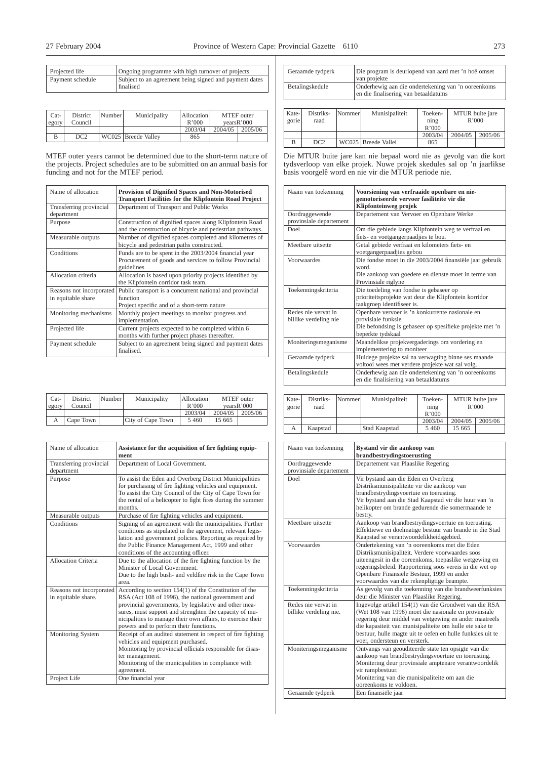| Projected life   | Ongoing programme with high turnover of projects                    |
|------------------|---------------------------------------------------------------------|
| Payment schedule | Subject to an agreement being signed and payment dates<br>finalised |

| Cat-<br>egory | District<br>Council | Number | Municipality        | Allocation<br>R'000 | MTEF outer | vearsR'000 |
|---------------|---------------------|--------|---------------------|---------------------|------------|------------|
|               |                     |        |                     | 2003/04             | 2004/05    | 2005/06    |
|               | DC <sub>2</sub>     |        | WC025 Breede Valley | 865                 |            |            |

MTEF outer years cannot be determined due to the short-term nature of the projects. Project schedules are to be submitted on an annual basis for funding and not for the MTEF period.

| Name of allocation                             | Provision of Dignified Spaces and Non-Motorised<br><b>Transport Facilities for the Klipfontein Road Project</b>               |  |  |  |
|------------------------------------------------|-------------------------------------------------------------------------------------------------------------------------------|--|--|--|
| Transferring provincial<br>department          | Department of Transport and Public Works                                                                                      |  |  |  |
| Purpose                                        | Construction of dignified spaces along Klipfontein Road<br>and the construction of bicycle and pedestrian pathways.           |  |  |  |
| Measurable outputs                             | Number of dignified spaces completed and kilometres of<br>bicycle and pedestrian paths constructed.                           |  |  |  |
| Conditions                                     | Funds are to be spent in the 2003/2004 financial year<br>Procurement of goods and services to follow Provincial<br>guidelines |  |  |  |
| Allocation criteria                            | Allocation is based upon priority projects identified by<br>the Klipfontein corridor task team.                               |  |  |  |
| Reasons not incorporated<br>in equitable share | Public transport is a concurrent national and provincial<br>function<br>Project specific and of a short-term nature           |  |  |  |
| Monitoring mechanisms                          | Monthly project meetings to monitor progress and<br>implementation.                                                           |  |  |  |
| Projected life                                 | Current projects expected to be completed within 6<br>months with further project phases thereafter.                          |  |  |  |
| Payment schedule                               | Subject to an agreement being signed and payment dates<br>finalised.                                                          |  |  |  |

| Cat-<br>egory | District<br>Council | Number | Municipality      | Allocation<br>R'000 | MTEF outer | vearsR'000 |
|---------------|---------------------|--------|-------------------|---------------------|------------|------------|
|               |                     |        |                   | 2003/04             | 2004/05    | 2005/06    |
|               | Cape Town           |        | City of Cape Town | 5460                | 15 665     |            |

| Name of allocation                              | Assistance for the acquisition of fire fighting equip-<br>ment                                                                                                                                                                                                                                                                             |
|-------------------------------------------------|--------------------------------------------------------------------------------------------------------------------------------------------------------------------------------------------------------------------------------------------------------------------------------------------------------------------------------------------|
| Transferring provincial<br>department           | Department of Local Government.                                                                                                                                                                                                                                                                                                            |
| Purpose                                         | To assist the Eden and Overberg District Municipalities<br>for purchasing of fire fighting vehicles and equipment.<br>To assist the City Council of the City of Cape Town for<br>the rental of a helicopter to fight fires during the summer<br>months                                                                                     |
| Measurable outputs                              | Purchase of fire fighting vehicles and equipment.                                                                                                                                                                                                                                                                                          |
| Conditions                                      | Signing of an agreement with the municipalities. Further<br>conditions as stipulated in the agreement, relevant legis-<br>lation and government policies. Reporting as required by<br>the Public Finance Management Act, 1999 and other<br>conditions of the accounting officer.                                                           |
| Allocation Criteria                             | Due to the allocation of the fire fighting function by the<br>Minister of Local Government.<br>Due to the high bush- and veldfire risk in the Cape Town<br>area.                                                                                                                                                                           |
| Reasons not incorporated<br>in equitable share. | According to section $154(1)$ of the Constitution of the<br>RSA (Act 108 of 1996), the national government and<br>provincial governments, by legislative and other mea-<br>sures, must support and strenghten the capacity of mu-<br>nicipalities to manage their own affairs, to exercise their<br>powers and to perform their functions. |
| Monitoring System                               | Receipt of an audited statement in respect of fire fighting<br>vehicles and equipment purchased.<br>Monitoring by provincial officials responsible for disas-<br>ter management.<br>Monitoring of the municipalities in compliance with<br>agreement.                                                                                      |
| Project Life                                    | One financial year                                                                                                                                                                                                                                                                                                                         |

| Geraamde tydperk       |                   |        | Die program is deurlopend van aard met 'n hoë omset<br>van projekte                        |                     |                          |  |
|------------------------|-------------------|--------|--------------------------------------------------------------------------------------------|---------------------|--------------------------|--|
| Betalingskedule        |                   |        | Onderhewig aan die ondertekening van 'n ooreenkoms<br>en die finalisering van betaaldatums |                     |                          |  |
|                        |                   |        |                                                                                            |                     |                          |  |
| Kate-<br>$\sigma$ orie | Distriks-<br>raad | Nommer | Munisipaliteit                                                                             | Toeken-<br>$n_1n_0$ | MTUR buite jare<br>R'000 |  |

| ------<br>gorie | raad | - - - - - - - - - - - | ------------------- | ning<br>R'000 |         | .<br>R'000 |
|-----------------|------|-----------------------|---------------------|---------------|---------|------------|
|                 |      |                       |                     | 2003/04       | 2004/05 | 2005/06    |
|                 | DC2  |                       | WC025 Breede Vallei | 865           |         |            |

Die MTUR buite jare kan nie bepaal word nie as gevolg van die kort tydsverloop van elke projek. Nuwe projek skedules sal op 'n jaarlikse basis voorgelê word en nie vir die MTUR periode nie.

| Naam van toekenning                          | Voorsiening van verfraaide openbare en nie-<br>gemotoriseerde vervoer fasiliteite vir die<br>Klipfonteinweg projek                                     |
|----------------------------------------------|--------------------------------------------------------------------------------------------------------------------------------------------------------|
| Oordraggewende<br>provinsiale departement    | Departement van Vervoer en Openbare Werke                                                                                                              |
| Doel                                         | Om die gebiede langs Klipfontein weg te verfraai en<br>fiets- en voetgangerpaadjies te bou.                                                            |
| Meethare uitsette                            | Getal gebiede verfraai en kilometers fiets- en<br>voetgangerpaadjies gebou                                                                             |
| Voorwaardes                                  | Die fondse moet in die 2003/2004 finansiële jaar gebruik<br>word<br>Die aankoop van goedere en dienste moet in terme van<br>Provinsiale riglyne        |
| Toekenningskriteria                          | Die toedeling van fondse is gebaseer op<br>prioriteitsprojekte wat deur die Klipfontein korridor<br>taakgroep identifiseer is.                         |
| Redes nie vervat in<br>billike verdeling nie | Openbare vervoer is 'n konkurrente nasionale en<br>provisiale funksie<br>Die befondsing is gebaseer op spesifieke projekte met 'n<br>beperkte tydskaal |
| Moniteringsmeganisme                         | Maandelikse projekvergaderings om vordering en<br>implementering to moniteer                                                                           |
| Geraamde tydperk                             | Huidege projekte sal na verwagting binne ses maande<br>voltooi wees met verdere projekte wat sal volg.                                                 |
| Betalingskedule                              | Onderhewig aan die ondertekening van 'n ooreenkoms<br>en die finalisiering van betaaldatums                                                            |

| Kate-<br>gorie | Distriks-<br>raad | Nommer | Munisipaliteit | Toeken-<br>ning<br>R'000 |         | MTUR buite jare<br>R'000 |
|----------------|-------------------|--------|----------------|--------------------------|---------|--------------------------|
|                |                   |        |                | 2003/04                  | 2004/05 | 2005/06                  |
| А              | Kaapstad          |        | Stad Kaapstad  | 5460                     | 15 665  |                          |

| Naam van toekenning                           | Bystand vir die aankoop van<br>brandbestrydingstoerusting                                                                                                                                                                                                                                                                        |
|-----------------------------------------------|----------------------------------------------------------------------------------------------------------------------------------------------------------------------------------------------------------------------------------------------------------------------------------------------------------------------------------|
| Oordraggewende<br>provinsiale departement     | Departement van Plaaslike Regering                                                                                                                                                                                                                                                                                               |
| Doel                                          | Vir bystand aan die Eden en Overberg<br>Distriksmunisipaliteite vir die aankoop van<br>brandbestrydingsvoertuie en toerusting.<br>Vir bystand aan die Stad Kaapstad vir die huur van 'n<br>helikopter om brande gedurende die somermaande te<br>bestry.                                                                          |
| Meethare uitsette                             | Aankoop van brandbestrydingsvoertuie en toerusting.<br>Effektiewe en doelmatige bestuur van brande in die Stad<br>Kaapstad se verantwoordelikheidsgebied.                                                                                                                                                                        |
| Voorwaardes                                   | Ondertekening van 'n ooreenkoms met die Eden<br>Distriksmunisipaliteit. Verdere voorwaardes soos<br>uiteengesit in die ooreenkoms, toepaslike wetgewing en<br>regeringsbeleid. Rapportering soos vereis in die wet op<br>Openbare Finansiële Bestuur, 1999 en ander<br>voorwaardes van die rekenpligtige beampte.                |
| Toekenningskriteria                           | As gevolg van die toekenning van die brandweerfunksies<br>deur die Minister van Plaaslike Regering.                                                                                                                                                                                                                              |
| Redes nie vervat in<br>billike verdeling nie. | Ingevolge artikel 154(1) van die Grondwet van die RSA<br>(Wet 108 van 1996) moet die nasionale en provinsiale<br>regering deur middel van wetgewing en ander maatreëls<br>die kapasiteit van munisipaliteite om hulle eie sake te<br>bestuur, hulle magte uit te oefen en hulle funksies uit te<br>voer, ondersteun en versterk. |
| Moniteringsmeganisme                          | Ontvangs van geouditeerde state ten opsigte van die<br>aankoop van brandbestrydingsvoertuie en toerusting.<br>Monitering deur provinsiale amptenare verantwoordelik<br>vir rampbestuur.<br>Monitering van die munisipaliteite om aan die<br>ooreenkoms te voldoen.                                                               |
| Geraamde tydperk                              | Een finansiële jaar                                                                                                                                                                                                                                                                                                              |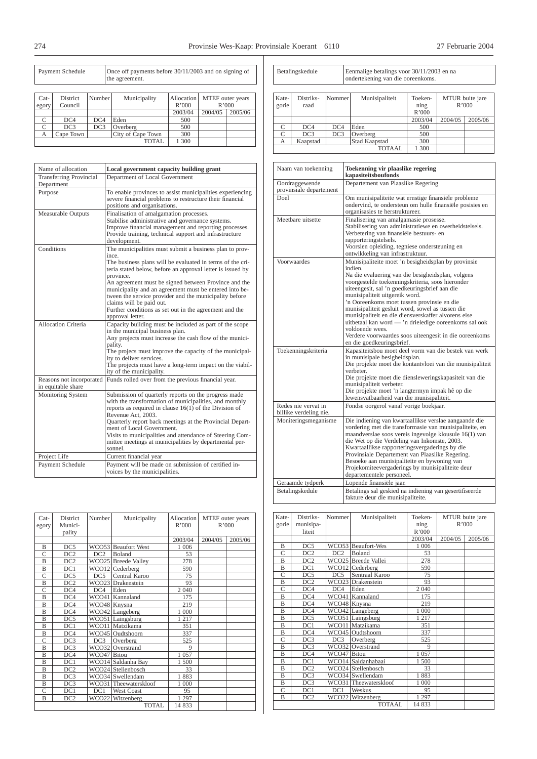| Payment Schedule |                            |                 | Once off payments before 30/11/2003 and on signing of<br>the agreement. |                     |         |                           |
|------------------|----------------------------|-----------------|-------------------------------------------------------------------------|---------------------|---------|---------------------------|
| $Cat-$<br>egory  | <b>District</b><br>Council | Number          | Municipality                                                            | Allocation<br>R'000 |         | MTEF outer years<br>R'000 |
|                  |                            |                 |                                                                         | 2003/04             | 2004/05 | 2005/06                   |
| C                | DC4                        | DC4             | Eden                                                                    | 500                 |         |                           |
| C                | DC <sub>3</sub>            | DC <sub>3</sub> | Overberg                                                                | 500                 |         |                           |
| А                | Cape Town                  |                 | City of Cape Town                                                       | 300                 |         |                           |
|                  |                            |                 | 1 300                                                                   |                     |         |                           |

| Name of allocation                             | Local government capacity building grant                                                                                                                                                                                                                                                                                                                                                                                                                                                       |
|------------------------------------------------|------------------------------------------------------------------------------------------------------------------------------------------------------------------------------------------------------------------------------------------------------------------------------------------------------------------------------------------------------------------------------------------------------------------------------------------------------------------------------------------------|
| <b>Transferring Provincial</b><br>Department   | Department of Local Government                                                                                                                                                                                                                                                                                                                                                                                                                                                                 |
| Purpose                                        | To enable provinces to assist municipalities experiencing<br>severe financial problems to restructure their financial<br>positions and organisations.                                                                                                                                                                                                                                                                                                                                          |
| <b>Measurable Outputs</b>                      | Finalisation of amalgamation processes.<br>Stabilise administrative and governance systems.<br>Improve financial management and reporting processes.<br>Provide training, technical support and infrastructure<br>development.                                                                                                                                                                                                                                                                 |
| Conditions                                     | The municipalities must submit a business plan to prov-<br>ince.<br>The business plans will be evaluated in terms of the cri-<br>teria stated below, before an approval letter is issued by<br>province.<br>An agreement must be signed between Province and the<br>municipality and an agreement must be entered into be-<br>tween the service provider and the municipality before<br>claims will be paid out.<br>Further conditions as set out in the agreement and the<br>approval letter. |
| Allocation Criteria                            | Capacity building must be included as part of the scope<br>in the municipal business plan.<br>Any projects must increase the cash flow of the munici-<br>pality.<br>The projecs must improve the capacity of the municipal-<br>ity to deliver services.<br>The projects must have a long-term impact on the viabil-<br>ity of the municipality.                                                                                                                                                |
| Reasons not incorporated<br>in equitable share | Funds rolled over from the previous financial year.                                                                                                                                                                                                                                                                                                                                                                                                                                            |
| Monitoring System                              | Submission of quarterly reports on the progress made<br>with the transformation of municipalities, and monthly<br>reports as required in clause $16(1)$ of the Division of<br>Revenue Act, 2003.<br>Quarterly report back meetings at the Provincial Depart-<br>ment of Local Government.<br>Visits to municipalities and attendance of Steering Com-<br>mittee meetings at municipalities by departmental per-<br>sonnel.                                                                     |
| Project Life                                   | Current financial year                                                                                                                                                                                                                                                                                                                                                                                                                                                                         |
| Payment Schedule                               | Payment will be made on submission of certified in-<br>voices by the municipalities.                                                                                                                                                                                                                                                                                                                                                                                                           |

| $Cat-$<br>egory | <b>District</b><br>Munici- | Number            | Municipality          | Allocation<br>R'000 | MTEF outer years<br>R'000 |         |
|-----------------|----------------------------|-------------------|-----------------------|---------------------|---------------------------|---------|
|                 | pality                     |                   |                       |                     |                           |         |
|                 |                            |                   |                       | 2003/04             | 2004/05                   | 2005/06 |
| B               | DC5                        |                   | WCO53 Beaufort West   | 1 0 0 6             |                           |         |
| $\mathcal{C}$   | DC2                        | DC2               | <b>Boland</b>         | 53                  |                           |         |
| B               | DC <sub>2</sub>            |                   | WCO25 Breede Valley   | 278                 |                           |         |
| B               | DC1                        | WCO <sub>12</sub> | Cederberg             | 590                 |                           |         |
| $\mathcal{C}$   | DC5                        | DC5               | Central Karoo         | 75                  |                           |         |
| B               | DC <sub>2</sub>            |                   | WCO23 Drakenstein     | 93                  |                           |         |
| $\overline{C}$  | DC4                        | DC4               | Eden                  | 2 0 4 0             |                           |         |
| $\overline{B}$  | DC4                        | WCO41             | Kannaland             | 175                 |                           |         |
| B               | DC4                        | WCO48 Knysna      |                       | 219                 |                           |         |
| B               | DC4                        |                   | WCO42 Langeberg       | 1 000               |                           |         |
| $\overline{B}$  | DC5                        |                   | WCO51 Laingsburg      | 1 2 1 7             |                           |         |
| $\overline{B}$  | DC1                        |                   | WCO11 Matzikama       | 351                 |                           |         |
| B               | DC4                        |                   | WCO45 Oudtshoorn      | 337                 |                           |         |
| $\overline{C}$  | DC <sub>3</sub>            | DC <sub>3</sub>   | Overberg              | 525                 |                           |         |
| $\overline{B}$  | DC <sub>3</sub>            |                   | WCO32 Overstrand      | $\mathbf Q$         |                           |         |
| B               | DC4                        | WCO47 Bitou       |                       | 1 0 5 7             |                           |         |
| $\overline{B}$  | DC1                        |                   | WCO14 Saldanha Bay    | 1 500               |                           |         |
| B               | DC <sub>2</sub>            |                   | WCO24 Stellenbosch    | 33                  |                           |         |
| $\overline{B}$  | DC3                        |                   | WCO34 Swellendam      | 1883                |                           |         |
| B               | DC <sub>3</sub>            |                   | WCO31 Theewaterskloof | 1 000               |                           |         |
| $\overline{C}$  | DC1                        | DC1               | <b>West Coast</b>     | 95                  |                           |         |
| $\overline{B}$  | DC2                        | WCO <sub>22</sub> | Witzenberg            | 1 2 9 7             |                           |         |
|                 |                            |                   | <b>TOTAL</b>          | 14 833              |                           |         |

| Betalingskedule | Eenmalige betalings voor 30/11/2003 en na |
|-----------------|-------------------------------------------|
|                 | ondertekening van die ooreenkoms.         |

| Kate-<br>gorie | Distriks-<br>raad | Nommer | Munisipaliteit | Toeken-<br>$\min_{\mathfrak{L}}$<br>R'000 |         | MTUR buite jare<br>R'000 |
|----------------|-------------------|--------|----------------|-------------------------------------------|---------|--------------------------|
|                |                   |        |                | 2003/04                                   | 2004/05 | 2005/06                  |
|                | DC4               | DC4    | Eden           | 500                                       |         |                          |
|                | DC <sub>3</sub>   | DC3    | Overberg       | 500                                       |         |                          |
| А              | Kaapstad          |        | Stad Kaapstad  | 300                                       |         |                          |
|                |                   |        | <b>TOTAAL</b>  | l 300                                     |         |                          |

| Naam van toekenning                           | Toekenning vir plaaslike regering<br>kapasiteitsboufonds                                                                                                                                                                                                                                                                                                                                                                                                                                                                                                                               |
|-----------------------------------------------|----------------------------------------------------------------------------------------------------------------------------------------------------------------------------------------------------------------------------------------------------------------------------------------------------------------------------------------------------------------------------------------------------------------------------------------------------------------------------------------------------------------------------------------------------------------------------------------|
| Oordraggewende<br>provinsiale departement     | Departement van Plaaslike Regering                                                                                                                                                                                                                                                                                                                                                                                                                                                                                                                                                     |
| Doel                                          | Om munisipaliteite wat ernstige finansiële probleme<br>ondervind, te ondersteun om hulle finansiële posisies en<br>organisasies te herstruktureer.                                                                                                                                                                                                                                                                                                                                                                                                                                     |
| Meetbare uitsette                             | Finalisering van amalgamasie prosesse.<br>Stabilisering van administratiewe en owerheidstelsels.<br>Verbetering van finansiële bestuurs- en<br>rapporteringstelsels.<br>Voorsien opleiding, tegniese ondersteuning en<br>ontwikkeling van infrastruktuur.                                                                                                                                                                                                                                                                                                                              |
| Voorwaardes                                   | Munisipaliteite moet 'n besigheidsplan by provinsie<br>indien.<br>Na die evaluering van die besigheidsplan, volgens<br>voorgestelde toekenningskriteria, soos hieronder<br>uiteengesit, sal 'n goedkeuringsbrief aan die<br>munisipaliteit uitgereik word.<br>'n Ooreenkoms moet tussen provinsie en die<br>munisipaliteit gesluit word, sowel as tussen die<br>munisipaliteit en die diensverskaffer alvorens eise<br>uitbetaal kan word - 'n drieledige ooreenkoms sal ook<br>voldoende wees.<br>Verdere voorwaardes soos uiteengesit in die ooreenkoms<br>en die goedkeuringsbrief. |
| Toekenningskriteria                           | Kapasiteitsbou moet deel vorm van die bestek van werk<br>in munisipale besigheidsplan.<br>Die projekte moet die kontantvloei van die munisipaliteit<br>verbeter.<br>Die projekte moet die diensleweringskapasiteit van die<br>munisipaliteit verbeter.<br>Die projekte moet 'n langtermyn impak hê op die<br>lewensvatbaarheid van die munisipaliteit.                                                                                                                                                                                                                                 |
| Redes nie vervat in<br>billike verdeling nie. | Fondse oorgerol vanaf vorige boekjaar.                                                                                                                                                                                                                                                                                                                                                                                                                                                                                                                                                 |
| Moniteringsmeganisme                          | Die indiening van kwartaallikse verslae aangaande die<br>vordering met die transformasie van munisipaliteite, en<br>maandverslae soos vereis ingevolge klousule 16(1) van<br>die Wet op die Verdeling van Inkomste, 2003.<br>Kwartaallikse rapporteringsvergaderings by die<br>Provinsiale Departement van Plaaslike Regering.<br>Besoeke aan munisipaliteite en bywoning van<br>Projekomiteevergaderings by munisipaliteite deur<br>departementele personeel.                                                                                                                         |
| Geraamde tydperk                              | Lopende finansiële jaar.                                                                                                                                                                                                                                                                                                                                                                                                                                                                                                                                                               |
| Betalingskedule                               | Betalings sal geskied na indiening van gesertifiseerde<br>fakture deur die munisipaliteite.                                                                                                                                                                                                                                                                                                                                                                                                                                                                                            |

| Kate-          | Distriks-       | Nommer       | Munisipaliteit        | Toeken-     |         | MTUR buite jare |
|----------------|-----------------|--------------|-----------------------|-------------|---------|-----------------|
| gorie          | munisipa-       |              |                       | ning        |         | R'000           |
|                | liteit          |              |                       | R'000       |         |                 |
|                |                 |              |                       | 2003/04     | 2004/05 | 2005/06         |
| B              | DC <sub>5</sub> |              | WCO53 Beaufort-Wes    | 1 0 0 6     |         |                 |
| $\overline{C}$ | DC2             | DC2          | Boland                | 53          |         |                 |
| B              | DC2             |              | WCO25 Breede Vallei   | 278         |         |                 |
| B              | DC1             | WCO12        | Cederberg             | 590         |         |                 |
| C              | DC5             | DC5          | Sentraal Karoo        | 75          |         |                 |
| B              | DC2             |              | WCO23 Drakenstein     | 93          |         |                 |
| C              | DC4             | DC4          | Eden                  | 2 0 4 0     |         |                 |
| B              | DC4             |              | WCO41 Kannaland       | 175         |         |                 |
| B              | DC4             | WCO48 Knysna |                       | 219         |         |                 |
| B              | DC4             |              | WCO42 Langeberg       | 1 000       |         |                 |
| B              | DC5             |              | WCO51 Laingsburg      | 1217        |         |                 |
| B              | DC1             |              | WCO11 Matzikama       | 351         |         |                 |
| B              | DC4             | WCO45        | Oudtshoorn            | 337         |         |                 |
| C              | DC3             | DC3          | Overberg              | 525         |         |                 |
| B              | DC3             |              | WCO32 Overstrand      | $\mathbf Q$ |         |                 |
| B              | DC4             | WCO47 Bitou  |                       | 1057        |         |                 |
| B              | DC1             |              | WCO14 Saldanhabaai    | 1500        |         |                 |
| B              | DC <sub>2</sub> |              | WCO24 Stellenbosch    | 33          |         |                 |
| B              | DC3             |              | WCO34 Swellendam      | 1883        |         |                 |
| B              | DC <sub>3</sub> |              | WCO31 Theewaterskloof | 1 000       |         |                 |
| C              | DC1             | DC1          | Weskus                | 95          |         |                 |
| B              | DC <sub>2</sub> |              | WCO22 Witzenberg      | 1 2 9 7     |         |                 |
|                |                 |              | <b>TOTAAL</b>         | 14 833      |         |                 |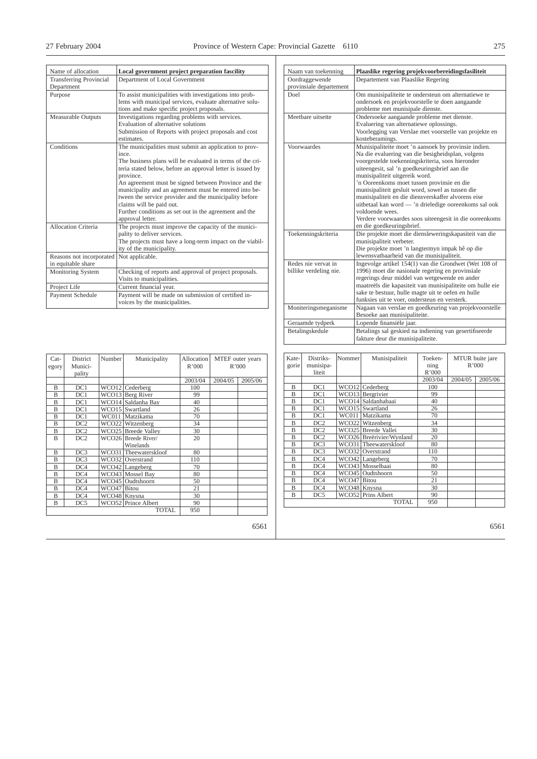| Name of allocation                             | Local government project preparation fascility                                                                                                                                                                                                                                                                                                                                                                                                                                                |
|------------------------------------------------|-----------------------------------------------------------------------------------------------------------------------------------------------------------------------------------------------------------------------------------------------------------------------------------------------------------------------------------------------------------------------------------------------------------------------------------------------------------------------------------------------|
| <b>Transferring Provincial</b><br>Department   | Department of Local Government                                                                                                                                                                                                                                                                                                                                                                                                                                                                |
| Purpose                                        | To assist municipalities with investigations into prob-<br>lems with municipal services, evaluate alternative solu-<br>tions and make specific project proposals.                                                                                                                                                                                                                                                                                                                             |
| <b>Measurable Outputs</b>                      | Investigations regarding problems with services.<br>Evaluation of alternative solutions<br>Submission of Reports with project proposals and cost<br>estimates.                                                                                                                                                                                                                                                                                                                                |
| Conditions                                     | The municipalities must submit an application to prov-<br>ince.<br>The business plans will be evaluated in terms of the cri-<br>teria stated below, before an approval letter is issued by<br>province.<br>An agreement must be signed between Province and the<br>municipality and an agreement must be entered into be-<br>tween the service provider and the municipality before<br>claims will be paid out.<br>Further conditions as set out in the agreement and the<br>approval letter. |
| <b>Allocation Criteria</b>                     | The projects must improve the capacity of the munici-<br>pality to deliver services.<br>The projects must have a long-term impact on the viabil-<br>ity of the municipality.                                                                                                                                                                                                                                                                                                                  |
| Reasons not incorporated<br>in equitable share | Not applicable.                                                                                                                                                                                                                                                                                                                                                                                                                                                                               |
| Monitoring System                              | Checking of reports and approval of project proposals.<br>Visits to municipalities.                                                                                                                                                                                                                                                                                                                                                                                                           |
| Project Life                                   | Current financial year.                                                                                                                                                                                                                                                                                                                                                                                                                                                                       |
| Payment Schedule                               | Payment will be made on submission of certified in-<br>voices by the municipalities.                                                                                                                                                                                                                                                                                                                                                                                                          |

| Naam van toekenning     | Plaaslike regering projekvoorbereidingsfasiliteit                                                          |
|-------------------------|------------------------------------------------------------------------------------------------------------|
| Oordraggewende          | Departement van Plaaslike Regering                                                                         |
| provinsiale departement |                                                                                                            |
| Doel.                   | Om munisipaliteite te ondersteun om alternatiewe te                                                        |
|                         | ondersoek en projekvoorstelle te doen aangaande                                                            |
|                         | probleme met munisipale dienste.                                                                           |
| Meethare uitsette       | Ondersoeke aangaande probleme met dienste.                                                                 |
|                         | Evaluering van alternatiewe oplossings.                                                                    |
|                         | Voorlegging van Verslae met voorstelle van projekte en                                                     |
|                         | kosteberamings.                                                                                            |
| Voorwaardes             | Munisipaliteite moet 'n aansoek by provinsie indien.                                                       |
|                         | Na die evaluering van die besigheidsplan, volgens                                                          |
|                         | voorgestelde toekenningskriteria, soos hieronder                                                           |
|                         | uiteengesit, sal 'n goedkeuringsbrief aan die                                                              |
|                         | munisipaliteit uitgereik word.                                                                             |
|                         | 'n Ooreenkoms moet tussen provinsie en die                                                                 |
|                         | munisipaliteit gesluit word, sowel as tussen die                                                           |
|                         | munisipaliteit en die diensverskaffer alvorens eise                                                        |
|                         | uitbetaal kan word - 'n drieledige ooreenkoms sal ook                                                      |
|                         | voldoende wees.                                                                                            |
|                         | Verdere voorwaardes soos uiteengesit in die ooreenkoms                                                     |
|                         | en die goedkeuringsbrief.                                                                                  |
| Toekenningskriteria     | Die projekte moet die diensleweringskapasiteit van die                                                     |
|                         | munisipaliteit verbeter.                                                                                   |
|                         | Die projekte moet 'n langtermyn impak hê op die                                                            |
|                         | lewensvatbaarheid van die munisipaliteit.                                                                  |
| Redes nie vervat in     | Ingevolge artikel 154(1) van die Grondwet (Wet 108 of                                                      |
| billike verdeling nie.  | 1996) moet die nasionale regering en provinsiale                                                           |
|                         | regerings deur middel van wetgewende en ander<br>maatreëls die kapasiteit van munisipaliteite om hulle eie |
|                         | sake te bestuur, hulle magte uit te oefen en hulle                                                         |
|                         | funksies uit te voer, ondersteun en versterk.                                                              |
| Moniteringsmeganisme    | Nagaan van verslae en goedkeuring van projekvoorstelle                                                     |
|                         | Besoeke aan munisipaliteite.                                                                               |
|                         |                                                                                                            |
| Geraamde tydperk        | Lopende finansiële jaar.                                                                                   |
| Betalingskedule         | Betalings sal geskied na indiening van gesertifiseerde                                                     |
|                         | fakture deur die munisipaliteite.                                                                          |

| Kate- | Distriks-       | Nommer       | Munisipaliteit           | Toeken- |         | MTUR buite jare |
|-------|-----------------|--------------|--------------------------|---------|---------|-----------------|
| gorie | munisipa-       |              |                          | ning    |         | R'000           |
|       | liteit          |              |                          | R'000   |         |                 |
|       |                 |              |                          | 2003/04 | 2004/05 | 2005/06         |
| B     | DC1             |              | WCO12 Cederberg          | 100     |         |                 |
| B     | DC1             |              | WCO13 Bergrivier         | 99      |         |                 |
| B     | DC1             |              | WCO14 Saldanhabaai       | 40      |         |                 |
| B     | DC1             |              | WCO15 Swartland          | 26      |         |                 |
| B     | DC1             |              | WC011 Matzikama          | 70      |         |                 |
| B     | DC <sub>2</sub> |              | WCO22 Witzenberg         | 34      |         |                 |
| B     | DC <sub>2</sub> |              | WCO25 Breede Vallei      | 30      |         |                 |
| B     | DC <sub>2</sub> |              | WCO26 Breërivier/Wynland | 20      |         |                 |
| B     | DC3             |              | WCO31 Theewaterskloof    | 80      |         |                 |
| B     | DC <sub>3</sub> |              | WCO32 Overstrand         | 110     |         |                 |
| B     | DC4             |              | WCO42 Langeberg          | 70      |         |                 |
| B     | DC4             |              | WCO43 Mosselbaai         | 80      |         |                 |
| B     | DC4             |              | WCO45 Oudtshoorn         | 50      |         |                 |
| B     | DC4             | WCO47 Bitou  |                          | 21      |         |                 |
| B     | DC4             | WCO48 Knysna |                          | 30      |         |                 |
| B     | DC5             |              | WCO52 Prins Albert       | 90      |         |                 |
|       |                 |              | <b>TOTAL</b>             | 950     |         |                 |

| Cat-<br>egory | District<br>Munici-<br>pality | Number <sup>1</sup> | Municipality          | Allocation<br>R'000 | MTEF outer years<br>R'000 |         |
|---------------|-------------------------------|---------------------|-----------------------|---------------------|---------------------------|---------|
|               |                               |                     |                       | 2003/04             | 2004/05                   | 2005/06 |
| B             | DC1                           |                     | $WCO12$ Cederberg     | 100                 |                           |         |
| B             | DC1                           |                     | WCO13 Berg River      | 99                  |                           |         |
| B             | DC1                           |                     | WCO14 Saldanha Bay    | 40                  |                           |         |
| B             | DC1                           |                     | WCO15 Swartland       | 26                  |                           |         |
| B             | DC1                           | WC011               | Matzikama             | 70                  |                           |         |
| B             | DC2                           |                     | WCO22 Witzenberg      | 34                  |                           |         |
| B             | DC <sub>2</sub>               |                     | WCO25 Breede Valley   | 30                  |                           |         |
| B             | DC <sub>2</sub>               |                     | WCO26 Breede River    | 20                  |                           |         |
|               |                               |                     | Winelands             |                     |                           |         |
| B             | DC3                           |                     | WCO31 Theewaterskloof | 80                  |                           |         |
| B             | DC3                           |                     | WCO32 Overstrand      | 110                 |                           |         |
| B             | DC4                           |                     | WCO42 Langeberg       | 70                  |                           |         |
| B             | DC4                           |                     | WCO43 Mossel Bay      | 80                  |                           |         |
| B             | DC4                           |                     | WCO45 Oudtshoorn      | 50                  |                           |         |
| B             | DC4                           | WCO47 Bitou         |                       | 21                  |                           |         |
| B             | DC4                           | WCO48 Knysna        |                       | 30                  |                           |         |
| B             | DC5                           |                     | WCO52 Prince Albert   | 90                  |                           |         |
|               |                               |                     | <b>TOTAL</b>          | 950                 |                           |         |
|               |                               |                     |                       |                     |                           | 6561    |

6561

6561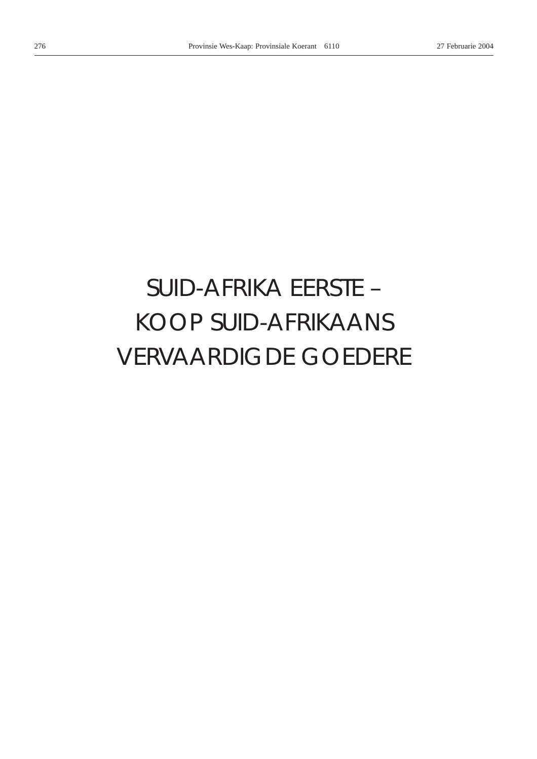# *SUID-AFRIKA EERSTE –* KOOP SUID-AFRIKAANS VERVAARDIGDE GOEDERE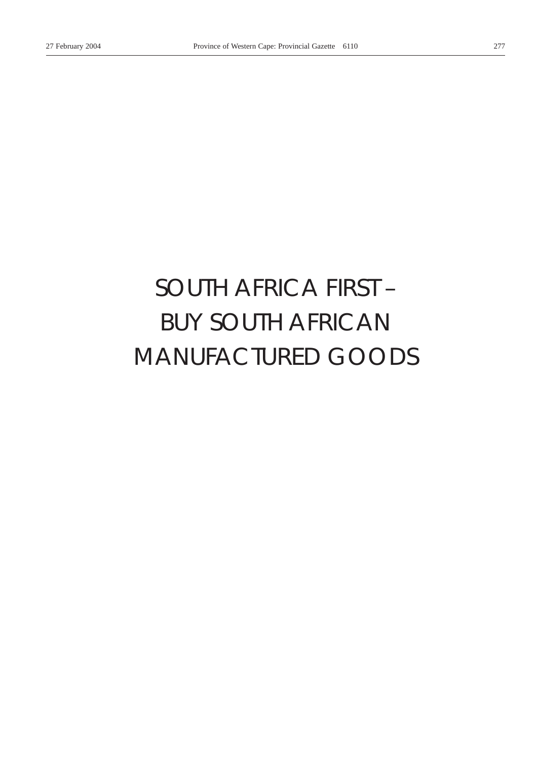# *SOUTH AFRICA FIRST –* BUY SOUTH AFRICAN MANUFACTURED GOODS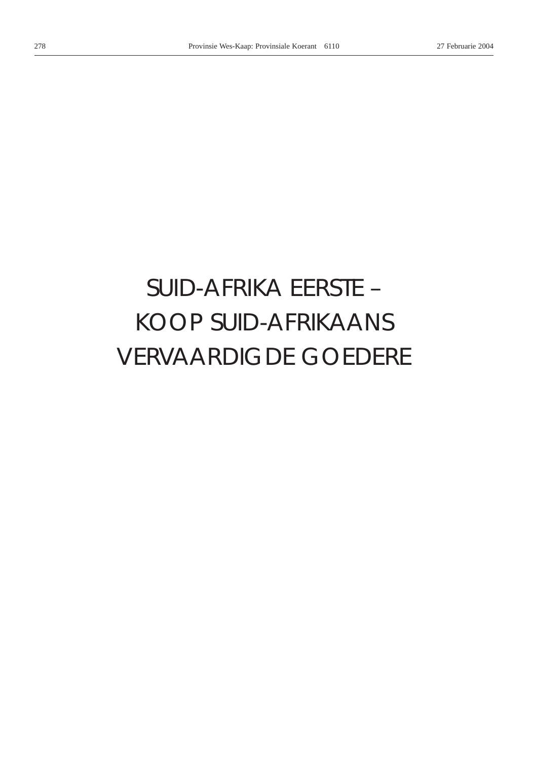# *SUID-AFRIKA EERSTE –* KOOP SUID-AFRIKAANS VERVAARDIGDE GOEDERE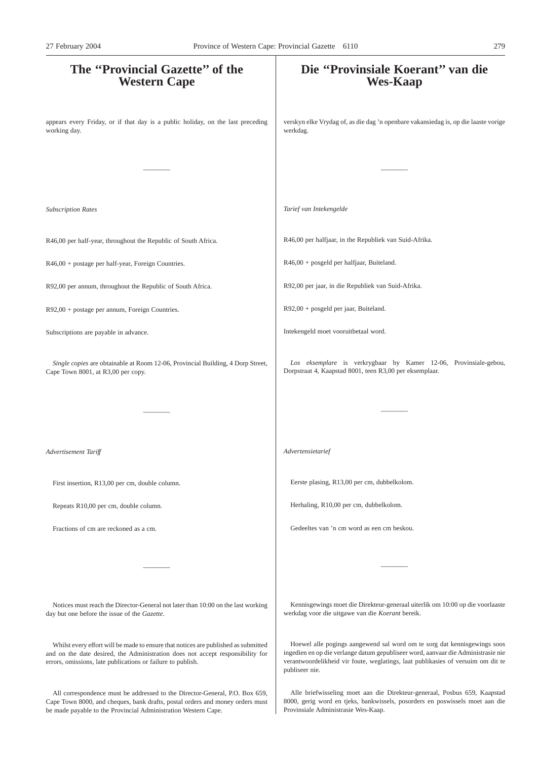# **The ''Provincial Gazette'' of the Western Cape** appears every Friday, or if that day is a public holiday, on the last preceding working day. ———— *Subscription Rates* R46,00 per half-year, throughout the Republic of South Africa. R46,00 + postage per half-year, Foreign Countries. R92,00 per annum, throughout the Republic of South Africa. R92,00 + postage per annum, Foreign Countries. Subscriptions are payable in advance. *Single copies* are obtainable at Room 12-06, Provincial Building, 4 Dorp Street, Cape Town 8001, at R3,00 per copy. ———— *Advertisement Tariff* First insertion, R13,00 per cm, double column. Repeats R10,00 per cm, double column. Fractions of cm are reckoned as a cm. ———— Notices must reach the Director-General not later than 10:00 on the last working day but one before the issue of the *Gazette*. **Die ''Provinsiale Koerant'' van die Wes-Kaap** verskyn elke Vrydag of, as die dag 'n openbare vakansiedag is, op die laaste vorige werkdag. ———— *Tarief van Intekengelde* R46,00 per halfjaar, in the Republiek van Suid-Afrika. R46,00 + posgeld per halfjaar, Buiteland. R92,00 per jaar, in die Republiek van Suid-Afrika. R92,00 + posgeld per jaar, Buiteland. Intekengeld moet vooruitbetaal word. *Los eksemplare* is verkrygbaar by Kamer 12-06, Provinsiale-gebou, Dorpstraat 4, Kaapstad 8001, teen R3,00 per eksemplaar. ———— *Advertensietarief* Eerste plasing, R13,00 per cm, dubbelkolom. Herhaling, R10,00 per cm, dubbelkolom. Gedeeltes van 'n cm word as een cm beskou. ———— Kennisgewings moet die Direkteur-generaal uiterlik om 10:00 op die voorlaaste werkdag voor die uitgawe van die *Koerant* bereik. Hoewel alle pogings aangewend sal word om te sorg dat kennisgewings soos 27 February 2004 Province of Western Cape: Provincial Gazette 6110 279

Whilst every effort will be made to ensure that notices are published as submitted and on the date desired, the Administration does not accept responsibility for errors, omissions, late publications or failure to publish.

All correspondence must be addressed to the Director-General, P.O. Box 659, Cape Town 8000, and cheques, bank drafts, postal orders and money orders must be made payable to the Provincial Administration Western Cape.

verantwoordelikheid vir foute, weglatings, laat publikasies of versuim om dit te publiseer nie.

ingedien en op die verlange datum gepubliseer word, aanvaar die Administrasie nie

Alle briefwisseling moet aan die Direkteur-generaal, Posbus 659, Kaapstad 8000, gerig word en tjeks, bankwissels, posorders en poswissels moet aan die Provinsiale Administrasie Wes-Kaap.